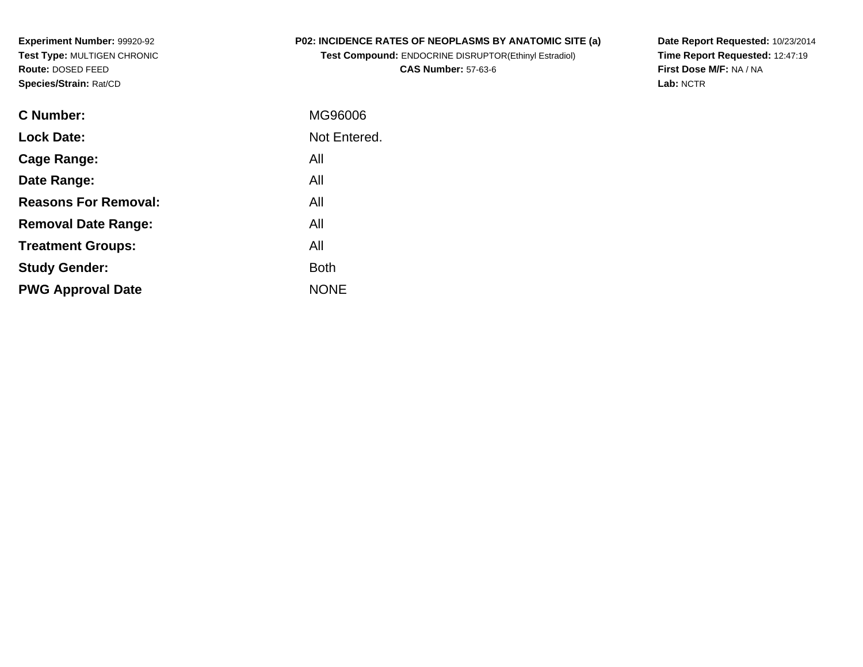**Experiment Number:** 99920-92 **Test Type:** MULTIGEN CHRONIC**Route:** DOSED FEED**Species/Strain:** Rat/CD

#### **P02: INCIDENCE RATES OF NEOPLASMS BY ANATOMIC SITE (a)**

**Test Compound:** ENDOCRINE DISRUPTOR(Ethinyl Estradiol)**CAS Number:** 57-63-6

**Date Report Requested:** 10/23/2014 **Time Report Requested:** 12:47:19**First Dose M/F:** NA / NA**Lab:** NCTR

| C Number:                   | MG96006      |
|-----------------------------|--------------|
| <b>Lock Date:</b>           | Not Entered. |
| Cage Range:                 | All          |
| Date Range:                 | All          |
| <b>Reasons For Removal:</b> | All          |
| <b>Removal Date Range:</b>  | All          |
| <b>Treatment Groups:</b>    | All          |
| <b>Study Gender:</b>        | <b>Both</b>  |
| <b>PWG Approval Date</b>    | <b>NONF</b>  |
|                             |              |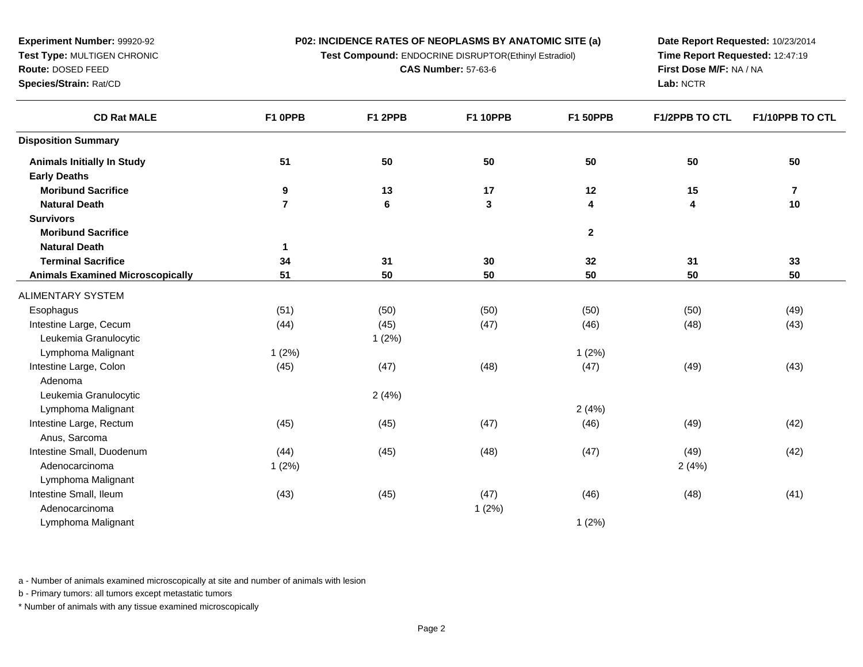**Test Compound:** ENDOCRINE DISRUPTOR(Ethinyl Estradiol)

**CAS Number:** 57-63-6

**Date Report Requested:** 10/23/2014**Time Report Requested:** 12:47:19**First Dose M/F:** NA / NA**Lab:** NCTR

| <b>CD Rat MALE</b>                      | F1 OPPB        | F1 2PPB | <b>F1 10PPB</b> | <b>F1 50PPB</b>         | <b>F1/2PPB TO CTL</b> | F1/10PPB TO CTL         |
|-----------------------------------------|----------------|---------|-----------------|-------------------------|-----------------------|-------------------------|
| <b>Disposition Summary</b>              |                |         |                 |                         |                       |                         |
| <b>Animals Initially In Study</b>       | 51             | 50      | 50              | 50                      | 50                    | 50                      |
| <b>Early Deaths</b>                     |                |         |                 |                         |                       |                         |
| <b>Moribund Sacrifice</b>               | 9              | 13      | 17              | 12                      | 15                    | $\overline{\mathbf{r}}$ |
| <b>Natural Death</b>                    | $\overline{7}$ | 6       | $\mathbf 3$     | $\overline{\mathbf{4}}$ | 4                     | 10                      |
| <b>Survivors</b>                        |                |         |                 |                         |                       |                         |
| <b>Moribund Sacrifice</b>               |                |         |                 | $\mathbf{2}$            |                       |                         |
| <b>Natural Death</b>                    | 1              |         |                 |                         |                       |                         |
| <b>Terminal Sacrifice</b>               | 34             | 31      | 30              | 32                      | 31                    | 33                      |
| <b>Animals Examined Microscopically</b> | 51             | 50      | 50              | 50                      | 50                    | 50                      |
| ALIMENTARY SYSTEM                       |                |         |                 |                         |                       |                         |
| Esophagus                               | (51)           | (50)    | (50)            | (50)                    | (50)                  | (49)                    |
| Intestine Large, Cecum                  | (44)           | (45)    | (47)            | (46)                    | (48)                  | (43)                    |
| Leukemia Granulocytic                   |                | 1(2%)   |                 |                         |                       |                         |
| Lymphoma Malignant                      | 1(2%)          |         |                 | 1(2%)                   |                       |                         |
| Intestine Large, Colon                  | (45)           | (47)    | (48)            | (47)                    | (49)                  | (43)                    |
| Adenoma                                 |                |         |                 |                         |                       |                         |
| Leukemia Granulocytic                   |                | 2(4%)   |                 |                         |                       |                         |
| Lymphoma Malignant                      |                |         |                 | 2(4%)                   |                       |                         |
| Intestine Large, Rectum                 | (45)           | (45)    | (47)            | (46)                    | (49)                  | (42)                    |
| Anus, Sarcoma                           |                |         |                 |                         |                       |                         |
| Intestine Small, Duodenum               | (44)           | (45)    | (48)            | (47)                    | (49)                  | (42)                    |
| Adenocarcinoma                          | 1(2%)          |         |                 |                         | 2(4%)                 |                         |
| Lymphoma Malignant                      |                |         |                 |                         |                       |                         |
| Intestine Small, Ileum                  | (43)           | (45)    | (47)            | (46)                    | (48)                  | (41)                    |
| Adenocarcinoma                          |                |         | 1(2%)           |                         |                       |                         |
| Lymphoma Malignant                      |                |         |                 | 1(2%)                   |                       |                         |

a - Number of animals examined microscopically at site and number of animals with lesion

b - Primary tumors: all tumors except metastatic tumors

\* Number of animals with any tissue examined microscopically

# **Experiment Number:** 99920-92 **Test Type:** MULTIGEN CHRONIC**Route:** DOSED FEED

**Species/Strain:** Rat/CD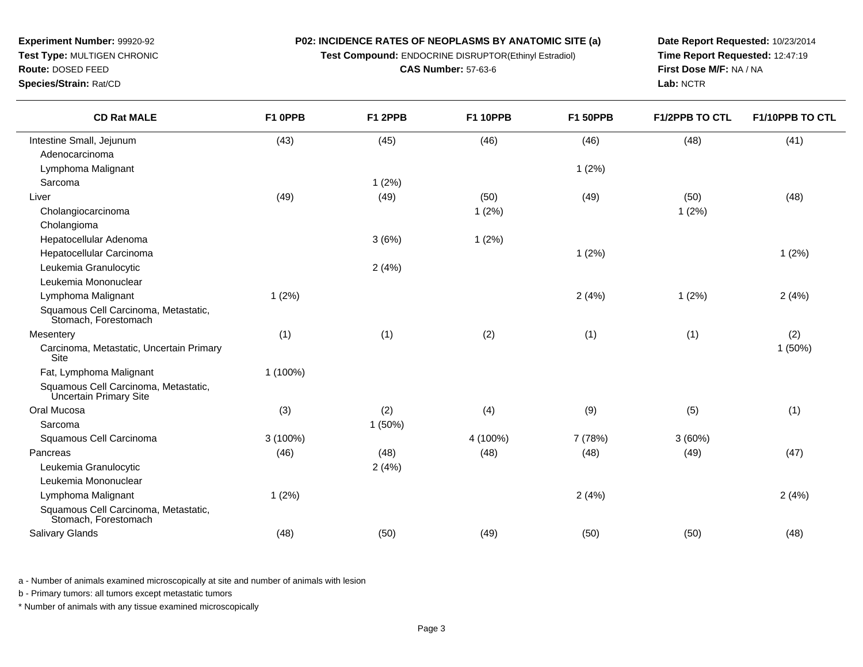**Test Compound:** ENDOCRINE DISRUPTOR(Ethinyl Estradiol)

**CAS Number:** 57-63-6

**Date Report Requested:** 10/23/2014**Time Report Requested:** 12:47:19**First Dose M/F:** NA / NA**Lab:** NCTR

**Route:** DOSED FEED**Species/Strain:** Rat/CD

 $\overline{\phantom{a}}$ 

| <b>CD Rat MALE</b>                                             | F1 OPPB  | F1 2PPB | <b>F1 10PPB</b> | <b>F1 50PPB</b> | <b>F1/2PPB TO CTL</b> | F1/10PPB TO CTL |
|----------------------------------------------------------------|----------|---------|-----------------|-----------------|-----------------------|-----------------|
| Intestine Small, Jejunum                                       | (43)     | (45)    | (46)            | (46)            | (48)                  | (41)            |
| Adenocarcinoma                                                 |          |         |                 |                 |                       |                 |
| Lymphoma Malignant                                             |          |         |                 | 1(2%)           |                       |                 |
| Sarcoma                                                        |          | 1(2%)   |                 |                 |                       |                 |
| Liver                                                          | (49)     | (49)    | (50)            | (49)            | (50)                  | (48)            |
| Cholangiocarcinoma                                             |          |         | 1(2%)           |                 | 1(2%)                 |                 |
| Cholangioma                                                    |          |         |                 |                 |                       |                 |
| Hepatocellular Adenoma                                         |          | 3(6%)   | 1(2%)           |                 |                       |                 |
| Hepatocellular Carcinoma                                       |          |         |                 | 1(2%)           |                       | 1(2%)           |
| Leukemia Granulocytic                                          |          | 2(4%)   |                 |                 |                       |                 |
| Leukemia Mononuclear                                           |          |         |                 |                 |                       |                 |
| Lymphoma Malignant                                             | 1(2%)    |         |                 | 2(4%)           | 1(2%)                 | 2(4%)           |
| Squamous Cell Carcinoma, Metastatic,<br>Stomach, Forestomach   |          |         |                 |                 |                       |                 |
| Mesentery                                                      | (1)      | (1)     | (2)             | (1)             | (1)                   | (2)             |
| Carcinoma, Metastatic, Uncertain Primary<br>Site               |          |         |                 |                 |                       | 1(50%)          |
| Fat, Lymphoma Malignant                                        | 1 (100%) |         |                 |                 |                       |                 |
| Squamous Cell Carcinoma, Metastatic,<br>Uncertain Primary Site |          |         |                 |                 |                       |                 |
| Oral Mucosa                                                    | (3)      | (2)     | (4)             | (9)             | (5)                   | (1)             |
| Sarcoma                                                        |          | 1(50%)  |                 |                 |                       |                 |
| Squamous Cell Carcinoma                                        | 3 (100%) |         | 4 (100%)        | 7 (78%)         | 3(60%)                |                 |
| Pancreas                                                       | (46)     | (48)    | (48)            | (48)            | (49)                  | (47)            |
| Leukemia Granulocytic                                          |          | 2(4%)   |                 |                 |                       |                 |
| Leukemia Mononuclear                                           |          |         |                 |                 |                       |                 |
| Lymphoma Malignant                                             | 1(2%)    |         |                 | 2(4%)           |                       | 2(4%)           |
| Squamous Cell Carcinoma, Metastatic,<br>Stomach, Forestomach   |          |         |                 |                 |                       |                 |
| Salivary Glands                                                | (48)     | (50)    | (49)            | (50)            | (50)                  | (48)            |

a - Number of animals examined microscopically at site and number of animals with lesion

b - Primary tumors: all tumors except metastatic tumors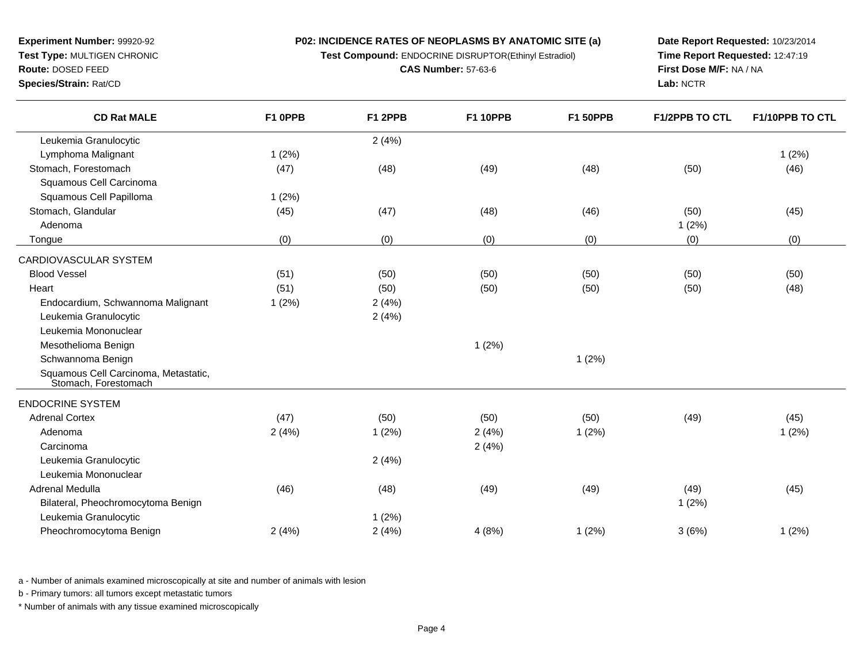**P02: INCIDENCE RATES OF NEOPLASMS BY ANATOMIC SITE (a)Test Compound:** ENDOCRINE DISRUPTOR(Ethinyl Estradiol)

**CAS Number:** 57-63-6

**Experiment Number:** 99920-92**Test Type:** MULTIGEN CHRONIC

### **Route:** DOSED FEED

**Species/Strain:** Rat/CD

**Date Report Requested:** 10/23/2014**Time Report Requested:** 12:47:19**First Dose M/F:** NA / NA**Lab:** NCTR

| <b>CD Rat MALE</b>                                           | F1 OPPB | F1 2PPB | <b>F1 10PPB</b> | <b>F1 50PPB</b> | <b>F1/2PPB TO CTL</b> | F1/10PPB TO CTL |
|--------------------------------------------------------------|---------|---------|-----------------|-----------------|-----------------------|-----------------|
| Leukemia Granulocytic                                        |         | 2(4%)   |                 |                 |                       |                 |
| Lymphoma Malignant                                           | 1(2%)   |         |                 |                 |                       | 1(2%)           |
| Stomach, Forestomach                                         | (47)    | (48)    | (49)            | (48)            | (50)                  | (46)            |
| Squamous Cell Carcinoma                                      |         |         |                 |                 |                       |                 |
| Squamous Cell Papilloma                                      | 1(2%)   |         |                 |                 |                       |                 |
| Stomach, Glandular                                           | (45)    | (47)    | (48)            | (46)            | (50)                  | (45)            |
| Adenoma                                                      |         |         |                 |                 | 1(2%)                 |                 |
| Tongue                                                       | (0)     | (0)     | (0)             | (0)             | (0)                   | (0)             |
| CARDIOVASCULAR SYSTEM                                        |         |         |                 |                 |                       |                 |
| <b>Blood Vessel</b>                                          | (51)    | (50)    | (50)            | (50)            | (50)                  | (50)            |
| Heart                                                        | (51)    | (50)    | (50)            | (50)            | (50)                  | (48)            |
| Endocardium, Schwannoma Malignant                            | 1(2%)   | 2(4%)   |                 |                 |                       |                 |
| Leukemia Granulocytic                                        |         | 2(4%)   |                 |                 |                       |                 |
| Leukemia Mononuclear                                         |         |         |                 |                 |                       |                 |
| Mesothelioma Benign                                          |         |         | 1(2%)           |                 |                       |                 |
| Schwannoma Benign                                            |         |         |                 | 1(2%)           |                       |                 |
| Squamous Cell Carcinoma, Metastatic,<br>Stomach, Forestomach |         |         |                 |                 |                       |                 |
| <b>ENDOCRINE SYSTEM</b>                                      |         |         |                 |                 |                       |                 |
| <b>Adrenal Cortex</b>                                        | (47)    | (50)    | (50)            | (50)            | (49)                  | (45)            |
| Adenoma                                                      | 2(4%)   | 1(2%)   | 2(4%)           | 1(2%)           |                       | 1(2%)           |
| Carcinoma                                                    |         |         | 2(4%)           |                 |                       |                 |
| Leukemia Granulocytic                                        |         | 2(4%)   |                 |                 |                       |                 |
| Leukemia Mononuclear                                         |         |         |                 |                 |                       |                 |
| Adrenal Medulla                                              | (46)    | (48)    | (49)            | (49)            | (49)                  | (45)            |
| Bilateral, Pheochromocytoma Benign                           |         |         |                 |                 | 1(2%)                 |                 |
| Leukemia Granulocytic                                        |         | 1(2%)   |                 |                 |                       |                 |
| Pheochromocytoma Benign                                      | 2(4%)   | 2(4%)   | 4(8%)           | 1(2%)           | 3(6%)                 | 1(2%)           |

a - Number of animals examined microscopically at site and number of animals with lesion

b - Primary tumors: all tumors except metastatic tumors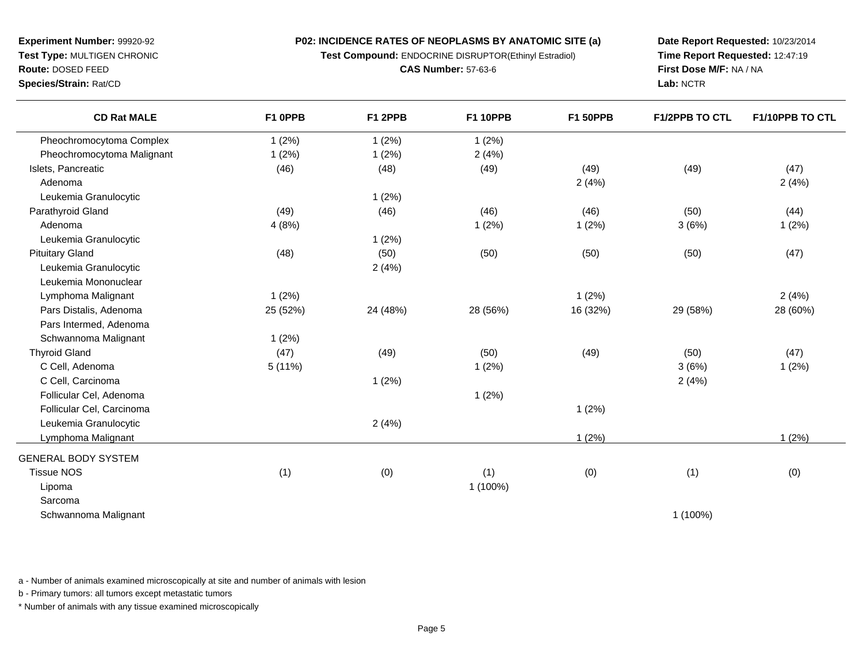**Test Compound:** ENDOCRINE DISRUPTOR(Ethinyl Estradiol)

**CAS Number:** 57-63-6

**Date Report Requested:** 10/23/2014**Time Report Requested:** 12:47:19**First Dose M/F:** NA / NA**Lab:** NCTR

**Route:** DOSED FEED**Species/Strain:** Rat/CD

| <b>CD Rat MALE</b>         | F1 OPPB  | F1 2PPB  | <b>F1 10PPB</b> | <b>F1 50PPB</b> | F1/2PPB TO CTL | F1/10PPB TO CTL |
|----------------------------|----------|----------|-----------------|-----------------|----------------|-----------------|
| Pheochromocytoma Complex   | 1(2%)    | 1(2%)    | 1(2%)           |                 |                |                 |
| Pheochromocytoma Malignant | 1(2%)    | 1(2%)    | 2(4%)           |                 |                |                 |
| Islets, Pancreatic         | (46)     | (48)     | (49)            | (49)            | (49)           | (47)            |
| Adenoma                    |          |          |                 | 2(4%)           |                | 2(4%)           |
| Leukemia Granulocytic      |          | 1(2%)    |                 |                 |                |                 |
| Parathyroid Gland          | (49)     | (46)     | (46)            | (46)            | (50)           | (44)            |
| Adenoma                    | 4(8%)    |          | 1(2%)           | 1(2%)           | 3(6%)          | 1(2%)           |
| Leukemia Granulocytic      |          | 1(2%)    |                 |                 |                |                 |
| <b>Pituitary Gland</b>     | (48)     | (50)     | (50)            | (50)            | (50)           | (47)            |
| Leukemia Granulocytic      |          | 2(4%)    |                 |                 |                |                 |
| Leukemia Mononuclear       |          |          |                 |                 |                |                 |
| Lymphoma Malignant         | 1(2%)    |          |                 | 1(2%)           |                | 2(4%)           |
| Pars Distalis, Adenoma     | 25 (52%) | 24 (48%) | 28 (56%)        | 16 (32%)        | 29 (58%)       | 28 (60%)        |
| Pars Intermed, Adenoma     |          |          |                 |                 |                |                 |
| Schwannoma Malignant       | 1(2%)    |          |                 |                 |                |                 |
| <b>Thyroid Gland</b>       | (47)     | (49)     | (50)            | (49)            | (50)           | (47)            |
| C Cell, Adenoma            | 5(11%)   |          | 1(2%)           |                 | 3(6%)          | 1(2%)           |
| C Cell, Carcinoma          |          | 1(2%)    |                 |                 | 2(4%)          |                 |
| Follicular Cel, Adenoma    |          |          | 1(2%)           |                 |                |                 |
| Follicular Cel, Carcinoma  |          |          |                 | 1(2%)           |                |                 |
| Leukemia Granulocytic      |          | 2(4%)    |                 |                 |                |                 |
| Lymphoma Malignant         |          |          |                 | 1(2%)           |                | 1(2%)           |
| <b>GENERAL BODY SYSTEM</b> |          |          |                 |                 |                |                 |
| <b>Tissue NOS</b>          | (1)      | (0)      | (1)             | (0)             | (1)            | (0)             |
| Lipoma                     |          |          | 1 (100%)        |                 |                |                 |
| Sarcoma                    |          |          |                 |                 |                |                 |
| Schwannoma Malignant       |          |          |                 |                 | 1 (100%)       |                 |
|                            |          |          |                 |                 |                |                 |

a - Number of animals examined microscopically at site and number of animals with lesion

b - Primary tumors: all tumors except metastatic tumors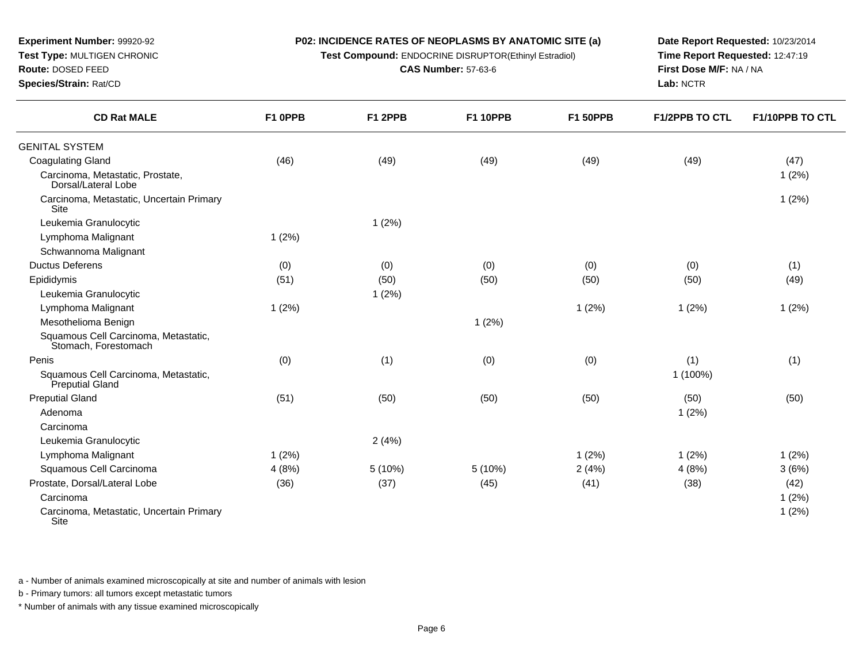**Test Compound:** ENDOCRINE DISRUPTOR(Ethinyl Estradiol)

**CAS Number:** 57-63-6

**Date Report Requested:** 10/23/2014**Time Report Requested:** 12:47:19**First Dose M/F:** NA / NA**Lab:** NCTR

| <b>CD Rat MALE</b>                                           | F1 OPPB | F1 2PPB | <b>F1 10PPB</b> | <b>F1 50PPB</b> | <b>F1/2PPB TO CTL</b> | F1/10PPB TO CTL |
|--------------------------------------------------------------|---------|---------|-----------------|-----------------|-----------------------|-----------------|
| <b>GENITAL SYSTEM</b>                                        |         |         |                 |                 |                       |                 |
| <b>Coagulating Gland</b>                                     | (46)    | (49)    | (49)            | (49)            | (49)                  | (47)            |
| Carcinoma, Metastatic, Prostate,<br>Dorsal/Lateral Lobe      |         |         |                 |                 |                       | 1(2%)           |
| Carcinoma, Metastatic, Uncertain Primary<br><b>Site</b>      |         |         |                 |                 |                       | 1(2%)           |
| Leukemia Granulocytic                                        |         | 1(2%)   |                 |                 |                       |                 |
| Lymphoma Malignant                                           | 1(2%)   |         |                 |                 |                       |                 |
| Schwannoma Malignant                                         |         |         |                 |                 |                       |                 |
| <b>Ductus Deferens</b>                                       | (0)     | (0)     | (0)             | (0)             | (0)                   | (1)             |
| Epididymis                                                   | (51)    | (50)    | (50)            | (50)            | (50)                  | (49)            |
| Leukemia Granulocytic                                        |         | 1(2%)   |                 |                 |                       |                 |
| Lymphoma Malignant                                           | 1(2%)   |         |                 | 1(2%)           | 1(2%)                 | 1(2%)           |
| Mesothelioma Benign                                          |         |         | 1(2%)           |                 |                       |                 |
| Squamous Cell Carcinoma, Metastatic,<br>Stomach, Forestomach |         |         |                 |                 |                       |                 |
| Penis                                                        | (0)     | (1)     | (0)             | (0)             | (1)                   | (1)             |
| Squamous Cell Carcinoma, Metastatic,<br>Preputial Gland      |         |         |                 |                 | 1 (100%)              |                 |
| <b>Preputial Gland</b>                                       | (51)    | (50)    | (50)            | (50)            | (50)                  | (50)            |
| Adenoma                                                      |         |         |                 |                 | 1(2%)                 |                 |
| Carcinoma                                                    |         |         |                 |                 |                       |                 |
| Leukemia Granulocytic                                        |         | 2(4%)   |                 |                 |                       |                 |
| Lymphoma Malignant                                           | 1(2%)   |         |                 | 1(2%)           | 1(2%)                 | 1(2%)           |
| Squamous Cell Carcinoma                                      | 4(8%)   | 5(10%)  | 5(10%)          | 2(4%)           | 4(8%)                 | 3(6%)           |
| Prostate, Dorsal/Lateral Lobe                                | (36)    | (37)    | (45)            | (41)            | (38)                  | (42)            |
| Carcinoma                                                    |         |         |                 |                 |                       | 1(2%)           |
| Carcinoma, Metastatic, Uncertain Primary<br>Site             |         |         |                 |                 |                       | 1(2%)           |

a - Number of animals examined microscopically at site and number of animals with lesion

b - Primary tumors: all tumors except metastatic tumors

**Experiment Number:** 99920-92**Test Type:** MULTIGEN CHRONIC

**Route:** DOSED FEED**Species/Strain:** Rat/CD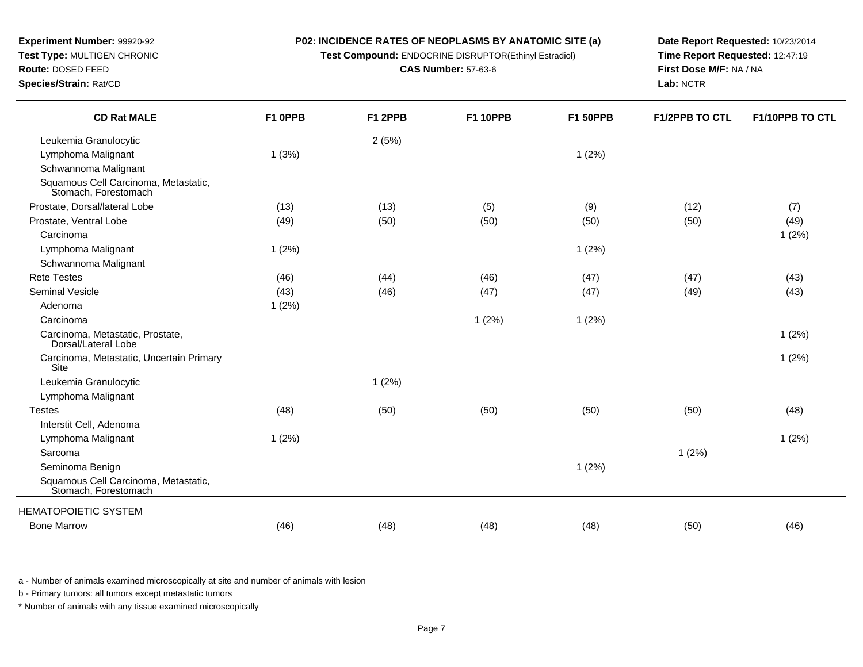### **P02: INCIDENCE RATES OF NEOPLASMS BY ANATOMIC SITE (a)Test Compound:** ENDOCRINE DISRUPTOR(Ethinyl Estradiol)

**CAS Number:** 57-63-6

**Experiment Number:** 99920-92**Test Type:** MULTIGEN CHRONIC

**Route:** DOSED FEED

**Species/Strain:** Rat/CD

**Date Report Requested:** 10/23/2014**Time Report Requested:** 12:47:19**First Dose M/F:** NA / NA**Lab:** NCTR

| <b>CD Rat MALE</b>                                           | F1 0PPB | F1 2PPB | <b>F1 10PPB</b> | <b>F1 50PPB</b> | <b>F1/2PPB TO CTL</b> | F1/10PPB TO CTL |
|--------------------------------------------------------------|---------|---------|-----------------|-----------------|-----------------------|-----------------|
| Leukemia Granulocytic                                        |         | 2(5%)   |                 |                 |                       |                 |
| Lymphoma Malignant                                           | 1(3%)   |         |                 | 1(2%)           |                       |                 |
| Schwannoma Malignant                                         |         |         |                 |                 |                       |                 |
| Squamous Cell Carcinoma, Metastatic,<br>Stomach, Forestomach |         |         |                 |                 |                       |                 |
| Prostate, Dorsal/lateral Lobe                                | (13)    | (13)    | (5)             | (9)             | (12)                  | (7)             |
| Prostate, Ventral Lobe                                       | (49)    | (50)    | (50)            | (50)            | (50)                  | (49)            |
| Carcinoma                                                    |         |         |                 |                 |                       | 1(2%)           |
| Lymphoma Malignant                                           | 1(2%)   |         |                 | 1(2%)           |                       |                 |
| Schwannoma Malignant                                         |         |         |                 |                 |                       |                 |
| <b>Rete Testes</b>                                           | (46)    | (44)    | (46)            | (47)            | (47)                  | (43)            |
| <b>Seminal Vesicle</b>                                       | (43)    | (46)    | (47)            | (47)            | (49)                  | (43)            |
| Adenoma                                                      | 1(2%)   |         |                 |                 |                       |                 |
| Carcinoma                                                    |         |         | 1(2%)           | 1(2%)           |                       |                 |
| Carcinoma, Metastatic, Prostate,<br>Dorsal/Lateral Lobe      |         |         |                 |                 |                       | 1(2%)           |
| Carcinoma, Metastatic, Uncertain Primary<br><b>Site</b>      |         |         |                 |                 |                       | 1(2%)           |
| Leukemia Granulocytic                                        |         | 1(2%)   |                 |                 |                       |                 |
| Lymphoma Malignant                                           |         |         |                 |                 |                       |                 |
| <b>Testes</b>                                                | (48)    | (50)    | (50)            | (50)            | (50)                  | (48)            |
| Interstit Cell, Adenoma                                      |         |         |                 |                 |                       |                 |
| Lymphoma Malignant                                           | 1(2%)   |         |                 |                 |                       | 1(2%)           |
| Sarcoma                                                      |         |         |                 |                 | 1(2%)                 |                 |
| Seminoma Benign                                              |         |         |                 | 1(2%)           |                       |                 |
| Squamous Cell Carcinoma, Metastatic,<br>Stomach, Forestomach |         |         |                 |                 |                       |                 |
| <b>HEMATOPOIETIC SYSTEM</b>                                  |         |         |                 |                 |                       |                 |
| <b>Bone Marrow</b>                                           | (46)    | (48)    | (48)            | (48)            | (50)                  | (46)            |
|                                                              |         |         |                 |                 |                       |                 |

a - Number of animals examined microscopically at site and number of animals with lesion

b - Primary tumors: all tumors except metastatic tumors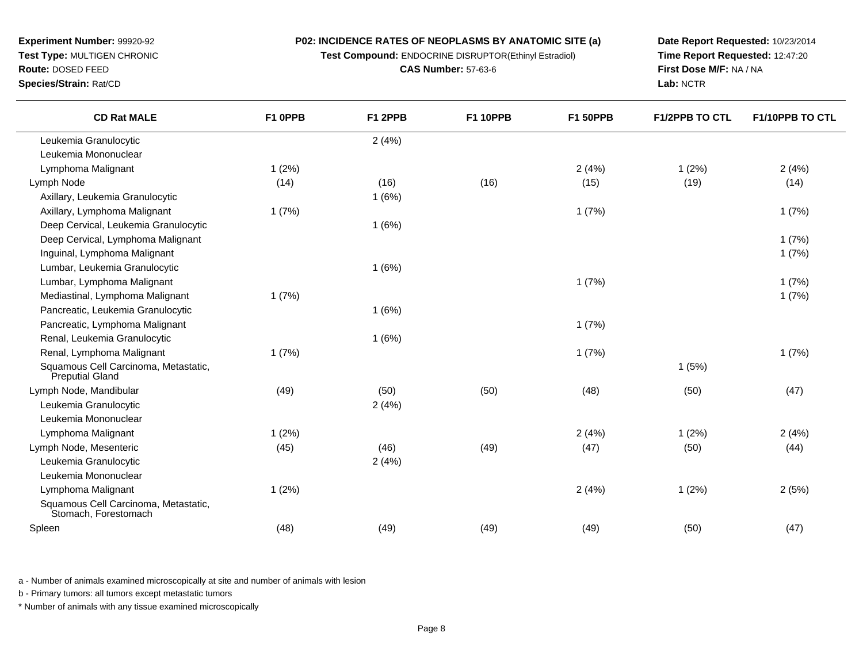**P02: INCIDENCE RATES OF NEOPLASMS BY ANATOMIC SITE (a)Test Compound:** ENDOCRINE DISRUPTOR(Ethinyl Estradiol)

**CAS Number:** 57-63-6

**Experiment Number:** 99920-92**Test Type:** MULTIGEN CHRONIC

### **Route:** DOSED FEED

**Species/Strain:** Rat/CD

**Date Report Requested:** 10/23/2014**Time Report Requested:** 12:47:20**First Dose M/F:** NA / NA**Lab:** NCTR

| <b>CD Rat MALE</b>                                           | F1 OPPB | F1 2PPB | <b>F1 10PPB</b> | <b>F1 50PPB</b> | <b>F1/2PPB TO CTL</b> | F1/10PPB TO CTL |
|--------------------------------------------------------------|---------|---------|-----------------|-----------------|-----------------------|-----------------|
| Leukemia Granulocytic                                        |         | 2(4%)   |                 |                 |                       |                 |
| Leukemia Mononuclear                                         |         |         |                 |                 |                       |                 |
| Lymphoma Malignant                                           | 1(2%)   |         |                 | 2(4%)           | 1(2%)                 | 2(4%)           |
| Lymph Node                                                   | (14)    | (16)    | (16)            | (15)            | (19)                  | (14)            |
| Axillary, Leukemia Granulocytic                              |         | 1(6%)   |                 |                 |                       |                 |
| Axillary, Lymphoma Malignant                                 | 1(7%)   |         |                 | 1(7%)           |                       | 1(7%)           |
| Deep Cervical, Leukemia Granulocytic                         |         | 1(6%)   |                 |                 |                       |                 |
| Deep Cervical, Lymphoma Malignant                            |         |         |                 |                 |                       | 1(7%)           |
| Inguinal, Lymphoma Malignant                                 |         |         |                 |                 |                       | 1(7%)           |
| Lumbar, Leukemia Granulocytic                                |         | 1(6%)   |                 |                 |                       |                 |
| Lumbar, Lymphoma Malignant                                   |         |         |                 | 1(7%)           |                       | 1(7%)           |
| Mediastinal, Lymphoma Malignant                              | 1(7%)   |         |                 |                 |                       | 1(7%)           |
| Pancreatic, Leukemia Granulocytic                            |         | 1(6%)   |                 |                 |                       |                 |
| Pancreatic, Lymphoma Malignant                               |         |         |                 | 1(7%)           |                       |                 |
| Renal, Leukemia Granulocytic                                 |         | 1(6%)   |                 |                 |                       |                 |
| Renal, Lymphoma Malignant                                    | 1(7%)   |         |                 | 1(7%)           |                       | 1(7%)           |
| Squamous Cell Carcinoma, Metastatic,<br>Preputial Gland      |         |         |                 |                 | 1(5%)                 |                 |
| Lymph Node, Mandibular                                       | (49)    | (50)    | (50)            | (48)            | (50)                  | (47)            |
| Leukemia Granulocytic                                        |         | 2(4%)   |                 |                 |                       |                 |
| Leukemia Mononuclear                                         |         |         |                 |                 |                       |                 |
| Lymphoma Malignant                                           | 1(2%)   |         |                 | 2(4%)           | 1(2%)                 | 2(4%)           |
| Lymph Node, Mesenteric                                       | (45)    | (46)    | (49)            | (47)            | (50)                  | (44)            |
| Leukemia Granulocytic                                        |         | 2(4%)   |                 |                 |                       |                 |
| Leukemia Mononuclear                                         |         |         |                 |                 |                       |                 |
| Lymphoma Malignant                                           | 1(2%)   |         |                 | 2(4%)           | 1(2%)                 | 2(5%)           |
| Squamous Cell Carcinoma, Metastatic,<br>Stomach, Forestomach |         |         |                 |                 |                       |                 |
| Spleen                                                       | (48)    | (49)    | (49)            | (49)            | (50)                  | (47)            |

a - Number of animals examined microscopically at site and number of animals with lesion

b - Primary tumors: all tumors except metastatic tumors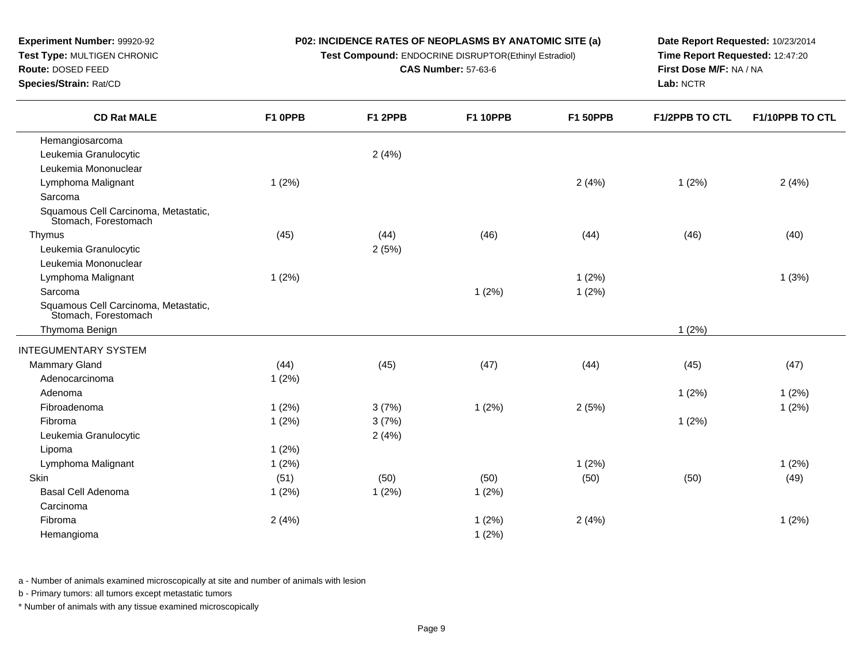**Test Compound:** ENDOCRINE DISRUPTOR(Ethinyl Estradiol)

**CAS Number:** 57-63-6

**Date Report Requested:** 10/23/2014**Time Report Requested:** 12:47:20**First Dose M/F:** NA / NA**Lab:** NCTR

| <b>CD Rat MALE</b>                                           | F1 OPPB | F1 2PPB | <b>F1 10PPB</b> | <b>F1 50PPB</b> | <b>F1/2PPB TO CTL</b> | F1/10PPB TO CTL |
|--------------------------------------------------------------|---------|---------|-----------------|-----------------|-----------------------|-----------------|
| Hemangiosarcoma                                              |         |         |                 |                 |                       |                 |
| Leukemia Granulocytic                                        |         | 2(4%)   |                 |                 |                       |                 |
| Leukemia Mononuclear                                         |         |         |                 |                 |                       |                 |
| Lymphoma Malignant                                           | 1(2%)   |         |                 | 2(4%)           | 1(2%)                 | 2(4%)           |
| Sarcoma                                                      |         |         |                 |                 |                       |                 |
| Squamous Cell Carcinoma, Metastatic,<br>Stomach, Forestomach |         |         |                 |                 |                       |                 |
| Thymus                                                       | (45)    | (44)    | (46)            | (44)            | (46)                  | (40)            |
| Leukemia Granulocytic                                        |         | 2(5%)   |                 |                 |                       |                 |
| Leukemia Mononuclear                                         |         |         |                 |                 |                       |                 |
| Lymphoma Malignant                                           | 1(2%)   |         |                 | 1(2%)           |                       | 1(3%)           |
| Sarcoma                                                      |         |         | 1(2%)           | 1(2%)           |                       |                 |
| Squamous Cell Carcinoma, Metastatic,<br>Stomach, Forestomach |         |         |                 |                 |                       |                 |
| Thymoma Benign                                               |         |         |                 |                 | 1(2%)                 |                 |
| <b>INTEGUMENTARY SYSTEM</b>                                  |         |         |                 |                 |                       |                 |
| <b>Mammary Gland</b>                                         | (44)    | (45)    | (47)            | (44)            | (45)                  | (47)            |
| Adenocarcinoma                                               | 1(2%)   |         |                 |                 |                       |                 |
| Adenoma                                                      |         |         |                 |                 | 1(2%)                 | 1(2%)           |
| Fibroadenoma                                                 | 1(2%)   | 3(7%)   | 1(2%)           | 2(5%)           |                       | 1(2%)           |
| Fibroma                                                      | 1(2%)   | 3(7%)   |                 |                 | 1(2%)                 |                 |
| Leukemia Granulocytic                                        |         | 2(4%)   |                 |                 |                       |                 |
| Lipoma                                                       | 1(2%)   |         |                 |                 |                       |                 |
| Lymphoma Malignant                                           | 1(2%)   |         |                 | 1(2%)           |                       | 1(2%)           |
| <b>Skin</b>                                                  | (51)    | (50)    | (50)            | (50)            | (50)                  | (49)            |
| <b>Basal Cell Adenoma</b>                                    | 1(2%)   | 1(2%)   | 1(2%)           |                 |                       |                 |
| Carcinoma                                                    |         |         |                 |                 |                       |                 |
| Fibroma                                                      | 2(4%)   |         | 1(2%)           | 2(4%)           |                       | 1(2%)           |
| Hemangioma                                                   |         |         | 1(2%)           |                 |                       |                 |

a - Number of animals examined microscopically at site and number of animals with lesion

b - Primary tumors: all tumors except metastatic tumors

\* Number of animals with any tissue examined microscopically

### **Experiment Number:** 99920-92 **Test Type:** MULTIGEN CHRONIC**Route:** DOSED FEED

**Species/Strain:** Rat/CD

 $\overline{\phantom{0}}$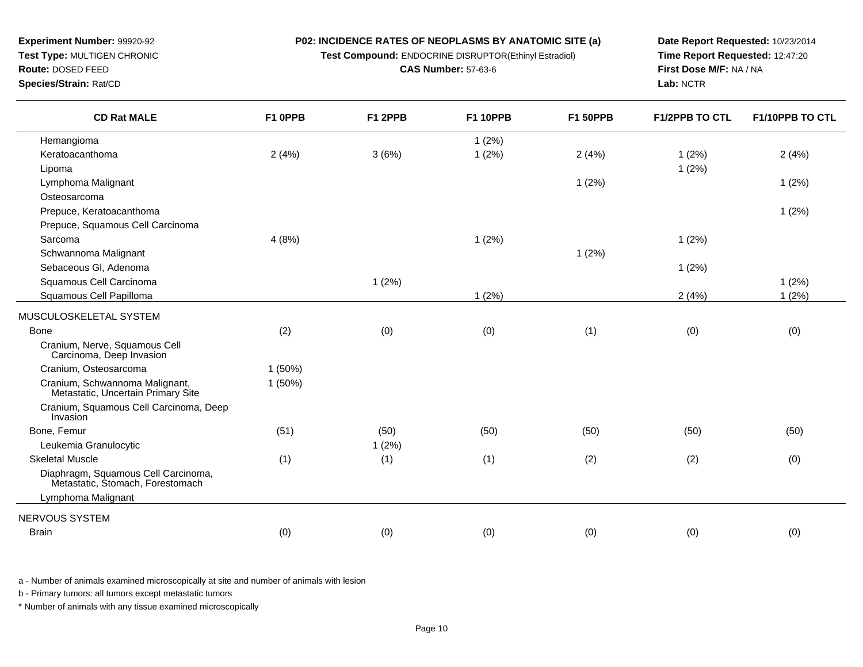**Test Compound:** ENDOCRINE DISRUPTOR(Ethinyl Estradiol)

**CAS Number:** 57-63-6

**Date Report Requested:** 10/23/2014**Time Report Requested:** 12:47:20**First Dose M/F:** NA / NA**Lab:** NCTR

| <b>CD Rat MALE</b>                                                      | F1 0PPB   | F1 2PPB | <b>F1 10PPB</b> | <b>F1 50PPB</b> | <b>F1/2PPB TO CTL</b> | F1/10PPB TO CTL |
|-------------------------------------------------------------------------|-----------|---------|-----------------|-----------------|-----------------------|-----------------|
| Hemangioma                                                              |           |         | 1(2%)           |                 |                       |                 |
| Keratoacanthoma                                                         | 2(4%)     | 3(6%)   | 1(2%)           | 2(4%)           | 1(2%)                 | 2(4%)           |
| Lipoma                                                                  |           |         |                 |                 | 1(2%)                 |                 |
| Lymphoma Malignant                                                      |           |         |                 | 1(2%)           |                       | 1(2%)           |
| Osteosarcoma                                                            |           |         |                 |                 |                       |                 |
| Prepuce, Keratoacanthoma                                                |           |         |                 |                 |                       | 1(2%)           |
| Prepuce, Squamous Cell Carcinoma                                        |           |         |                 |                 |                       |                 |
| Sarcoma                                                                 | 4(8%)     |         | 1(2%)           |                 | 1(2%)                 |                 |
| Schwannoma Malignant                                                    |           |         |                 | 1(2%)           |                       |                 |
| Sebaceous Gl, Adenoma                                                   |           |         |                 |                 | 1(2%)                 |                 |
| Squamous Cell Carcinoma                                                 |           | 1(2%)   |                 |                 |                       | 1(2%)           |
| Squamous Cell Papilloma                                                 |           |         | 1(2%)           |                 | 2(4%)                 | 1(2%)           |
| MUSCULOSKELETAL SYSTEM                                                  |           |         |                 |                 |                       |                 |
| <b>Bone</b>                                                             | (2)       | (0)     | (0)             | (1)             | (0)                   | (0)             |
| Cranium, Nerve, Squamous Cell<br>Carcinoma, Deep Invasion               |           |         |                 |                 |                       |                 |
| Cranium, Osteosarcoma                                                   | $1(50\%)$ |         |                 |                 |                       |                 |
| Cranium, Schwannoma Malignant,<br>Metastatic, Uncertain Primary Site    | $1(50\%)$ |         |                 |                 |                       |                 |
| Cranium, Squamous Cell Carcinoma, Deep<br>Invasion                      |           |         |                 |                 |                       |                 |
| Bone, Femur                                                             | (51)      | (50)    | (50)            | (50)            | (50)                  | (50)            |
| Leukemia Granulocytic                                                   |           | 1(2%)   |                 |                 |                       |                 |
| <b>Skeletal Muscle</b>                                                  | (1)       | (1)     | (1)             | (2)             | (2)                   | (0)             |
| Diaphragm, Squamous Cell Carcinoma,<br>Metastatic, Stomach, Forestomach |           |         |                 |                 |                       |                 |
| Lymphoma Malignant                                                      |           |         |                 |                 |                       |                 |
| NERVOUS SYSTEM                                                          |           |         |                 |                 |                       |                 |
| <b>Brain</b>                                                            | (0)       | (0)     | (0)             | (0)             | (0)                   | (0)             |

a - Number of animals examined microscopically at site and number of animals with lesion

b - Primary tumors: all tumors except metastatic tumors

\* Number of animals with any tissue examined microscopically

**Experiment Number:** 99920-92**Test Type:** MULTIGEN CHRONIC

**Route:** DOSED FEED

**Species/Strain:** Rat/CD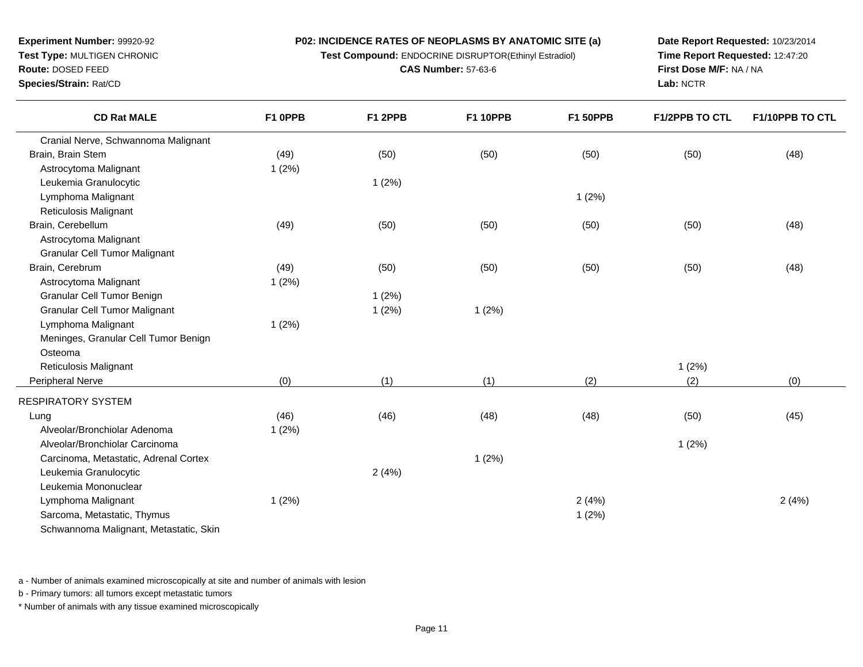**Test Compound:** ENDOCRINE DISRUPTOR(Ethinyl Estradiol)

**CAS Number:** 57-63-6

**Date Report Requested:** 10/23/2014**Time Report Requested:** 12:47:20**First Dose M/F:** NA / NA**Lab:** NCTR

| <b>CD Rat MALE</b>                    | F1 OPPB | F1 2PPB | <b>F1 10PPB</b> | <b>F1 50PPB</b> | <b>F1/2PPB TO CTL</b> | <b>F1/10PPB TO CTL</b> |
|---------------------------------------|---------|---------|-----------------|-----------------|-----------------------|------------------------|
| Cranial Nerve, Schwannoma Malignant   |         |         |                 |                 |                       |                        |
| Brain, Brain Stem                     | (49)    | (50)    | (50)            | (50)            | (50)                  | (48)                   |
| Astrocytoma Malignant                 | 1(2%)   |         |                 |                 |                       |                        |
| Leukemia Granulocytic                 |         | 1(2%)   |                 |                 |                       |                        |
| Lymphoma Malignant                    |         |         |                 | 1(2%)           |                       |                        |
| Reticulosis Malignant                 |         |         |                 |                 |                       |                        |
| Brain, Cerebellum                     | (49)    | (50)    | (50)            | (50)            | (50)                  | (48)                   |
| Astrocytoma Malignant                 |         |         |                 |                 |                       |                        |
| Granular Cell Tumor Malignant         |         |         |                 |                 |                       |                        |
| Brain, Cerebrum                       | (49)    | (50)    | (50)            | (50)            | (50)                  | (48)                   |
| Astrocytoma Malignant                 | 1(2%)   |         |                 |                 |                       |                        |
| Granular Cell Tumor Benign            |         | 1(2%)   |                 |                 |                       |                        |
| Granular Cell Tumor Malignant         |         | 1(2%)   | 1(2%)           |                 |                       |                        |
| Lymphoma Malignant                    | 1(2%)   |         |                 |                 |                       |                        |
| Meninges, Granular Cell Tumor Benign  |         |         |                 |                 |                       |                        |
| Osteoma                               |         |         |                 |                 |                       |                        |
| Reticulosis Malignant                 |         |         |                 |                 | 1(2%)                 |                        |
| Peripheral Nerve                      | (0)     | (1)     | (1)             | (2)             | (2)                   | (0)                    |
| RESPIRATORY SYSTEM                    |         |         |                 |                 |                       |                        |
| Lung                                  | (46)    | (46)    | (48)            | (48)            | (50)                  | (45)                   |
| Alveolar/Bronchiolar Adenoma          | 1(2%)   |         |                 |                 |                       |                        |
| Alveolar/Bronchiolar Carcinoma        |         |         |                 |                 | 1(2%)                 |                        |
| Carcinoma, Metastatic, Adrenal Cortex |         |         | 1(2%)           |                 |                       |                        |
|                                       |         |         |                 |                 |                       |                        |

a - Number of animals examined microscopically at site and number of animals with lesion

 $2(4%)$ 

1 (2%)

b - Primary tumors: all tumors except metastatic tumors

Schwannoma Malignant, Metastatic, Skin

Leukemia Granulocytic

Leukemia MononuclearLymphoma Malignant

Sarcoma, Metastatic, Thymus

**Experiment Number:** 99920-92**Test Type:** MULTIGEN CHRONIC

**Route:** DOSED FEED**Species/Strain:** Rat/CD

\* Number of animals with any tissue examined microscopically

s and  $1(2\%)$ 

) and  $2(4%)$  2 (4%) and  $2(4%)$  2 (4%)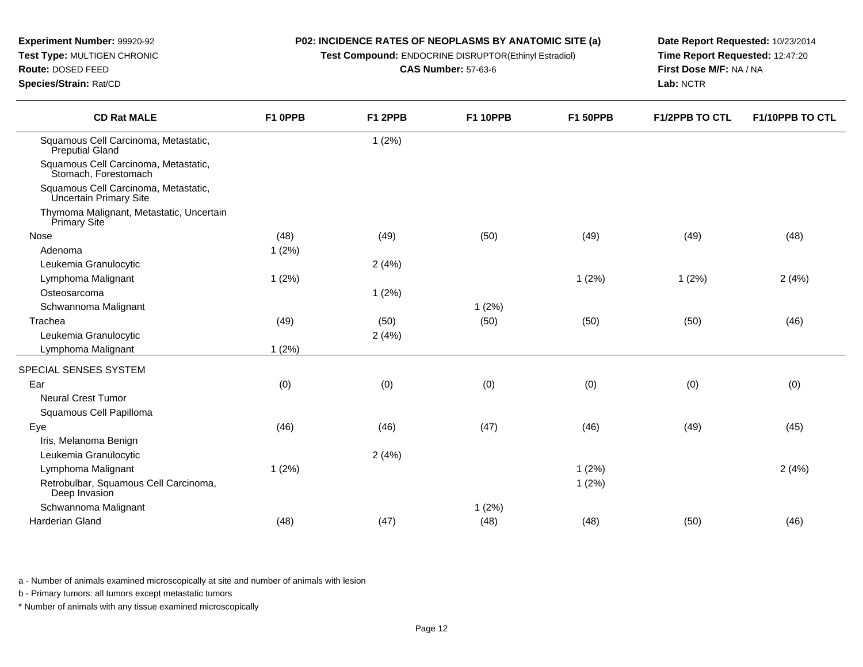# **Experiment Number:** 99920-92

**Test Type:** MULTIGEN CHRONIC

### **Route:** DOSED FEED

**Species/Strain:** Rat/CD

#### **P02: INCIDENCE RATES OF NEOPLASMS BY ANATOMIC SITE (a)**

**Test Compound:** ENDOCRINE DISRUPTOR(Ethinyl Estradiol)

**CAS Number:** 57-63-6

**Date Report Requested:** 10/23/2014**Time Report Requested:** 12:47:20**First Dose M/F:** NA / NA**Lab:** NCTR

| <b>CD Rat MALE</b>                                             | F1 OPPB | F1 2PPB | <b>F1 10PPB</b> | <b>F1 50PPB</b> | <b>F1/2PPB TO CTL</b> | F1/10PPB TO CTL |
|----------------------------------------------------------------|---------|---------|-----------------|-----------------|-----------------------|-----------------|
| Squamous Cell Carcinoma, Metastatic,<br>Preputial Gland        |         | 1(2%)   |                 |                 |                       |                 |
| Squamous Cell Carcinoma, Metastatic,<br>Stomach, Forestomach   |         |         |                 |                 |                       |                 |
| Squamous Cell Carcinoma, Metastatic,<br>Uncertain Primary Site |         |         |                 |                 |                       |                 |
| Thymoma Malignant, Metastatic, Uncertain<br>Primary Site       |         |         |                 |                 |                       |                 |
| Nose                                                           | (48)    | (49)    | (50)            | (49)            | (49)                  | (48)            |
| Adenoma                                                        | 1(2%)   |         |                 |                 |                       |                 |
| Leukemia Granulocytic                                          |         | 2(4%)   |                 |                 |                       |                 |
| Lymphoma Malignant                                             | 1(2%)   |         |                 | 1(2%)           | 1(2%)                 | 2(4%)           |
| Osteosarcoma                                                   |         | 1(2%)   |                 |                 |                       |                 |
| Schwannoma Malignant                                           |         |         | 1(2%)           |                 |                       |                 |
| Trachea                                                        | (49)    | (50)    | (50)            | (50)            | (50)                  | (46)            |
| Leukemia Granulocytic                                          |         | 2(4%)   |                 |                 |                       |                 |
| Lymphoma Malignant                                             | 1(2%)   |         |                 |                 |                       |                 |
| SPECIAL SENSES SYSTEM                                          |         |         |                 |                 |                       |                 |
| Ear                                                            | (0)     | (0)     | (0)             | (0)             | (0)                   | (0)             |
| <b>Neural Crest Tumor</b>                                      |         |         |                 |                 |                       |                 |
| Squamous Cell Papilloma                                        |         |         |                 |                 |                       |                 |
| Eye                                                            | (46)    | (46)    | (47)            | (46)            | (49)                  | (45)            |
| Iris, Melanoma Benign                                          |         |         |                 |                 |                       |                 |
| Leukemia Granulocytic                                          |         | 2(4%)   |                 |                 |                       |                 |
| Lymphoma Malignant                                             | 1(2%)   |         |                 | 1(2%)           |                       | 2(4%)           |
| Retrobulbar, Squamous Cell Carcinoma,<br>Deep Invasion         |         |         |                 | 1(2%)           |                       |                 |
| Schwannoma Malignant                                           |         |         | 1(2%)           |                 |                       |                 |
| Harderian Gland                                                | (48)    | (47)    | (48)            | (48)            | (50)                  | (46)            |

a - Number of animals examined microscopically at site and number of animals with lesion

b - Primary tumors: all tumors except metastatic tumors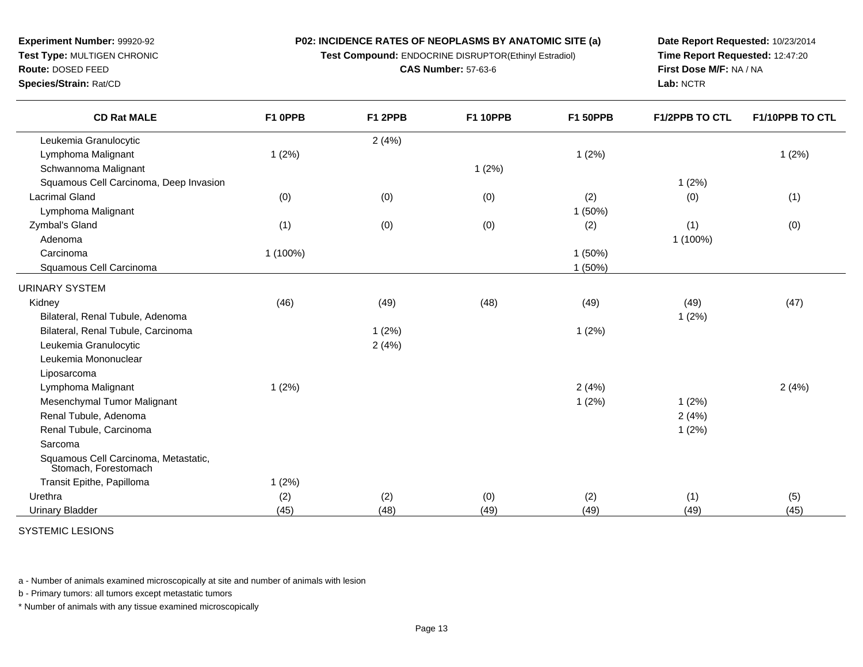**P02: INCIDENCE RATES OF NEOPLASMS BY ANATOMIC SITE (a)Test Compound:** ENDOCRINE DISRUPTOR(Ethinyl Estradiol)

**CAS Number:** 57-63-6

**Experiment Number:** 99920-92**Test Type:** MULTIGEN CHRONIC

### **Route:** DOSED FEED

**Species/Strain:** Rat/CD

**Date Report Requested:** 10/23/2014**Time Report Requested:** 12:47:20**First Dose M/F:** NA / NA**Lab:** NCTR

| <b>CD Rat MALE</b>                                           | F1 OPPB  | F1 2PPB | <b>F1 10PPB</b> | <b>F1 50PPB</b> | F1/2PPB TO CTL | F1/10PPB TO CTL |
|--------------------------------------------------------------|----------|---------|-----------------|-----------------|----------------|-----------------|
| Leukemia Granulocytic                                        |          | 2(4%)   |                 |                 |                |                 |
| Lymphoma Malignant                                           | 1(2%)    |         |                 | 1(2%)           |                | 1(2%)           |
| Schwannoma Malignant                                         |          |         | 1(2%)           |                 |                |                 |
| Squamous Cell Carcinoma, Deep Invasion                       |          |         |                 |                 | 1(2%)          |                 |
| Lacrimal Gland                                               | (0)      | (0)     | (0)             | (2)             | (0)            | (1)             |
| Lymphoma Malignant                                           |          |         |                 | 1(50%)          |                |                 |
| Zymbal's Gland                                               | (1)      | (0)     | (0)             | (2)             | (1)            | (0)             |
| Adenoma                                                      |          |         |                 |                 | 1 (100%)       |                 |
| Carcinoma                                                    | 1 (100%) |         |                 | 1(50%)          |                |                 |
| Squamous Cell Carcinoma                                      |          |         |                 | 1(50%)          |                |                 |
| <b>URINARY SYSTEM</b>                                        |          |         |                 |                 |                |                 |
| Kidney                                                       | (46)     | (49)    | (48)            | (49)            | (49)           | (47)            |
| Bilateral, Renal Tubule, Adenoma                             |          |         |                 |                 | 1(2%)          |                 |
| Bilateral, Renal Tubule, Carcinoma                           |          | 1(2%)   |                 | 1(2%)           |                |                 |
| Leukemia Granulocytic                                        |          | 2(4%)   |                 |                 |                |                 |
| Leukemia Mononuclear                                         |          |         |                 |                 |                |                 |
| Liposarcoma                                                  |          |         |                 |                 |                |                 |
| Lymphoma Malignant                                           | 1(2%)    |         |                 | 2(4%)           |                | 2(4%)           |
| Mesenchymal Tumor Malignant                                  |          |         |                 | 1(2%)           | 1(2%)          |                 |
| Renal Tubule, Adenoma                                        |          |         |                 |                 | 2(4%)          |                 |
| Renal Tubule, Carcinoma                                      |          |         |                 |                 | 1(2%)          |                 |
| Sarcoma                                                      |          |         |                 |                 |                |                 |
| Squamous Cell Carcinoma, Metastatic,<br>Stomach, Forestomach |          |         |                 |                 |                |                 |
| Transit Epithe, Papilloma                                    | 1(2%)    |         |                 |                 |                |                 |
| Urethra                                                      | (2)      | (2)     | (0)             | (2)             | (1)            | (5)             |
| <b>Urinary Bladder</b>                                       | (45)     | (48)    | (49)            | (49)            | (49)           | (45)            |

SYSTEMIC LESIONS

a - Number of animals examined microscopically at site and number of animals with lesion

b - Primary tumors: all tumors except metastatic tumors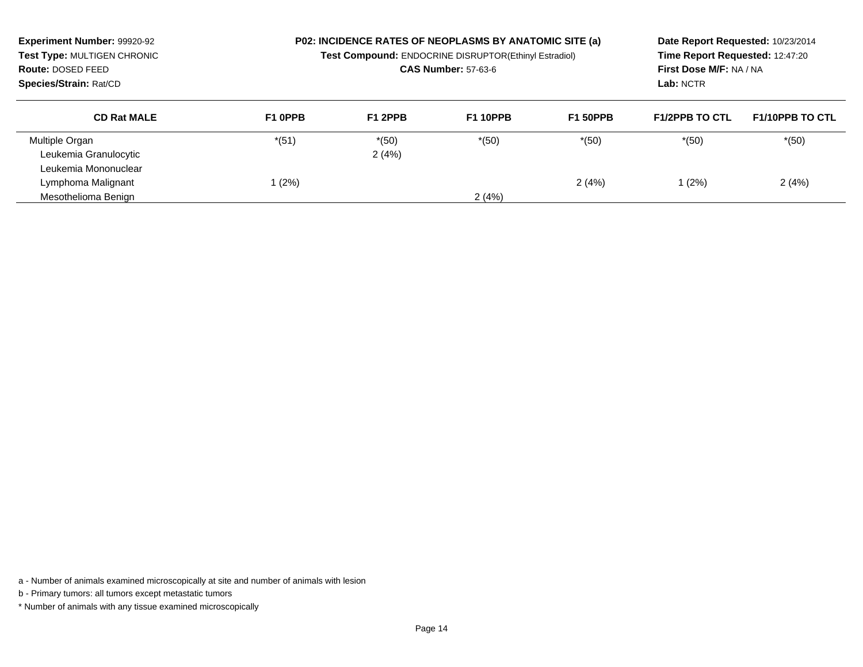| <b>Experiment Number: 99920-92</b><br>Test Type: MULTIGEN CHRONIC<br>Route: DOSED FEED<br>Species/Strain: Rat/CD | P02: INCIDENCE RATES OF NEOPLASMS BY ANATOMIC SITE (a)<br>Test Compound: ENDOCRINE DISRUPTOR(Ethinyl Estradiol)<br><b>CAS Number: 57-63-6</b> |         |                 |                 | Date Report Requested: 10/23/2014<br>Time Report Requested: 12:47:20<br>First Dose M/F: NA / NA<br>Lab: NCTR |                        |
|------------------------------------------------------------------------------------------------------------------|-----------------------------------------------------------------------------------------------------------------------------------------------|---------|-----------------|-----------------|--------------------------------------------------------------------------------------------------------------|------------------------|
| <b>CD Rat MALE</b>                                                                                               | F1 OPPB                                                                                                                                       | F1 2PPB | <b>F1 10PPB</b> | <b>F1 50PPB</b> | <b>F1/2PPB TO CTL</b>                                                                                        | <b>F1/10PPB TO CTL</b> |
| Multiple Organ                                                                                                   | $*(51)$                                                                                                                                       | $*(50)$ | $*(50)$         | $*(50)$         | $*(50)$                                                                                                      | $*(50)$                |
| Leukemia Granulocytic                                                                                            |                                                                                                                                               | 2(4%)   |                 |                 |                                                                                                              |                        |
| Leukemia Mononuclear                                                                                             |                                                                                                                                               |         |                 |                 |                                                                                                              |                        |
| Lymphoma Malignant                                                                                               | (2%)                                                                                                                                          |         |                 | 2(4%)           | 1(2%)                                                                                                        | 2(4%)                  |
| Mesothelioma Benign                                                                                              |                                                                                                                                               |         | 2(4%)           |                 |                                                                                                              |                        |

a - Number of animals examined microscopically at site and number of animals with lesion

b - Primary tumors: all tumors except metastatic tumors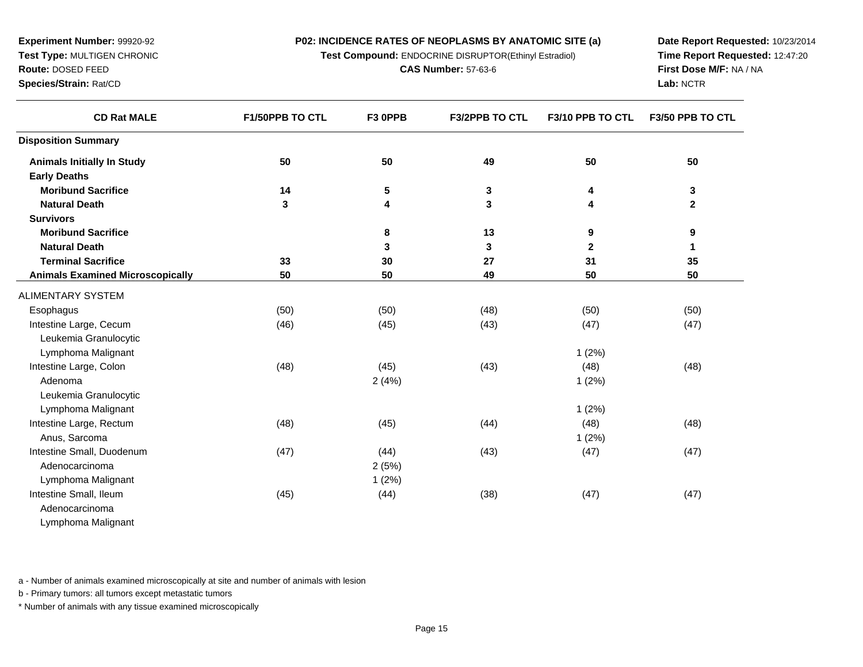**Test Compound:** ENDOCRINE DISRUPTOR(Ethinyl Estradiol)

**CAS Number:** 57-63-6

**Date Report Requested:** 10/23/2014**Time Report Requested:** 12:47:20**First Dose M/F:** NA / NA**Lab:** NCTR

**F3/2PPB TO CTL F3/10 PPB TO CTL F3/50 PPB TO CTL**

| <b>Animals Initially In Study</b>       | 50   | 50    | 49   | 50           | 50           |
|-----------------------------------------|------|-------|------|--------------|--------------|
| <b>Early Deaths</b>                     |      |       |      |              |              |
| <b>Moribund Sacrifice</b>               | 14   | 5     | 3    | 4            | 3            |
| <b>Natural Death</b>                    | 3    | 4     | 3    | 4            | $\mathbf{2}$ |
| <b>Survivors</b>                        |      |       |      |              |              |
| <b>Moribund Sacrifice</b>               |      | 8     | 13   | 9            | 9            |
| <b>Natural Death</b>                    |      | 3     | 3    | $\mathbf{2}$ |              |
| <b>Terminal Sacrifice</b>               | 33   | 30    | 27   | 31           | 35           |
| <b>Animals Examined Microscopically</b> | 50   | 50    | 49   | 50           | 50           |
| <b>ALIMENTARY SYSTEM</b>                |      |       |      |              |              |
| Esophagus                               | (50) | (50)  | (48) | (50)         | (50)         |
| Intestine Large, Cecum                  | (46) | (45)  | (43) | (47)         | (47)         |
| Leukemia Granulocytic                   |      |       |      |              |              |
| Lymphoma Malignant                      |      |       |      | 1(2%)        |              |
| Intestine Large, Colon                  | (48) | (45)  | (43) | (48)         | (48)         |
| Adenoma                                 |      | 2(4%) |      | 1(2%)        |              |
| Leukemia Granulocytic                   |      |       |      |              |              |

a  $2(5%)$ 

**F1/50PPB TO CTL F3 0PPB**

t the contract of  $1(2\%)$ 

1 (2%)

a and  $1(2\%)$ 

m (48) (48) (45) (45) (44) (48) (48) (48)

m (45) (46) (44) (38) (47) (47) (47)

m (47) (47) (44) (43) (47) (47) (47)

AdenocarcinomaLymphoma Malignant

Lymphoma Malignant

Intestine Small, Duodenum

Lymphoma Malignant

Intestine Large, Rectum

Anus, Sarcoma

Adenocarcinoma

Intestine Small, Ileum

**Experiment Number:** 99920-92**Test Type:** MULTIGEN CHRONIC

**CD Rat MALE**

**Route:** DOSED FEED**Species/Strain:** Rat/CD

**Disposition Summary**

a - Number of animals examined microscopically at site and number of animals with lesion

b - Primary tumors: all tumors except metastatic tumors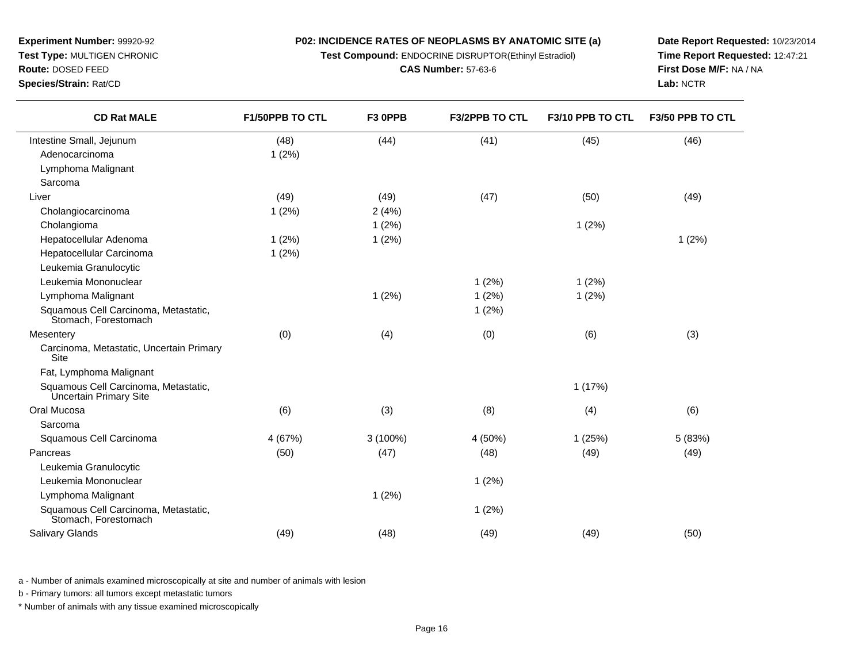**Test Compound:** ENDOCRINE DISRUPTOR(Ethinyl Estradiol)

**CAS Number:** 57-63-6

**Date Report Requested:** 10/23/2014**Time Report Requested:** 12:47:21**First Dose M/F:** NA / NA**Lab:** NCTR

| <b>CD Rat MALE</b>                                             | <b>F1/50PPB TO CTL</b> | F3 OPPB    | <b>F3/2PPB TO CTL</b> | F3/10 PPB TO CTL | F3/50 PPB TO CTL |
|----------------------------------------------------------------|------------------------|------------|-----------------------|------------------|------------------|
| Intestine Small, Jejunum                                       | (48)                   | (44)       | (41)                  | (45)             | (46)             |
| Adenocarcinoma                                                 | 1(2%)                  |            |                       |                  |                  |
| Lymphoma Malignant                                             |                        |            |                       |                  |                  |
| Sarcoma                                                        |                        |            |                       |                  |                  |
| Liver                                                          | (49)                   | (49)       | (47)                  | (50)             | (49)             |
| Cholangiocarcinoma                                             | 1(2%)                  | 2(4%)      |                       |                  |                  |
| Cholangioma                                                    |                        | 1(2%)      |                       | 1(2%)            |                  |
| Hepatocellular Adenoma                                         | 1(2%)                  | 1(2%)      |                       |                  | 1(2%)            |
| Hepatocellular Carcinoma                                       | 1(2%)                  |            |                       |                  |                  |
| Leukemia Granulocytic                                          |                        |            |                       |                  |                  |
| Leukemia Mononuclear                                           |                        |            | 1(2%)                 | 1(2%)            |                  |
| Lymphoma Malignant                                             |                        | 1(2%)      | 1(2%)                 | 1(2%)            |                  |
| Squamous Cell Carcinoma, Metastatic,<br>Stomach, Forestomach   |                        |            | 1(2%)                 |                  |                  |
| Mesentery                                                      | (0)                    | (4)        | (0)                   | (6)              | (3)              |
| Carcinoma, Metastatic, Uncertain Primary<br>Site               |                        |            |                       |                  |                  |
| Fat, Lymphoma Malignant                                        |                        |            |                       |                  |                  |
| Squamous Cell Carcinoma, Metastatic,<br>Uncertain Primary Site |                        |            |                       | 1(17%)           |                  |
| Oral Mucosa                                                    | (6)                    | (3)        | (8)                   | (4)              | (6)              |
| Sarcoma                                                        |                        |            |                       |                  |                  |
| Squamous Cell Carcinoma                                        | 4 (67%)                | $3(100\%)$ | 4 (50%)               | 1(25%)           | 5 (83%)          |
| Pancreas                                                       | (50)                   | (47)       | (48)                  | (49)             | (49)             |
| Leukemia Granulocytic                                          |                        |            |                       |                  |                  |
| Leukemia Mononuclear                                           |                        |            | 1(2%)                 |                  |                  |
| Lymphoma Malignant                                             |                        | 1(2%)      |                       |                  |                  |
| Squamous Cell Carcinoma, Metastatic,<br>Stomach, Forestomach   |                        |            | 1(2%)                 |                  |                  |
| Salivary Glands                                                | (49)                   | (48)       | (49)                  | (49)             | (50)             |

a - Number of animals examined microscopically at site and number of animals with lesion

b - Primary tumors: all tumors except metastatic tumors

**Experiment Number:** 99920-92**Test Type:** MULTIGEN CHRONIC

**Route:** DOSED FEED**Species/Strain:** Rat/CD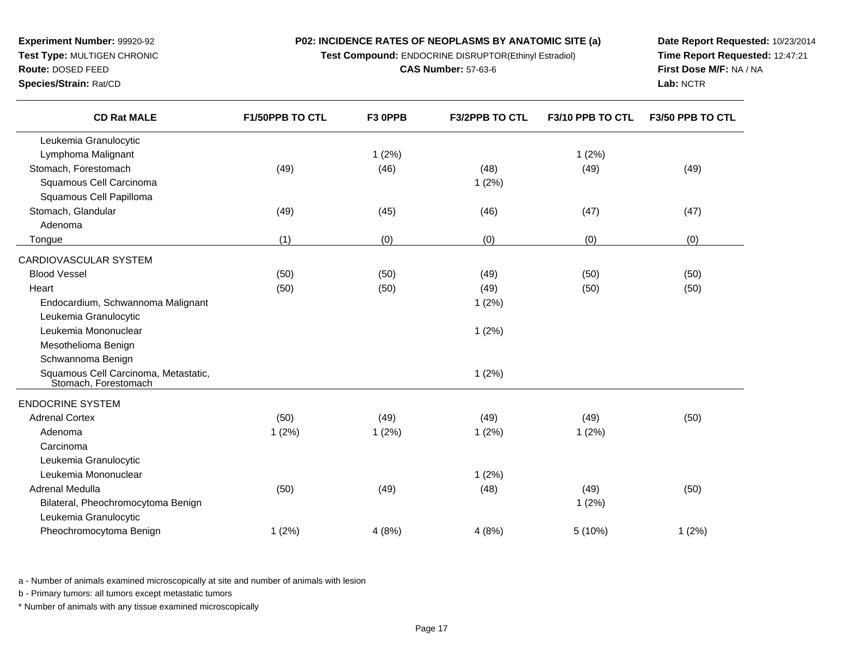**Test Compound:** ENDOCRINE DISRUPTOR(Ethinyl Estradiol)

**CAS Number:** 57-63-6

**Date Report Requested:** 10/23/2014**Time Report Requested:** 12:47:21**First Dose M/F:** NA / NA**Lab:** NCTR

| <b>CD Rat MALE</b>                                           | F1/50PPB TO CTL | F3 OPPB | <b>F3/2PPB TO CTL</b> | F3/10 PPB TO CTL | F3/50 PPB TO CTL |
|--------------------------------------------------------------|-----------------|---------|-----------------------|------------------|------------------|
| Leukemia Granulocytic                                        |                 |         |                       |                  |                  |
| Lymphoma Malignant                                           |                 | 1(2%)   |                       | 1(2%)            |                  |
| Stomach, Forestomach                                         | (49)            | (46)    | (48)                  | (49)             | (49)             |
| Squamous Cell Carcinoma                                      |                 |         | 1(2%)                 |                  |                  |
| Squamous Cell Papilloma                                      |                 |         |                       |                  |                  |
| Stomach, Glandular                                           | (49)            | (45)    | (46)                  | (47)             | (47)             |
| Adenoma                                                      |                 |         |                       |                  |                  |
| Tongue                                                       | (1)             | (0)     | (0)                   | (0)              | (0)              |
| CARDIOVASCULAR SYSTEM                                        |                 |         |                       |                  |                  |
| <b>Blood Vessel</b>                                          | (50)            | (50)    | (49)                  | (50)             | (50)             |
| Heart                                                        | (50)            | (50)    | (49)                  | (50)             | (50)             |
| Endocardium, Schwannoma Malignant                            |                 |         | 1(2%)                 |                  |                  |
| Leukemia Granulocytic                                        |                 |         |                       |                  |                  |
| Leukemia Mononuclear                                         |                 |         | 1(2%)                 |                  |                  |
| Mesothelioma Benign                                          |                 |         |                       |                  |                  |
| Schwannoma Benign                                            |                 |         |                       |                  |                  |
| Squamous Cell Carcinoma, Metastatic,<br>Stomach, Forestomach |                 |         | 1(2%)                 |                  |                  |
| <b>ENDOCRINE SYSTEM</b>                                      |                 |         |                       |                  |                  |
| <b>Adrenal Cortex</b>                                        | (50)            | (49)    | (49)                  | (49)             | (50)             |
| Adenoma                                                      | 1(2%)           | 1(2%)   | 1(2%)                 | 1(2%)            |                  |
| Carcinoma                                                    |                 |         |                       |                  |                  |
| Leukemia Granulocytic                                        |                 |         |                       |                  |                  |
| Leukemia Mononuclear                                         |                 |         | 1(2%)                 |                  |                  |
| Adrenal Medulla                                              | (50)            | (49)    | (48)                  | (49)             | (50)             |
| Bilateral, Pheochromocytoma Benign                           |                 |         |                       | 1(2%)            |                  |
| Leukemia Granulocytic                                        |                 |         |                       |                  |                  |
| Pheochromocytoma Benign                                      | 1(2%)           | 4(8%)   | 4(8%)                 | 5(10%)           | 1(2%)            |
|                                                              |                 |         |                       |                  |                  |

a - Number of animals examined microscopically at site and number of animals with lesion

b - Primary tumors: all tumors except metastatic tumors

\* Number of animals with any tissue examined microscopically

**Experiment Number:** 99920-92 **Test Type:** MULTIGEN CHRONIC**Route:** DOSED FEED**Species/Strain:** Rat/CD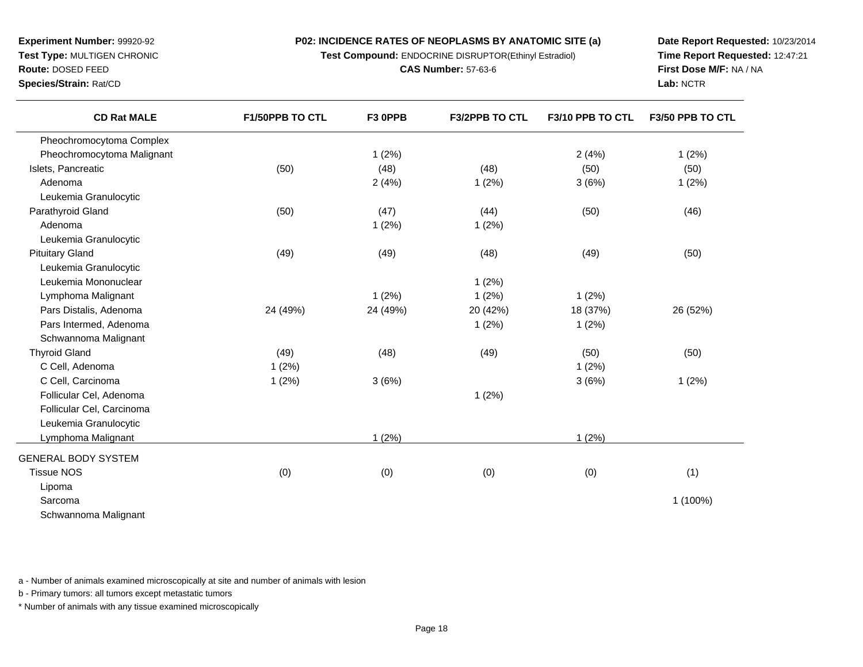**Test Compound:** ENDOCRINE DISRUPTOR(Ethinyl Estradiol)

**CAS Number:** 57-63-6

**Date Report Requested:** 10/23/2014**Time Report Requested:** 12:47:21**First Dose M/F:** NA / NA**Lab:** NCTR

| <b>CD Rat MALE</b>         | F1/50PPB TO CTL | F3 OPPB  | F3/2PPB TO CTL | F3/10 PPB TO CTL | F3/50 PPB TO CTL |
|----------------------------|-----------------|----------|----------------|------------------|------------------|
| Pheochromocytoma Complex   |                 |          |                |                  |                  |
| Pheochromocytoma Malignant |                 | 1(2%)    |                | 2(4%)            | 1(2%)            |
| Islets, Pancreatic         | (50)            | (48)     | (48)           | (50)             | (50)             |
| Adenoma                    |                 | 2(4%)    | 1(2%)          | 3(6%)            | 1(2%)            |
| Leukemia Granulocytic      |                 |          |                |                  |                  |
| Parathyroid Gland          | (50)            | (47)     | (44)           | (50)             | (46)             |
| Adenoma                    |                 | 1(2%)    | 1(2%)          |                  |                  |
| Leukemia Granulocytic      |                 |          |                |                  |                  |
| <b>Pituitary Gland</b>     | (49)            | (49)     | (48)           | (49)             | (50)             |
| Leukemia Granulocytic      |                 |          |                |                  |                  |
| Leukemia Mononuclear       |                 |          | 1(2%)          |                  |                  |
| Lymphoma Malignant         |                 | 1(2%)    | 1(2%)          | 1(2%)            |                  |
| Pars Distalis, Adenoma     | 24 (49%)        | 24 (49%) | 20 (42%)       | 18 (37%)         | 26 (52%)         |
| Pars Intermed, Adenoma     |                 |          | 1(2%)          | 1(2%)            |                  |
| Schwannoma Malignant       |                 |          |                |                  |                  |
| <b>Thyroid Gland</b>       | (49)            | (48)     | (49)           | (50)             | (50)             |
| C Cell, Adenoma            | 1(2%)           |          |                | 1(2%)            |                  |
| C Cell, Carcinoma          | 1(2%)           | 3(6%)    |                | 3(6%)            | 1(2%)            |
| Follicular Cel, Adenoma    |                 |          | 1(2%)          |                  |                  |
| Follicular Cel, Carcinoma  |                 |          |                |                  |                  |
| Leukemia Granulocytic      |                 |          |                |                  |                  |
| Lymphoma Malignant         |                 | 1(2%)    |                | 1(2%)            |                  |
| <b>GENERAL BODY SYSTEM</b> |                 |          |                |                  |                  |
| <b>Tissue NOS</b>          | (0)             | (0)      | (0)            | (0)              | (1)              |
| Lipoma                     |                 |          |                |                  |                  |
| Sarcoma                    |                 |          |                |                  | 1 (100%)         |
| Schwannoma Malignant       |                 |          |                |                  |                  |
|                            |                 |          |                |                  |                  |

a - Number of animals examined microscopically at site and number of animals with lesion

b - Primary tumors: all tumors except metastatic tumors

**Experiment Number:** 99920-92**Test Type:** MULTIGEN CHRONIC

**Route:** DOSED FEED**Species/Strain:** Rat/CD

 $\overline{\phantom{0}}$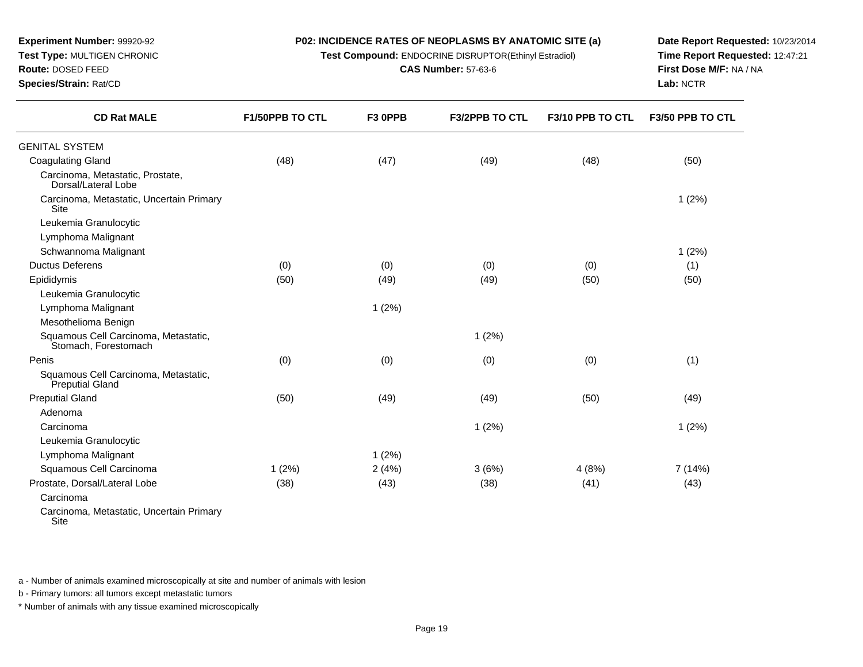**Test Compound:** ENDOCRINE DISRUPTOR(Ethinyl Estradiol)

**CAS Number:** 57-63-6

**Date Report Requested:** 10/23/2014**Time Report Requested:** 12:47:21**First Dose M/F:** NA / NA**Lab:** NCTR

| <b>CD Rat MALE</b>                                           | <b>F1/50PPB TO CTL</b> | F3 OPPB | <b>F3/2PPB TO CTL</b> | F3/10 PPB TO CTL | F3/50 PPB TO CTL |
|--------------------------------------------------------------|------------------------|---------|-----------------------|------------------|------------------|
| <b>GENITAL SYSTEM</b>                                        |                        |         |                       |                  |                  |
| <b>Coagulating Gland</b>                                     | (48)                   | (47)    | (49)                  | (48)             | (50)             |
| Carcinoma, Metastatic, Prostate,<br>Dorsal/Lateral Lobe      |                        |         |                       |                  |                  |
| Carcinoma, Metastatic, Uncertain Primary<br>Site             |                        |         |                       |                  | 1(2%)            |
| Leukemia Granulocytic                                        |                        |         |                       |                  |                  |
| Lymphoma Malignant                                           |                        |         |                       |                  |                  |
| Schwannoma Malignant                                         |                        |         |                       |                  | 1(2%)            |
| <b>Ductus Deferens</b>                                       | (0)                    | (0)     | (0)                   | (0)              | (1)              |
| Epididymis                                                   | (50)                   | (49)    | (49)                  | (50)             | (50)             |
| Leukemia Granulocytic                                        |                        |         |                       |                  |                  |
| Lymphoma Malignant                                           |                        | 1(2%)   |                       |                  |                  |
| Mesothelioma Benign                                          |                        |         |                       |                  |                  |
| Squamous Cell Carcinoma, Metastatic,<br>Stomach, Forestomach |                        |         | 1(2%)                 |                  |                  |
| Penis                                                        | (0)                    | (0)     | (0)                   | (0)              | (1)              |
| Squamous Cell Carcinoma, Metastatic,<br>Preputial Gland      |                        |         |                       |                  |                  |
| <b>Preputial Gland</b>                                       | (50)                   | (49)    | (49)                  | (50)             | (49)             |
| Adenoma                                                      |                        |         |                       |                  |                  |
| Carcinoma                                                    |                        |         | 1(2%)                 |                  | 1(2%)            |
| Leukemia Granulocytic                                        |                        |         |                       |                  |                  |
| Lymphoma Malignant                                           |                        | 1(2%)   |                       |                  |                  |
| Squamous Cell Carcinoma                                      | 1(2%)                  | 2(4%)   | 3(6%)                 | 4(8%)            | 7 (14%)          |
| Prostate, Dorsal/Lateral Lobe                                | (38)                   | (43)    | (38)                  | (41)             | (43)             |
| Carcinoma                                                    |                        |         |                       |                  |                  |
| Carcinoma, Metastatic, Uncertain Primary                     |                        |         |                       |                  |                  |

Site

**Experiment Number:** 99920-92**Test Type:** MULTIGEN CHRONIC

**Route:** DOSED FEED**Species/Strain:** Rat/CD

a - Number of animals examined microscopically at site and number of animals with lesion

b - Primary tumors: all tumors except metastatic tumors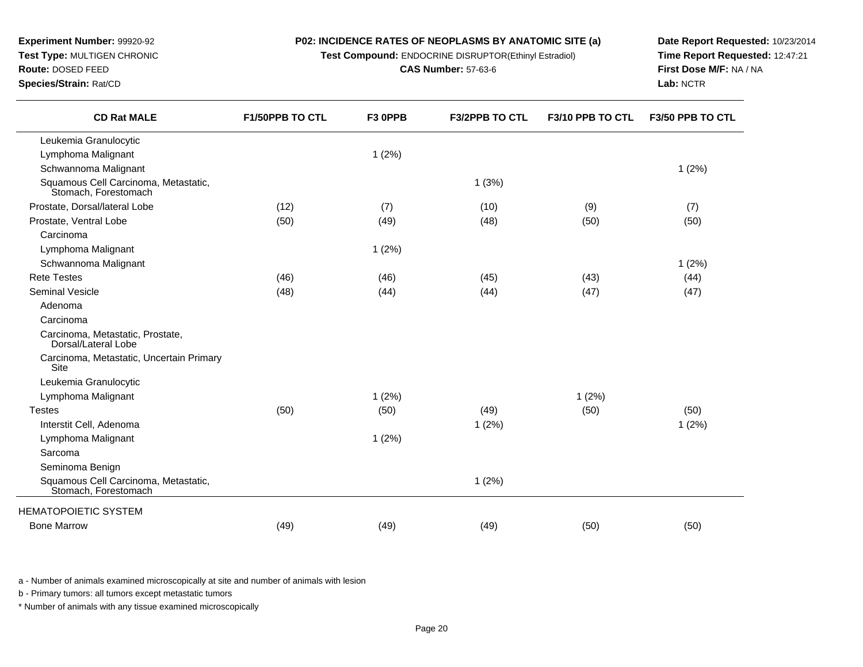**Test Compound:** ENDOCRINE DISRUPTOR(Ethinyl Estradiol)

**CAS Number:** 57-63-6

**Date Report Requested:** 10/23/2014**Time Report Requested:** 12:47:21**First Dose M/F:** NA / NA**Lab:** NCTR

**F3/2PPB TO CTL F3/10 PPB TO CTL F3/50 PPB TO CTL**

| <b>CD Rat MALE</b>                                           | <b>F1/50PPB TO CTL</b> | F <sub>3</sub> OPPB |
|--------------------------------------------------------------|------------------------|---------------------|
| Leukemia Granulocytic                                        |                        |                     |
| Lymphoma Malignant                                           |                        | $1(2\%)$            |
| Schwannoma Malignant                                         |                        |                     |
| Squamous Cell Carcinoma, Metastatic,<br>Stomach, Forestomach |                        |                     |
| ostate, Dorsal/lateral Lobe                                  | (12)                   | (7)                 |
| ostate, Ventral Lobe                                         | (50)                   | (49)                |
|                                                              |                        |                     |

| Lymphoma Malignant                                           |      | 1(2%) |       |       |       |
|--------------------------------------------------------------|------|-------|-------|-------|-------|
| Schwannoma Malignant                                         |      |       |       |       | 1(2%) |
| Squamous Cell Carcinoma, Metastatic,<br>Stomach. Forestomach |      |       | 1(3%) |       |       |
| Prostate, Dorsal/lateral Lobe                                | (12) | (7)   | (10)  | (9)   | (7)   |
| Prostate, Ventral Lobe                                       | (50) | (49)  | (48)  | (50)  | (50)  |
| Carcinoma                                                    |      |       |       |       |       |
| Lymphoma Malignant                                           |      | 1(2%) |       |       |       |
| Schwannoma Malignant                                         |      |       |       |       | 1(2%) |
| <b>Rete Testes</b>                                           | (46) | (46)  | (45)  | (43)  | (44)  |
| <b>Seminal Vesicle</b>                                       | (48) | (44)  | (44)  | (47)  | (47)  |
| Adenoma                                                      |      |       |       |       |       |
| Carcinoma                                                    |      |       |       |       |       |
| Carcinoma, Metastatic, Prostate,<br>Dorsal/Lateral Lobe      |      |       |       |       |       |
| Carcinoma, Metastatic, Uncertain Primary<br><b>Site</b>      |      |       |       |       |       |
| Leukemia Granulocytic                                        |      |       |       |       |       |
| Lymphoma Malignant                                           |      | 1(2%) |       | 1(2%) |       |
| <b>Testes</b>                                                | (50) | (50)  | (49)  | (50)  | (50)  |
| Interstit Cell, Adenoma                                      |      |       | 1(2%) |       | 1(2%) |
| Lymphoma Malignant                                           |      | 1(2%) |       |       |       |
| Sarcoma                                                      |      |       |       |       |       |
| Seminoma Benign                                              |      |       |       |       |       |
| Squamous Cell Carcinoma, Metastatic,<br>Stomach, Forestomach |      |       | 1(2%) |       |       |
| <b>HEMATOPOIETIC SYSTEM</b>                                  |      |       |       |       |       |
| <b>Bone Marrow</b>                                           | (49) | (49)  | (49)  | (50)  | (50)  |

a - Number of animals examined microscopically at site and number of animals with lesion

b - Primary tumors: all tumors except metastatic tumors

**Experiment Number:** 99920-92**Test Type:** MULTIGEN CHRONIC

**Route:** DOSED FEED**Species/Strain:** Rat/CD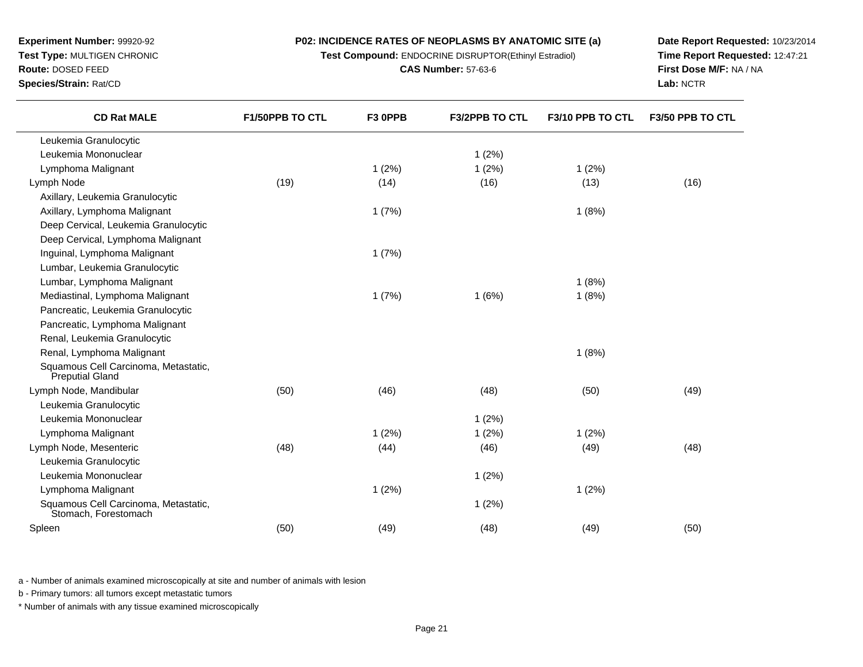**Test Compound:** ENDOCRINE DISRUPTOR(Ethinyl Estradiol)

**CAS Number:** 57-63-6

**Date Report Requested:** 10/23/2014**Time Report Requested:** 12:47:21**First Dose M/F:** NA / NA**Lab:** NCTR

| <b>CD Rat MALE</b>                                             | <b>F1/50PPB TO CTL</b> | F <sub>3</sub> OPPB | <b>F3/2PPB TO CTL</b> | F3/10 PPB TO CTL | F3/50 PPB TO CTL |
|----------------------------------------------------------------|------------------------|---------------------|-----------------------|------------------|------------------|
| Leukemia Granulocytic                                          |                        |                     |                       |                  |                  |
| Leukemia Mononuclear                                           |                        |                     | 1(2%)                 |                  |                  |
| Lymphoma Malignant                                             |                        | 1(2%)               | 1(2%)                 | 1(2%)            |                  |
| Lymph Node                                                     | (19)                   | (14)                | (16)                  | (13)             | (16)             |
| Axillary, Leukemia Granulocytic                                |                        |                     |                       |                  |                  |
| Axillary, Lymphoma Malignant                                   |                        | 1(7%)               |                       | 1(8%)            |                  |
| Deep Cervical, Leukemia Granulocytic                           |                        |                     |                       |                  |                  |
| Deep Cervical, Lymphoma Malignant                              |                        |                     |                       |                  |                  |
| Inguinal, Lymphoma Malignant                                   |                        | 1(7%)               |                       |                  |                  |
| Lumbar, Leukemia Granulocytic                                  |                        |                     |                       |                  |                  |
| Lumbar, Lymphoma Malignant                                     |                        |                     |                       | 1(8%)            |                  |
| Mediastinal, Lymphoma Malignant                                |                        | 1(7%)               | 1(6%)                 | 1(8%)            |                  |
| Pancreatic, Leukemia Granulocytic                              |                        |                     |                       |                  |                  |
| Pancreatic, Lymphoma Malignant                                 |                        |                     |                       |                  |                  |
| Renal, Leukemia Granulocytic                                   |                        |                     |                       |                  |                  |
| Renal, Lymphoma Malignant                                      |                        |                     |                       | 1(8%)            |                  |
| Squamous Cell Carcinoma, Metastatic,<br><b>Preputial Gland</b> |                        |                     |                       |                  |                  |
| Lymph Node, Mandibular                                         | (50)                   | (46)                | (48)                  | (50)             | (49)             |
| Leukemia Granulocytic                                          |                        |                     |                       |                  |                  |
| Leukemia Mononuclear                                           |                        |                     | 1(2%)                 |                  |                  |
| Lymphoma Malignant                                             |                        | 1(2%)               | 1(2%)                 | 1(2%)            |                  |
| Lymph Node, Mesenteric                                         | (48)                   | (44)                | (46)                  | (49)             | (48)             |
| Leukemia Granulocytic                                          |                        |                     |                       |                  |                  |

**1** (2%)

1 (2%)

n (50) (60) (49) (48) (48) (48) (49) (50)

a - Number of animals examined microscopically at site and number of animals with lesion

b - Primary tumors: all tumors except metastatic tumors

Squamous Cell Carcinoma, Metastatic, Stomach, Forestomach

Leukemia Mononuclear

Lymphoma Malignant

Spleen

**Experiment Number:** 99920-92**Test Type:** MULTIGEN CHRONIC

**Route:** DOSED FEED**Species/Strain:** Rat/CD

\* Number of animals with any tissue examined microscopically

1 (2%)

1 (2%)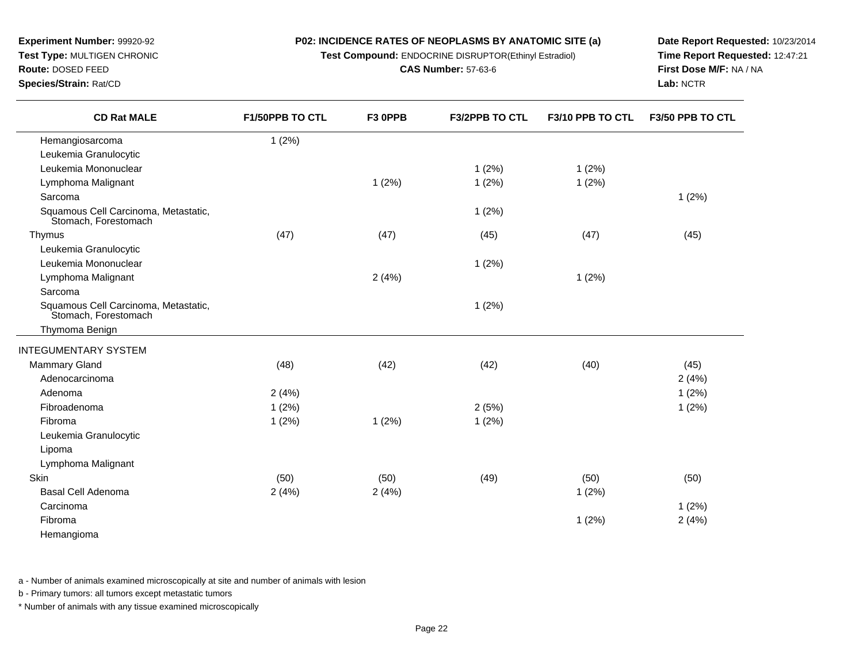**Test Compound:** ENDOCRINE DISRUPTOR(Ethinyl Estradiol)

**CAS Number:** 57-63-6

**Date Report Requested:** 10/23/2014**Time Report Requested:** 12:47:21**First Dose M/F:** NA / NA**Lab:** NCTR

| <b>CD Rat MALE</b>                                           | F1/50PPB TO CTL | F3 OPPB | <b>F3/2PPB TO CTL</b> | F3/10 PPB TO CTL | F3/50 PPB TO CTL |
|--------------------------------------------------------------|-----------------|---------|-----------------------|------------------|------------------|
| Hemangiosarcoma                                              | 1(2%)           |         |                       |                  |                  |
| Leukemia Granulocytic                                        |                 |         |                       |                  |                  |
| Leukemia Mononuclear                                         |                 |         | 1(2%)                 | 1(2%)            |                  |
| Lymphoma Malignant                                           |                 | 1(2%)   | 1(2%)                 | 1(2%)            |                  |
| Sarcoma                                                      |                 |         |                       |                  | 1(2%)            |
| Squamous Cell Carcinoma, Metastatic,<br>Stomach, Forestomach |                 |         | 1(2%)                 |                  |                  |
| Thymus                                                       | (47)            | (47)    | (45)                  | (47)             | (45)             |
| Leukemia Granulocytic                                        |                 |         |                       |                  |                  |
| Leukemia Mononuclear                                         |                 |         | 1(2%)                 |                  |                  |
| Lymphoma Malignant                                           |                 | 2(4%)   |                       | 1(2%)            |                  |
| Sarcoma                                                      |                 |         |                       |                  |                  |
| Squamous Cell Carcinoma, Metastatic,<br>Stomach, Forestomach |                 |         | 1(2%)                 |                  |                  |
| Thymoma Benign                                               |                 |         |                       |                  |                  |
| <b>INTEGUMENTARY SYSTEM</b>                                  |                 |         |                       |                  |                  |
| <b>Mammary Gland</b>                                         | (48)            | (42)    | (42)                  | (40)             | (45)             |
| Adenocarcinoma                                               |                 |         |                       |                  | 2(4%)            |
| Adenoma                                                      | 2(4%)           |         |                       |                  | 1(2%)            |
| Fibroadenoma                                                 | $1(2\%)$        |         | 2(5%)                 |                  | 1(2%)            |
| Fibroma                                                      | 1(2%)           | 1(2%)   | 1(2%)                 |                  |                  |
| Leukemia Granulocytic                                        |                 |         |                       |                  |                  |
| Lipoma                                                       |                 |         |                       |                  |                  |
| Lymphoma Malignant                                           |                 |         |                       |                  |                  |
| Skin                                                         | (50)            | (50)    | (49)                  | (50)             | (50)             |
| Basal Cell Adenoma                                           | 2(4%)           | 2(4%)   |                       | 1(2%)            |                  |
| Carcinoma                                                    |                 |         |                       |                  | 1(2%)            |
| Fibroma                                                      |                 |         |                       | 1(2%)            | 2(4%)            |
| Hemangioma                                                   |                 |         |                       |                  |                  |

a - Number of animals examined microscopically at site and number of animals with lesion

b - Primary tumors: all tumors except metastatic tumors

**Experiment Number:** 99920-92**Test Type:** MULTIGEN CHRONIC

**Route:** DOSED FEED**Species/Strain:** Rat/CD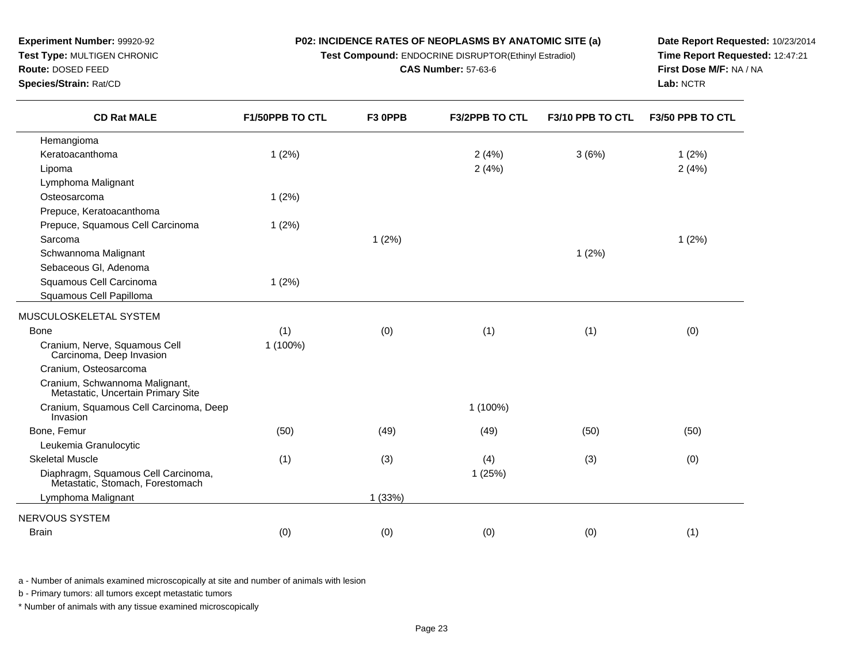**Test Compound:** ENDOCRINE DISRUPTOR(Ethinyl Estradiol)

**CAS Number:** 57-63-6

**Date Report Requested:** 10/23/2014**Time Report Requested:** 12:47:21**First Dose M/F:** NA / NA**Lab:** NCTR

**F3/2PPB TO CTL F3/10 PPB TO CTL F3/50 PPB TO CTL**

| Hemangioma                                                           |          |       |            |       |       |
|----------------------------------------------------------------------|----------|-------|------------|-------|-------|
| Keratoacanthoma                                                      | 1(2%)    |       | 2(4%)      | 3(6%) | 1(2%) |
| Lipoma                                                               |          |       | 2(4%)      |       | 2(4%  |
| Lymphoma Malignant                                                   |          |       |            |       |       |
| Osteosarcoma                                                         | 1(2%)    |       |            |       |       |
| Prepuce, Keratoacanthoma                                             |          |       |            |       |       |
| Prepuce, Squamous Cell Carcinoma                                     | 1(2%)    |       |            |       |       |
| Sarcoma                                                              |          | 1(2%) |            |       | 1(2%) |
| Schwannoma Malignant                                                 |          |       |            | 1(2%) |       |
| Sebaceous Gl, Adenoma                                                |          |       |            |       |       |
| Squamous Cell Carcinoma                                              | 1(2%)    |       |            |       |       |
| Squamous Cell Papilloma                                              |          |       |            |       |       |
| MUSCULOSKELETAL SYSTEM                                               |          |       |            |       |       |
| Bone                                                                 | (1)      | (0)   | (1)        | (1)   | (0)   |
| Cranium, Nerve, Squamous Cell<br>Carcinoma, Deep Invasion            | 1 (100%) |       |            |       |       |
| Cranium, Osteosarcoma                                                |          |       |            |       |       |
| Cranium, Schwannoma Malignant,<br>Metastatic, Uncertain Primary Site |          |       |            |       |       |
| Cranium, Squamous Cell Carcinoma, Deep<br>Invasion                   |          |       | $1(100\%)$ |       |       |
| <b>Bone Femur</b>                                                    | (50)     | (49)  | (49)       | (50)  | (50)  |

**F1/50PPB TO CTL F3 0PPB**

| Bone, Femur                                                             | (50) | (49)  | (49)   | (50) | (50) |  |
|-------------------------------------------------------------------------|------|-------|--------|------|------|--|
| Leukemia Granulocytic                                                   |      |       |        |      |      |  |
| <b>Skeletal Muscle</b>                                                  | (1)  | (3)   | (4)    | (3)  | (0)  |  |
| Diaphragm, Squamous Cell Carcinoma,<br>Metastatic, Stomach, Forestomach |      |       | 1(25%) |      |      |  |
| Lymphoma Malignant                                                      |      | (33%) |        |      |      |  |
| NERVOUS SYSTEM                                                          |      |       |        |      |      |  |
| <b>Brain</b>                                                            | (0)  | (0)   | (0)    | (0)  | (1)  |  |
|                                                                         |      |       |        |      |      |  |

a - Number of animals examined microscopically at site and number of animals with lesion

b - Primary tumors: all tumors except metastatic tumors

**Experiment Number:** 99920-92**Test Type:** MULTIGEN CHRONIC

**CD Rat MALE**

**Route:** DOSED FEED**Species/Strain:** Rat/CD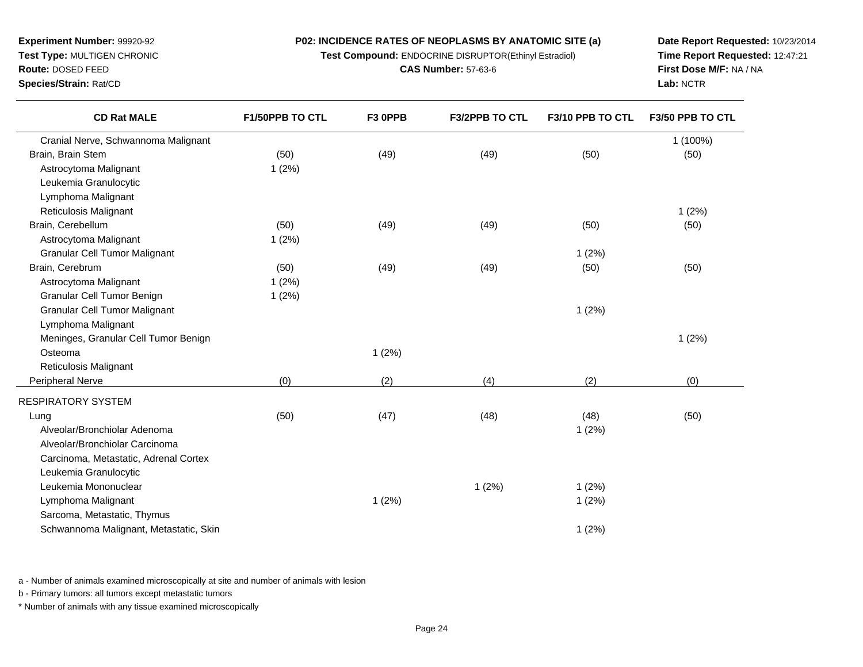**Test Compound:** ENDOCRINE DISRUPTOR(Ethinyl Estradiol)

**CAS Number:** 57-63-6

**Date Report Requested:** 10/23/2014**Time Report Requested:** 12:47:21**First Dose M/F:** NA / NA**Lab:** NCTR

| <b>CD Rat MALE</b>                     | F1/50PPB TO CTL | F3 OPPB | <b>F3/2PPB TO CTL</b> | F3/10 PPB TO CTL | F3/50 PPB TO CTL |
|----------------------------------------|-----------------|---------|-----------------------|------------------|------------------|
| Cranial Nerve, Schwannoma Malignant    |                 |         |                       |                  | 1 (100%)         |
| Brain, Brain Stem                      | (50)            | (49)    | (49)                  | (50)             | (50)             |
| Astrocytoma Malignant                  | 1(2%)           |         |                       |                  |                  |
| Leukemia Granulocytic                  |                 |         |                       |                  |                  |
| Lymphoma Malignant                     |                 |         |                       |                  |                  |
| Reticulosis Malignant                  |                 |         |                       |                  | 1(2%)            |
| Brain, Cerebellum                      | (50)            | (49)    | (49)                  | (50)             | (50)             |
| Astrocytoma Malignant                  | 1(2%)           |         |                       |                  |                  |
| <b>Granular Cell Tumor Malignant</b>   |                 |         |                       | 1(2%)            |                  |
| Brain, Cerebrum                        | (50)            | (49)    | (49)                  | (50)             | (50)             |
| Astrocytoma Malignant                  | 1(2%)           |         |                       |                  |                  |
| Granular Cell Tumor Benign             | 1(2%)           |         |                       |                  |                  |
| <b>Granular Cell Tumor Malignant</b>   |                 |         |                       | 1(2%)            |                  |
| Lymphoma Malignant                     |                 |         |                       |                  |                  |
| Meninges, Granular Cell Tumor Benign   |                 |         |                       |                  | 1(2%)            |
| Osteoma                                |                 | 1(2%)   |                       |                  |                  |
| Reticulosis Malignant                  |                 |         |                       |                  |                  |
| Peripheral Nerve                       | (0)             | (2)     | (4)                   | (2)              | (0)              |
| RESPIRATORY SYSTEM                     |                 |         |                       |                  |                  |
| Lung                                   | (50)            | (47)    | (48)                  | (48)             | (50)             |
| Alveolar/Bronchiolar Adenoma           |                 |         |                       | 1(2%)            |                  |
| Alveolar/Bronchiolar Carcinoma         |                 |         |                       |                  |                  |
| Carcinoma, Metastatic, Adrenal Cortex  |                 |         |                       |                  |                  |
| Leukemia Granulocytic                  |                 |         |                       |                  |                  |
| Leukemia Mononuclear                   |                 |         | 1(2%)                 | 1(2%)            |                  |
| Lymphoma Malignant                     |                 | 1(2%)   |                       | 1(2%)            |                  |
| Sarcoma, Metastatic, Thymus            |                 |         |                       |                  |                  |
| Schwannoma Malignant, Metastatic, Skin |                 |         |                       | 1(2%)            |                  |
|                                        |                 |         |                       |                  |                  |

a - Number of animals examined microscopically at site and number of animals with lesion

b - Primary tumors: all tumors except metastatic tumors

**Experiment Number:** 99920-92**Test Type:** MULTIGEN CHRONIC

**Route:** DOSED FEED**Species/Strain:** Rat/CD

 $\overline{\phantom{0}}$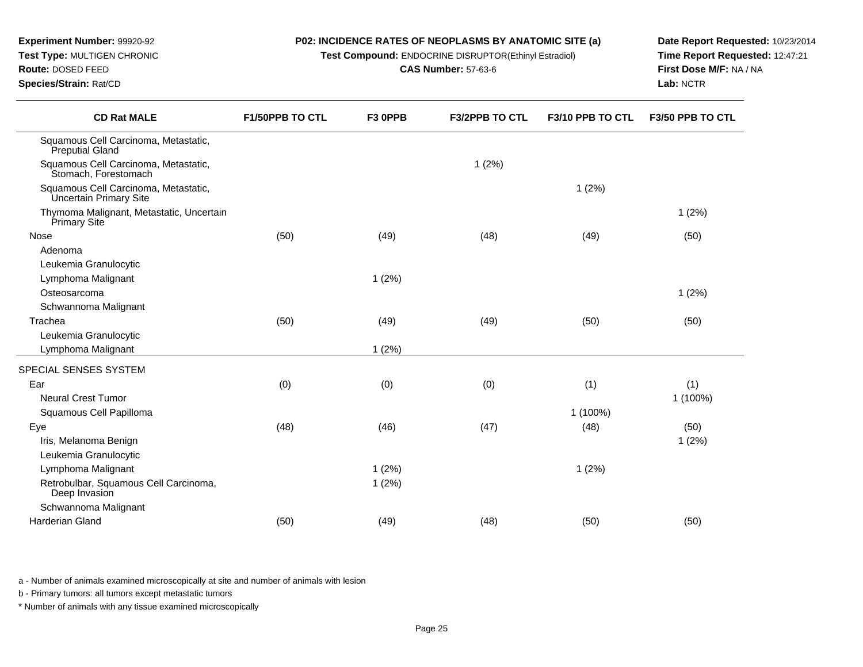| <b>Experiment Number: 99920-92</b><br>Test Type: MULTIGEN CHRONIC<br>Route: DOSED FEED<br>Species/Strain: Rat/CD |                        | <b>P02: INCIDENCE RATES OF NEOPLASMS BY ANATOMIC SITE (a)</b><br>Test Compound: ENDOCRINE DISRUPTOR(Ethinyl Estradiol)<br><b>CAS Number: 57-63-6</b> |                       |                  | Date Report Requested: 10/23/2014<br>Time Report Requested: 12:47:21<br><b>First Dose M/F: NA / NA</b><br>Lab: NCTR |  |
|------------------------------------------------------------------------------------------------------------------|------------------------|------------------------------------------------------------------------------------------------------------------------------------------------------|-----------------------|------------------|---------------------------------------------------------------------------------------------------------------------|--|
| <b>CD Rat MALE</b>                                                                                               | <b>F1/50PPB TO CTL</b> | F <sub>3</sub> OPPB                                                                                                                                  | <b>F3/2PPB TO CTL</b> | F3/10 PPB TO CTL | <b>F3/50 PPB TO CTL</b>                                                                                             |  |

| Squamous Cell Carcinoma, Metastatic,<br>Preputial Gland         |      |       |       |          |          |
|-----------------------------------------------------------------|------|-------|-------|----------|----------|
| Squamous Cell Carcinoma, Metastatic,<br>Stomach, Forestomach    |      |       | 1(2%) |          |          |
| Squamous Cell Carcinoma, Metastatic,<br>Uncertain Primary Site  |      |       |       | 1(2%)    |          |
| Thymoma Malignant, Metastatic, Uncertain<br><b>Primary Site</b> |      |       |       |          | 1(2%)    |
| Nose                                                            | (50) | (49)  | (48)  | (49)     | (50)     |
| Adenoma                                                         |      |       |       |          |          |
| Leukemia Granulocytic                                           |      |       |       |          |          |
| Lymphoma Malignant                                              |      | 1(2%) |       |          |          |
| Osteosarcoma                                                    |      |       |       |          | 1(2%)    |
| Schwannoma Malignant                                            |      |       |       |          |          |
| Trachea                                                         | (50) | (49)  | (49)  | (50)     | (50)     |
| Leukemia Granulocytic                                           |      |       |       |          |          |
| Lymphoma Malignant                                              |      | 1(2%) |       |          |          |
| SPECIAL SENSES SYSTEM                                           |      |       |       |          |          |
| Ear                                                             | (0)  | (0)   | (0)   | (1)      | (1)      |
| <b>Neural Crest Tumor</b>                                       |      |       |       |          | 1 (100%) |
| Squamous Cell Papilloma                                         |      |       |       | 1 (100%) |          |
| Eye                                                             | (48) | (46)  | (47)  | (48)     | (50)     |
| Iris, Melanoma Benign                                           |      |       |       |          | 1(2%)    |
| Leukemia Granulocytic                                           |      |       |       |          |          |
| Lymphoma Malignant                                              |      | 1(2%) |       | 1(2%)    |          |
| Retrobulbar, Squamous Cell Carcinoma,<br>Deep Invasion          |      | 1(2%) |       |          |          |
| Schwannoma Malignant                                            |      |       |       |          |          |
| Harderian Gland                                                 | (50) | (49)  | (48)  | (50)     | (50)     |
|                                                                 |      |       |       |          |          |

a - Number of animals examined microscopically at site and number of animals with lesion

b - Primary tumors: all tumors except metastatic tumors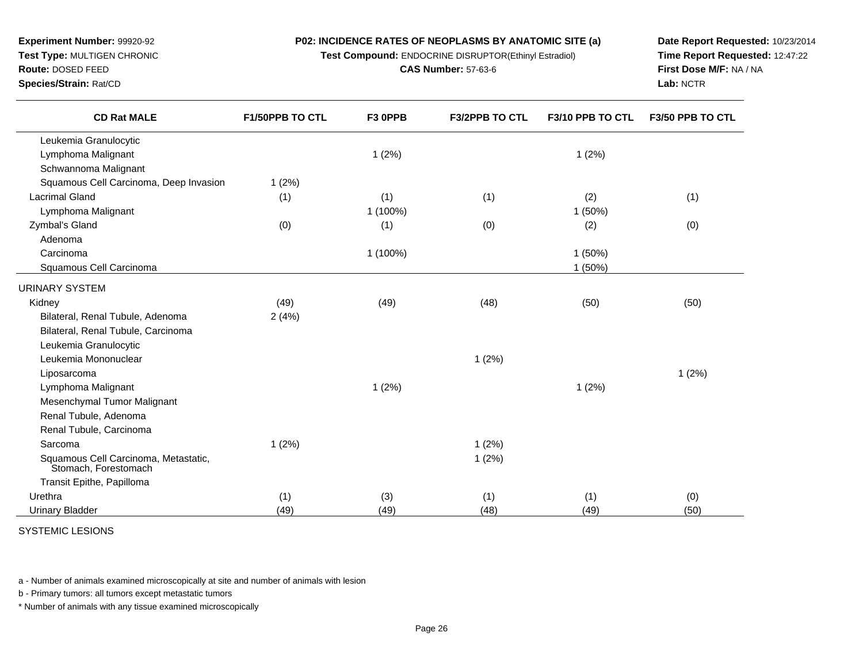**Test Compound:** ENDOCRINE DISRUPTOR(Ethinyl Estradiol)

**CAS Number:** 57-63-6

**Date Report Requested:** 10/23/2014 **Time Report Requested:** 12:47:22**First Dose M/F:** NA / NA**Lab:** NCTR

| <b>CD Rat MALE</b>                                           | F1/50PPB TO CTL | F3 OPPB  | F3/2PPB TO CTL | F3/10 PPB TO CTL | F3/50 PPB TO CTL |
|--------------------------------------------------------------|-----------------|----------|----------------|------------------|------------------|
| Leukemia Granulocytic                                        |                 |          |                |                  |                  |
| Lymphoma Malignant                                           |                 | 1(2%)    |                | 1(2%)            |                  |
| Schwannoma Malignant                                         |                 |          |                |                  |                  |
| Squamous Cell Carcinoma, Deep Invasion                       | 1(2%)           |          |                |                  |                  |
| <b>Lacrimal Gland</b>                                        | (1)             | (1)      | (1)            | (2)              | (1)              |
| Lymphoma Malignant                                           |                 | 1 (100%) |                | 1(50%)           |                  |
| Zymbal's Gland                                               | (0)             | (1)      | (0)            | (2)              | (0)              |
| Adenoma                                                      |                 |          |                |                  |                  |
| Carcinoma                                                    |                 | 1 (100%) |                | 1(50%)           |                  |
| Squamous Cell Carcinoma                                      |                 |          |                | 1(50%)           |                  |
| URINARY SYSTEM                                               |                 |          |                |                  |                  |
| Kidney                                                       | (49)            | (49)     | (48)           | (50)             | (50)             |
| Bilateral, Renal Tubule, Adenoma                             | 2(4%)           |          |                |                  |                  |
| Bilateral, Renal Tubule, Carcinoma                           |                 |          |                |                  |                  |
| Leukemia Granulocytic                                        |                 |          |                |                  |                  |
| Leukemia Mononuclear                                         |                 |          | 1(2%)          |                  |                  |
| Liposarcoma                                                  |                 |          |                |                  | 1(2%)            |
| Lymphoma Malignant                                           |                 | 1(2%)    |                | 1(2%)            |                  |
| Mesenchymal Tumor Malignant                                  |                 |          |                |                  |                  |
| Renal Tubule, Adenoma                                        |                 |          |                |                  |                  |
| Renal Tubule, Carcinoma                                      |                 |          |                |                  |                  |
| Sarcoma                                                      | 1(2%)           |          | 1(2%)          |                  |                  |
| Squamous Cell Carcinoma, Metastatic,<br>Stomach, Forestomach |                 |          | 1(2%)          |                  |                  |
| Transit Epithe, Papilloma                                    |                 |          |                |                  |                  |
| Urethra                                                      | (1)             | (3)      | (1)            | (1)              | (0)              |
| <b>Urinary Bladder</b>                                       | (49)            | (49)     | (48)           | (49)             | (50)             |

SYSTEMIC LESIONS

**Experiment Number:** 99920-92**Test Type:** MULTIGEN CHRONIC

**Route:** DOSED FEED**Species/Strain:** Rat/CD

 $\overline{\phantom{0}}$ 

a - Number of animals examined microscopically at site and number of animals with lesion

b - Primary tumors: all tumors except metastatic tumors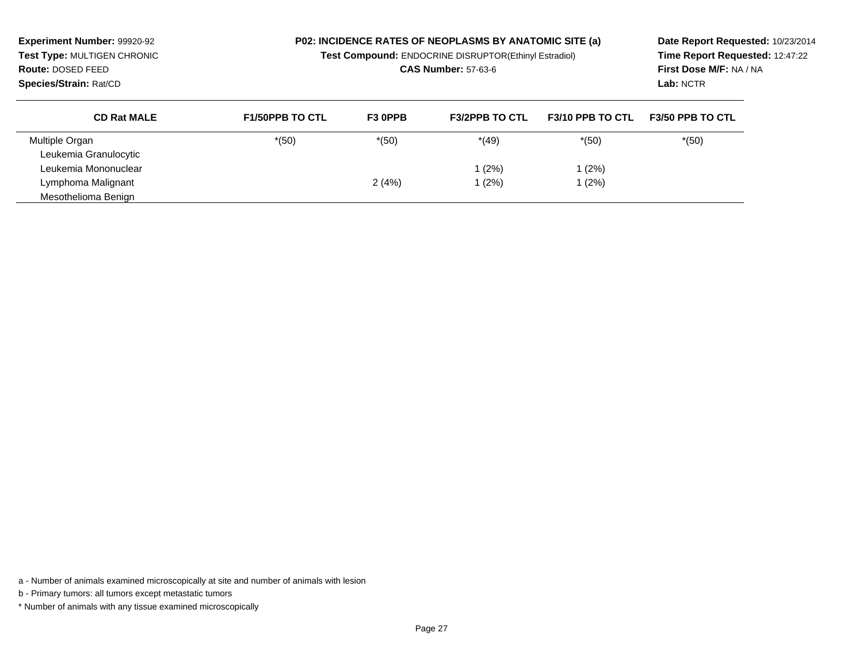**Experiment Number:** 99920-92 **Test Type:** MULTIGEN CHRONIC**Route:** DOSED FEED

### **P02: INCIDENCE RATES OF NEOPLASMS BY ANATOMIC SITE (a)**

**Test Compound:** ENDOCRINE DISRUPTOR(Ethinyl Estradiol)

**CAS Number:** 57-63-6

**Date Report Requested:** 10/23/2014 **Time Report Requested:** 12:47:22**First Dose M/F:** NA / NA**Lab:** NCTR

**Species/Strain:** Rat/CD

| <b>CD Rat MALE</b>    | <b>F1/50PPB TO CTL</b> | F <sub>3</sub> OPPB | <b>F3/2PPB TO CTL</b> | <b>F3/10 PPB TO CTL</b> | <b>F3/50 PPB TO CTL</b> |
|-----------------------|------------------------|---------------------|-----------------------|-------------------------|-------------------------|
| Multiple Organ        | $*(50)$                | $*(50)$             | $*(49)$               | $*(50)$                 | $*(50)$                 |
| Leukemia Granulocytic |                        |                     |                       |                         |                         |
| Leukemia Mononuclear  |                        |                     | (2%)                  | (2%)                    |                         |
| Lymphoma Malignant    |                        | 2(4%)               | (2%)                  | (2%)                    |                         |
| Mesothelioma Benign   |                        |                     |                       |                         |                         |

a - Number of animals examined microscopically at site and number of animals with lesion

b - Primary tumors: all tumors except metastatic tumors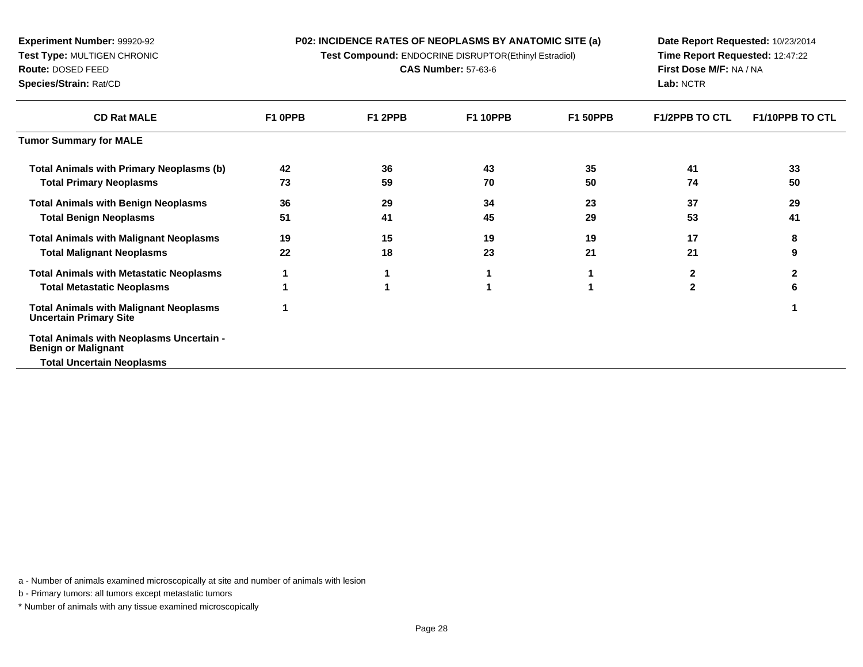**P02: INCIDENCE RATES OF NEOPLASMS BY ANATOMIC SITE (a)Test Compound:** ENDOCRINE DISRUPTOR(Ethinyl Estradiol)

**CAS Number:** 57-63-6

**Experiment Number:** 99920-92**Test Type:** MULTIGEN CHRONIC

**Route:** DOSED FEED

**Species/Strain:** Rat/CD

**Date Report Requested:** 10/23/2014 **Time Report Requested:** 12:47:22**First Dose M/F:** NA / NA**Lab:** NCTR

| <b>CD Rat MALE</b>                                                             | F1 OPPB | F1 2PPB | <b>F1 10PPB</b> | <b>F1 50PPB</b> | <b>F1/2PPB TO CTL</b> | <b>F1/10PPB TO CTL</b> |
|--------------------------------------------------------------------------------|---------|---------|-----------------|-----------------|-----------------------|------------------------|
| <b>Tumor Summary for MALE</b>                                                  |         |         |                 |                 |                       |                        |
| <b>Total Animals with Primary Neoplasms (b)</b>                                | 42      | 36      | 43              | 35              | 41                    | 33                     |
| <b>Total Primary Neoplasms</b>                                                 | 73      | 59      | 70              | 50              | 74                    | 50                     |
| <b>Total Animals with Benign Neoplasms</b>                                     | 36      | 29      | 34              | 23              | 37                    | 29                     |
| <b>Total Benign Neoplasms</b>                                                  | 51      | 41      | 45              | 29              | 53                    | 41                     |
| <b>Total Animals with Malignant Neoplasms</b>                                  | 19      | 15      | 19              | 19              | 17                    | 8                      |
| <b>Total Malignant Neoplasms</b>                                               | 22      | 18      | 23              | 21              | 21                    | 9                      |
| <b>Total Animals with Metastatic Neoplasms</b>                                 |         |         |                 |                 |                       | 2                      |
| <b>Total Metastatic Neoplasms</b>                                              |         |         |                 |                 |                       | 6                      |
| <b>Total Animals with Malignant Neoplasms</b><br><b>Uncertain Primary Site</b> |         |         |                 |                 |                       |                        |
| Total Animals with Neoplasms Uncertain -<br><b>Benign or Malignant</b>         |         |         |                 |                 |                       |                        |
| <b>Total Uncertain Neoplasms</b>                                               |         |         |                 |                 |                       |                        |

a - Number of animals examined microscopically at site and number of animals with lesion

b - Primary tumors: all tumors except metastatic tumors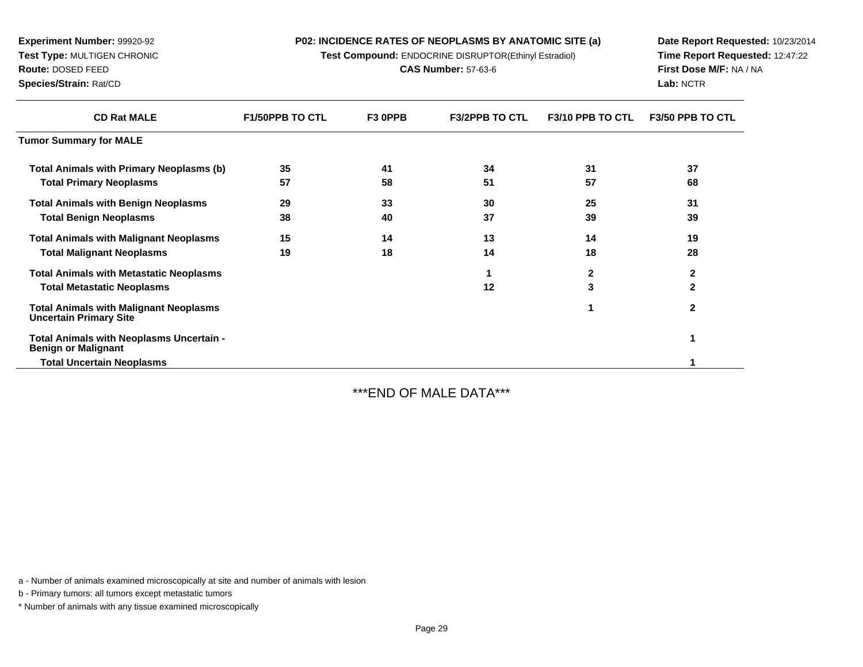**Test Compound:** ENDOCRINE DISRUPTOR(Ethinyl Estradiol)

**CAS Number:** 57-63-6

**Date Report Requested:** 10/23/2014**Time Report Requested:** 12:47:22**First Dose M/F:** NA / NA**Lab:** NCTR

| <b>CD Rat MALE</b>                                                             | <b>F1/50PPB TO CTL</b> | F <sub>3</sub> OPPB | <b>F3/2PPB TO CTL</b> | F3/10 PPB TO CTL | <b>F3/50 PPB TO CTL</b> |
|--------------------------------------------------------------------------------|------------------------|---------------------|-----------------------|------------------|-------------------------|
| <b>Tumor Summary for MALE</b>                                                  |                        |                     |                       |                  |                         |
| <b>Total Animals with Primary Neoplasms (b)</b>                                | 35                     | 41                  | 34                    | 31               | 37                      |
| <b>Total Primary Neoplasms</b>                                                 | 57                     | 58                  | 51                    | 57               | 68                      |
| <b>Total Animals with Benign Neoplasms</b>                                     | 29                     | 33                  | 30                    | 25               | 31                      |
| <b>Total Benign Neoplasms</b>                                                  | 38                     | 40                  | 37                    | 39               | 39                      |
| <b>Total Animals with Malignant Neoplasms</b>                                  | 15                     | 14                  | 13                    | 14               | 19                      |
| <b>Total Malignant Neoplasms</b>                                               | 19                     | 18                  | 14                    | 18               | 28                      |
| <b>Total Animals with Metastatic Neoplasms</b>                                 |                        |                     |                       | $\mathbf{2}$     | $\mathbf{2}$            |
| <b>Total Metastatic Neoplasms</b>                                              |                        |                     | 12                    | 3                | $\mathbf{2}$            |
| <b>Total Animals with Malignant Neoplasms</b><br><b>Uncertain Primary Site</b> |                        |                     |                       |                  | $\mathbf{2}$            |
| Total Animals with Neoplasms Uncertain -<br><b>Benign or Malignant</b>         |                        |                     |                       |                  |                         |
| <b>Total Uncertain Neoplasms</b>                                               |                        |                     |                       |                  |                         |
|                                                                                |                        |                     |                       |                  |                         |

\*\*\*END OF MALE DATA\*\*\*

a - Number of animals examined microscopically at site and number of animals with lesion

b - Primary tumors: all tumors except metastatic tumors

**Experiment Number:** 99920-92**Test Type:** MULTIGEN CHRONIC

**Route:** DOSED FEED**Species/Strain:** Rat/CD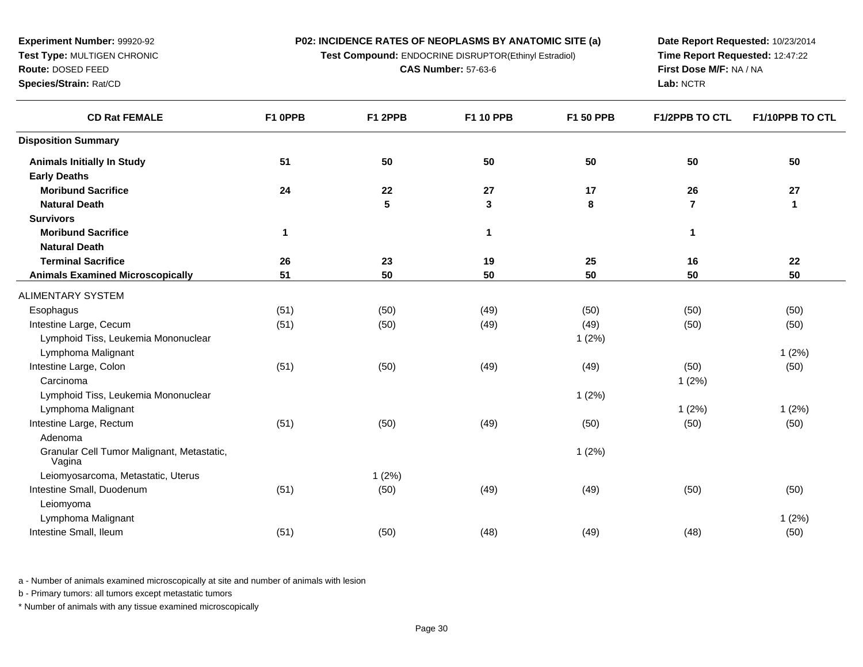**Test Compound:** ENDOCRINE DISRUPTOR(Ethinyl Estradiol)

**CAS Number:** 57-63-6

**Date Report Requested:** 10/23/2014 **Time Report Requested:** 12:47:22**First Dose M/F:** NA / NA**Lab:** NCTR

| <b>CD Rat FEMALE</b>                                 | F1 0PPB      | F1 2PPB              | F1 10 PPB   | <b>F1 50 PPB</b> | <b>F1/2PPB TO CTL</b> | F1/10PPB TO CTL |
|------------------------------------------------------|--------------|----------------------|-------------|------------------|-----------------------|-----------------|
| <b>Disposition Summary</b>                           |              |                      |             |                  |                       |                 |
| <b>Animals Initially In Study</b>                    | 51           | 50                   | 50          | 50               | 50                    | 50              |
| <b>Early Deaths</b>                                  |              |                      |             |                  |                       |                 |
| <b>Moribund Sacrifice</b>                            | 24           | 22<br>$5\phantom{1}$ | 27          | 17               | 26<br>$\overline{7}$  | 27              |
| <b>Natural Death</b>                                 |              |                      | 3           | 8                |                       | $\mathbf{1}$    |
| <b>Survivors</b><br><b>Moribund Sacrifice</b>        |              |                      |             |                  |                       |                 |
| <b>Natural Death</b>                                 | $\mathbf{1}$ |                      | $\mathbf 1$ |                  | 1                     |                 |
| <b>Terminal Sacrifice</b>                            | 26           | 23                   | 19          | 25               |                       | 22              |
|                                                      |              |                      |             | 50               | 16                    | 50              |
| <b>Animals Examined Microscopically</b>              | 51           | 50                   | 50          |                  | 50                    |                 |
| ALIMENTARY SYSTEM                                    |              |                      |             |                  |                       |                 |
| Esophagus                                            | (51)         | (50)                 | (49)        | (50)             | (50)                  | (50)            |
| Intestine Large, Cecum                               | (51)         | (50)                 | (49)        | (49)             | (50)                  | (50)            |
| Lymphoid Tiss, Leukemia Mononuclear                  |              |                      |             | 1(2%)            |                       |                 |
| Lymphoma Malignant                                   |              |                      |             |                  |                       | 1(2%)           |
| Intestine Large, Colon                               | (51)         | (50)                 | (49)        | (49)             | (50)                  | (50)            |
| Carcinoma                                            |              |                      |             |                  | 1(2%)                 |                 |
| Lymphoid Tiss, Leukemia Mononuclear                  |              |                      |             | 1(2%)            |                       |                 |
| Lymphoma Malignant                                   |              |                      |             |                  | 1(2%)                 | 1(2%)           |
| Intestine Large, Rectum                              | (51)         | (50)                 | (49)        | (50)             | (50)                  | (50)            |
| Adenoma                                              |              |                      |             |                  |                       |                 |
| Granular Cell Tumor Malignant, Metastatic,<br>Vagina |              |                      |             | 1(2%)            |                       |                 |
| Leiomyosarcoma, Metastatic, Uterus                   |              | 1(2%)                |             |                  |                       |                 |
| Intestine Small, Duodenum                            | (51)         | (50)                 | (49)        | (49)             | (50)                  | (50)            |
| Leiomyoma                                            |              |                      |             |                  |                       |                 |
| Lymphoma Malignant                                   |              |                      |             |                  |                       | 1(2%)           |
| Intestine Small, Ileum                               | (51)         | (50)                 | (48)        | (49)             | (48)                  | (50)            |
|                                                      |              |                      |             |                  |                       |                 |

a - Number of animals examined microscopically at site and number of animals with lesion

b - Primary tumors: all tumors except metastatic tumors

**Experiment Number:** 99920-92**Test Type:** MULTIGEN CHRONIC

**Route:** DOSED FEED**Species/Strain:** Rat/CD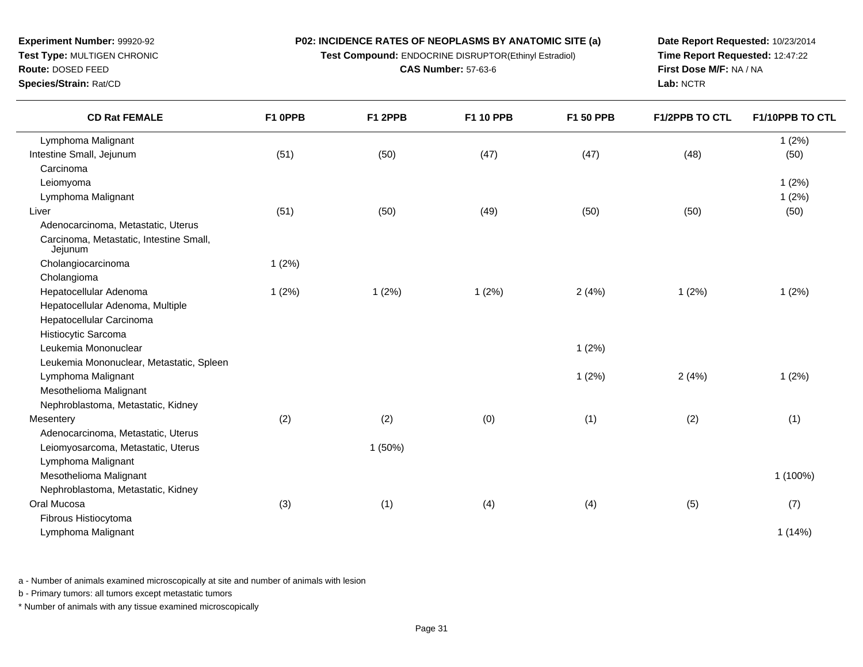**Test Compound:** ENDOCRINE DISRUPTOR(Ethinyl Estradiol)

**CAS Number:** 57-63-6

**Date Report Requested:** 10/23/2014 **Time Report Requested:** 12:47:22**First Dose M/F:** NA / NA**Lab:** NCTR

| <b>CD Rat FEMALE</b>                               | F1 OPPB | F1 2PPB | F1 10 PPB | F1 50 PPB | <b>F1/2PPB TO CTL</b> | F1/10PPB TO CTL |
|----------------------------------------------------|---------|---------|-----------|-----------|-----------------------|-----------------|
| Lymphoma Malignant                                 |         |         |           |           |                       | 1(2%)           |
| Intestine Small, Jejunum                           | (51)    | (50)    | (47)      | (47)      | (48)                  | (50)            |
| Carcinoma                                          |         |         |           |           |                       |                 |
| Leiomyoma                                          |         |         |           |           |                       | 1(2%)           |
| Lymphoma Malignant                                 |         |         |           |           |                       | 1(2%)           |
| Liver                                              | (51)    | (50)    | (49)      | (50)      | (50)                  | (50)            |
| Adenocarcinoma, Metastatic, Uterus                 |         |         |           |           |                       |                 |
| Carcinoma, Metastatic, Intestine Small,<br>Jejunum |         |         |           |           |                       |                 |
| Cholangiocarcinoma                                 | 1(2%)   |         |           |           |                       |                 |
| Cholangioma                                        |         |         |           |           |                       |                 |
| Hepatocellular Adenoma                             | 1(2%)   | 1(2%)   | 1(2%)     | 2(4%)     | 1(2%)                 | 1(2%)           |
| Hepatocellular Adenoma, Multiple                   |         |         |           |           |                       |                 |
| Hepatocellular Carcinoma                           |         |         |           |           |                       |                 |
| Histiocytic Sarcoma                                |         |         |           |           |                       |                 |
| Leukemia Mononuclear                               |         |         |           | 1(2%)     |                       |                 |
| Leukemia Mononuclear, Metastatic, Spleen           |         |         |           |           |                       |                 |
| Lymphoma Malignant                                 |         |         |           | 1(2%)     | 2(4%)                 | 1(2%)           |
| Mesothelioma Malignant                             |         |         |           |           |                       |                 |
| Nephroblastoma, Metastatic, Kidney                 |         |         |           |           |                       |                 |
| Mesentery                                          | (2)     | (2)     | (0)       | (1)       | (2)                   | (1)             |
| Adenocarcinoma, Metastatic, Uterus                 |         |         |           |           |                       |                 |
| Leiomyosarcoma, Metastatic, Uterus                 |         | 1(50%)  |           |           |                       |                 |
| Lymphoma Malignant                                 |         |         |           |           |                       |                 |
| Mesothelioma Malignant                             |         |         |           |           |                       | 1 (100%)        |
| Nephroblastoma, Metastatic, Kidney                 |         |         |           |           |                       |                 |
| Oral Mucosa                                        | (3)     | (1)     | (4)       | (4)       | (5)                   | (7)             |
| Fibrous Histiocytoma                               |         |         |           |           |                       |                 |
| Lymphoma Malignant                                 |         |         |           |           |                       | 1(14%)          |
|                                                    |         |         |           |           |                       |                 |

a - Number of animals examined microscopically at site and number of animals with lesion

b - Primary tumors: all tumors except metastatic tumors

**Experiment Number:** 99920-92**Test Type:** MULTIGEN CHRONIC

**Route:** DOSED FEED**Species/Strain:** Rat/CD

 $\overline{\phantom{0}}$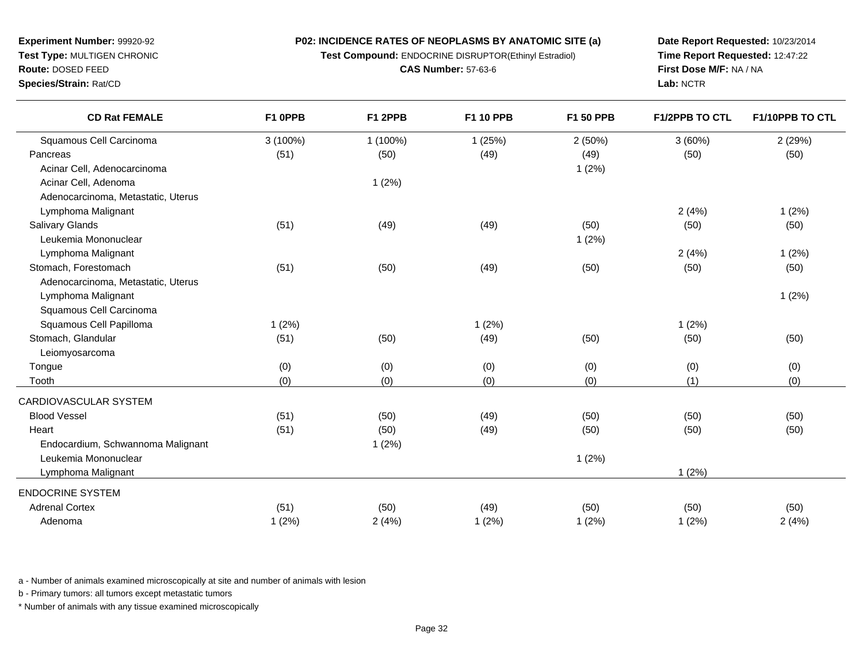**Test Compound:** ENDOCRINE DISRUPTOR(Ethinyl Estradiol)

**CAS Number:** 57-63-6

**Date Report Requested:** 10/23/2014 **Time Report Requested:** 12:47:22**First Dose M/F:** NA / NA**Lab:** NCTR

| <b>CD Rat FEMALE</b>               | F1 OPPB  | F1 2PPB  | F1 10 PPB | <b>F1 50 PPB</b> | <b>F1/2PPB TO CTL</b> | F1/10PPB TO CTL |
|------------------------------------|----------|----------|-----------|------------------|-----------------------|-----------------|
| Squamous Cell Carcinoma            | 3 (100%) | 1 (100%) | 1(25%)    | 2(50%)           | 3(60%)                | 2(29%)          |
| Pancreas                           | (51)     | (50)     | (49)      | (49)             | (50)                  | (50)            |
| Acinar Cell, Adenocarcinoma        |          |          |           | 1(2%)            |                       |                 |
| Acinar Cell, Adenoma               |          | 1(2%)    |           |                  |                       |                 |
| Adenocarcinoma, Metastatic, Uterus |          |          |           |                  |                       |                 |
| Lymphoma Malignant                 |          |          |           |                  | 2(4%)                 | 1(2%)           |
| Salivary Glands                    | (51)     | (49)     | (49)      | (50)             | (50)                  | (50)            |
| Leukemia Mononuclear               |          |          |           | 1(2%)            |                       |                 |
| Lymphoma Malignant                 |          |          |           |                  | 2(4%)                 | 1(2%)           |
| Stomach, Forestomach               | (51)     | (50)     | (49)      | (50)             | (50)                  | (50)            |
| Adenocarcinoma, Metastatic, Uterus |          |          |           |                  |                       |                 |
| Lymphoma Malignant                 |          |          |           |                  |                       | 1(2%)           |
| Squamous Cell Carcinoma            |          |          |           |                  |                       |                 |
| Squamous Cell Papilloma            | 1(2%)    |          | 1(2%)     |                  | 1(2%)                 |                 |
| Stomach, Glandular                 | (51)     | (50)     | (49)      | (50)             | (50)                  | (50)            |
| Leiomyosarcoma                     |          |          |           |                  |                       |                 |
| Tongue                             | (0)      | (0)      | (0)       | (0)              | (0)                   | (0)             |
| Tooth                              | (0)      | (0)      | (0)       | (0)              | (1)                   | (0)             |
| CARDIOVASCULAR SYSTEM              |          |          |           |                  |                       |                 |
| <b>Blood Vessel</b>                | (51)     | (50)     | (49)      | (50)             | (50)                  | (50)            |
| Heart                              | (51)     | (50)     | (49)      | (50)             | (50)                  | (50)            |
| Endocardium, Schwannoma Malignant  |          | 1(2%)    |           |                  |                       |                 |
| Leukemia Mononuclear               |          |          |           | 1(2%)            |                       |                 |
| Lymphoma Malignant                 |          |          |           |                  | 1(2%)                 |                 |
| <b>ENDOCRINE SYSTEM</b>            |          |          |           |                  |                       |                 |
| <b>Adrenal Cortex</b>              | (51)     | (50)     | (49)      | (50)             | (50)                  | (50)            |
| Adenoma                            | 1(2%)    | 2(4%)    | 1(2%)     | 1(2%)            | 1(2%)                 | 2(4%)           |
|                                    |          |          |           |                  |                       |                 |

a - Number of animals examined microscopically at site and number of animals with lesion

b - Primary tumors: all tumors except metastatic tumors

**Experiment Number:** 99920-92**Test Type:** MULTIGEN CHRONIC

**Route:** DOSED FEED**Species/Strain:** Rat/CD

 $\overline{\phantom{0}}$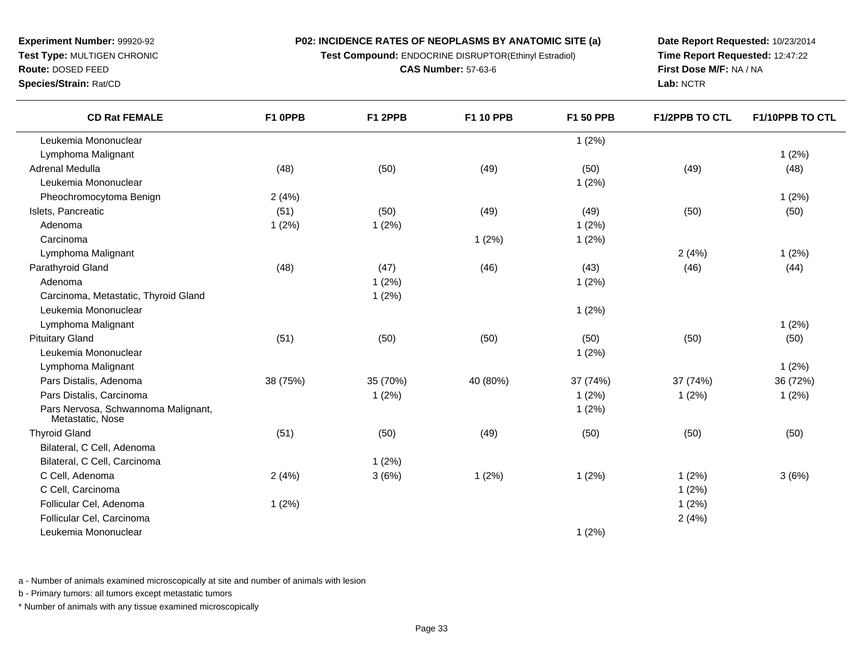**Test Compound:** ENDOCRINE DISRUPTOR(Ethinyl Estradiol)

**CAS Number:** 57-63-6

**Date Report Requested:** 10/23/2014 **Time Report Requested:** 12:47:22**First Dose M/F:** NA / NA**Lab:** NCTR

**Species/Strain:** Rat/CD

| <b>CD Rat FEMALE</b>                                    | F1 OPPB  | F1 2PPB  | F1 10 PPB | F1 50 PPB | F1/2PPB TO CTL | F1/10PPB TO CTL |
|---------------------------------------------------------|----------|----------|-----------|-----------|----------------|-----------------|
| Leukemia Mononuclear                                    |          |          |           | 1(2%)     |                |                 |
| Lymphoma Malignant                                      |          |          |           |           |                | 1(2%)           |
| Adrenal Medulla                                         | (48)     | (50)     | (49)      | (50)      | (49)           | (48)            |
| Leukemia Mononuclear                                    |          |          |           | 1(2%)     |                |                 |
| Pheochromocytoma Benign                                 | 2(4%)    |          |           |           |                | 1(2%)           |
| Islets, Pancreatic                                      | (51)     | (50)     | (49)      | (49)      | (50)           | (50)            |
| Adenoma                                                 | 1(2%)    | 1(2%)    |           | 1(2%)     |                |                 |
| Carcinoma                                               |          |          | 1(2%)     | 1(2%)     |                |                 |
| Lymphoma Malignant                                      |          |          |           |           | 2(4%)          | 1(2%)           |
| Parathyroid Gland                                       | (48)     | (47)     | (46)      | (43)      | (46)           | (44)            |
| Adenoma                                                 |          | 1(2%)    |           | 1(2%)     |                |                 |
| Carcinoma, Metastatic, Thyroid Gland                    |          | 1(2%)    |           |           |                |                 |
| Leukemia Mononuclear                                    |          |          |           | 1(2%)     |                |                 |
| Lymphoma Malignant                                      |          |          |           |           |                | 1(2%)           |
| <b>Pituitary Gland</b>                                  | (51)     | (50)     | (50)      | (50)      | (50)           | (50)            |
| Leukemia Mononuclear                                    |          |          |           | 1(2%)     |                |                 |
| Lymphoma Malignant                                      |          |          |           |           |                | 1(2%)           |
| Pars Distalis, Adenoma                                  | 38 (75%) | 35 (70%) | 40 (80%)  | 37 (74%)  | 37 (74%)       | 36 (72%)        |
| Pars Distalis, Carcinoma                                |          | 1(2%)    |           | 1(2%)     | 1(2%)          | 1(2%)           |
| Pars Nervosa, Schwannoma Malignant,<br>Metastatic, Nose |          |          |           | 1(2%)     |                |                 |
| <b>Thyroid Gland</b>                                    | (51)     | (50)     | (49)      | (50)      | (50)           | (50)            |
| Bilateral, C Cell, Adenoma                              |          |          |           |           |                |                 |
| Bilateral, C Cell, Carcinoma                            |          | 1(2%)    |           |           |                |                 |
| C Cell, Adenoma                                         | 2(4%)    | 3(6%)    | 1(2%)     | 1(2%)     | 1(2%)          | 3(6%)           |
| C Cell, Carcinoma                                       |          |          |           |           | 1(2%)          |                 |
| Follicular Cel, Adenoma                                 | 1(2%)    |          |           |           | 1(2%)          |                 |
| Follicular Cel, Carcinoma                               |          |          |           |           | 2(4%)          |                 |
| Leukemia Mononuclear                                    |          |          |           | 1(2%)     |                |                 |

a - Number of animals examined microscopically at site and number of animals with lesion

b - Primary tumors: all tumors except metastatic tumors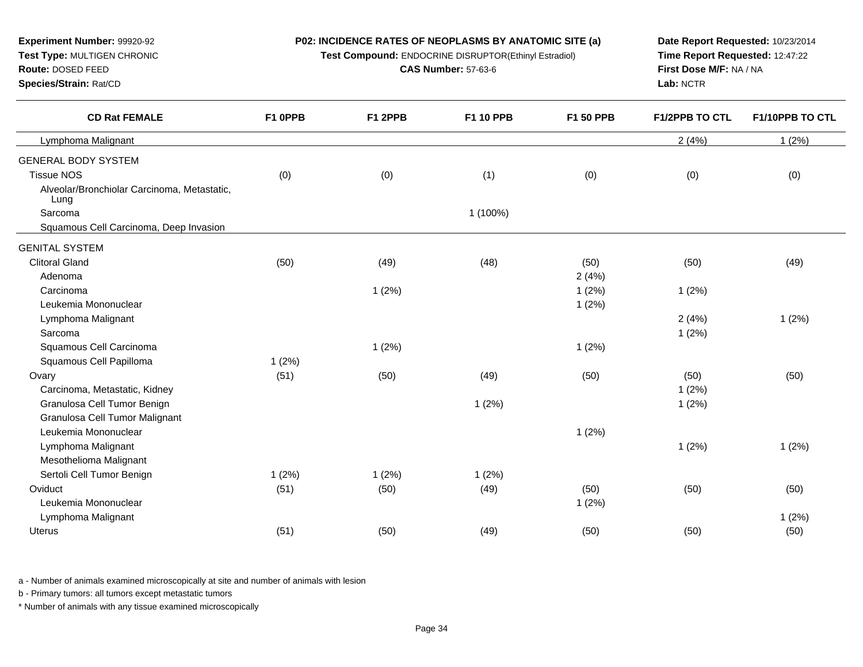**Test Compound:** ENDOCRINE DISRUPTOR(Ethinyl Estradiol)

**CAS Number:** 57-63-6

**Date Report Requested:** 10/23/2014 **Time Report Requested:** 12:47:22**First Dose M/F:** NA / NA**Lab:** NCTR

| <b>CD Rat FEMALE</b>                                | F1 0PPB | F1 2PPB | F1 10 PPB | F1 50 PPB | <b>F1/2PPB TO CTL</b> | F1/10PPB TO CTL |
|-----------------------------------------------------|---------|---------|-----------|-----------|-----------------------|-----------------|
| Lymphoma Malignant                                  |         |         |           |           | 2(4%)                 | 1(2%)           |
| <b>GENERAL BODY SYSTEM</b>                          |         |         |           |           |                       |                 |
| <b>Tissue NOS</b>                                   | (0)     | (0)     | (1)       | (0)       | (0)                   | (0)             |
| Alveolar/Bronchiolar Carcinoma, Metastatic,<br>Lung |         |         |           |           |                       |                 |
| Sarcoma                                             |         |         | 1 (100%)  |           |                       |                 |
| Squamous Cell Carcinoma, Deep Invasion              |         |         |           |           |                       |                 |
| <b>GENITAL SYSTEM</b>                               |         |         |           |           |                       |                 |
| <b>Clitoral Gland</b>                               | (50)    | (49)    | (48)      | (50)      | (50)                  | (49)            |
| Adenoma                                             |         |         |           | 2(4%)     |                       |                 |
| Carcinoma                                           |         | 1(2%)   |           | 1(2%)     | 1(2%)                 |                 |
| Leukemia Mononuclear                                |         |         |           | 1(2%)     |                       |                 |
| Lymphoma Malignant                                  |         |         |           |           | 2(4%)                 | 1(2%)           |
| Sarcoma                                             |         |         |           |           | 1(2%)                 |                 |
| Squamous Cell Carcinoma                             |         | 1(2%)   |           | 1(2%)     |                       |                 |
| Squamous Cell Papilloma                             | 1(2%)   |         |           |           |                       |                 |
| Ovary                                               | (51)    | (50)    | (49)      | (50)      | (50)                  | (50)            |
| Carcinoma, Metastatic, Kidney                       |         |         |           |           | 1(2%)                 |                 |
| Granulosa Cell Tumor Benign                         |         |         | 1(2%)     |           | 1(2%)                 |                 |
| Granulosa Cell Tumor Malignant                      |         |         |           |           |                       |                 |
| Leukemia Mononuclear                                |         |         |           | 1(2%)     |                       |                 |
| Lymphoma Malignant                                  |         |         |           |           | 1(2%)                 | 1(2%)           |
| Mesothelioma Malignant                              |         |         |           |           |                       |                 |
| Sertoli Cell Tumor Benign                           | 1(2%)   | 1(2%)   | 1(2%)     |           |                       |                 |
| Oviduct                                             | (51)    | (50)    | (49)      | (50)      | (50)                  | (50)            |
| Leukemia Mononuclear                                |         |         |           | 1(2%)     |                       |                 |
| Lymphoma Malignant                                  |         |         |           |           |                       | 1(2%)           |
| Uterus                                              | (51)    | (50)    | (49)      | (50)      | (50)                  | (50)            |
|                                                     |         |         |           |           |                       |                 |

a - Number of animals examined microscopically at site and number of animals with lesion

b - Primary tumors: all tumors except metastatic tumors

**Experiment Number:** 99920-92**Test Type:** MULTIGEN CHRONIC

**Route:** DOSED FEED**Species/Strain:** Rat/CD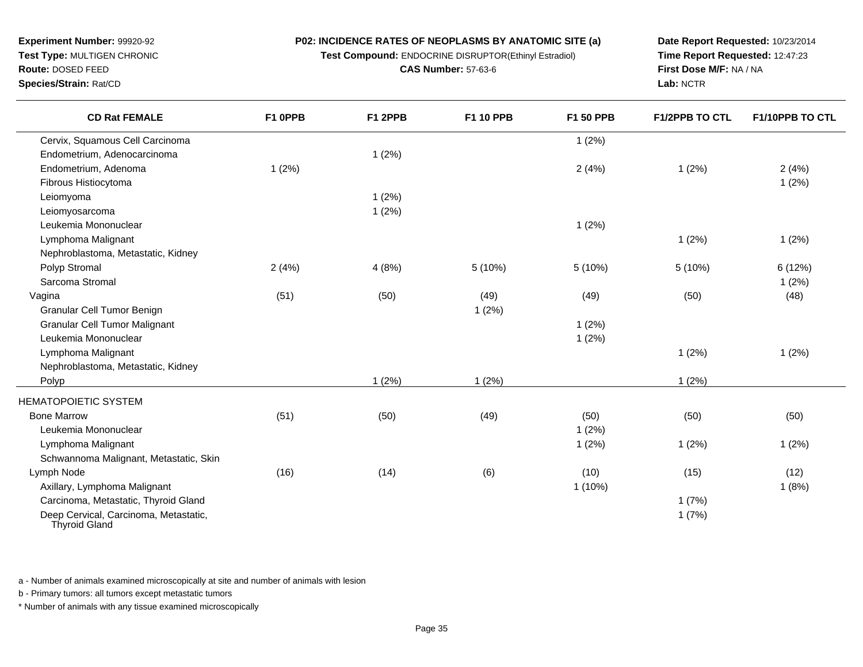**Test Compound:** ENDOCRINE DISRUPTOR(Ethinyl Estradiol)

**CAS Number:** 57-63-6

**Date Report Requested:** 10/23/2014**Time Report Requested:** 12:47:23**First Dose M/F:** NA / NA**Lab:** NCTR

| <b>CD Rat FEMALE</b>                                          | F1 OPPB | F1 2PPB | F1 10 PPB | F1 50 PPB | <b>F1/2PPB TO CTL</b> | <b>F1/10PPB TO CTL</b> |
|---------------------------------------------------------------|---------|---------|-----------|-----------|-----------------------|------------------------|
| Cervix, Squamous Cell Carcinoma                               |         |         |           | 1(2%)     |                       |                        |
| Endometrium, Adenocarcinoma                                   |         | 1(2%)   |           |           |                       |                        |
| Endometrium, Adenoma                                          | 1(2%)   |         |           | 2(4%)     | 1(2%)                 | 2(4%)                  |
| Fibrous Histiocytoma                                          |         |         |           |           |                       | 1(2%)                  |
| Leiomyoma                                                     |         | 1(2%)   |           |           |                       |                        |
| Leiomyosarcoma                                                |         | 1(2%)   |           |           |                       |                        |
| Leukemia Mononuclear                                          |         |         |           | 1(2%)     |                       |                        |
| Lymphoma Malignant                                            |         |         |           |           | 1(2%)                 | 1(2%)                  |
| Nephroblastoma, Metastatic, Kidney                            |         |         |           |           |                       |                        |
| Polyp Stromal                                                 | 2(4%)   | 4(8%)   | 5(10%)    | 5(10%)    | 5(10%)                | 6 (12%)                |
| Sarcoma Stromal                                               |         |         |           |           |                       | 1(2%)                  |
| Vagina                                                        | (51)    | (50)    | (49)      | (49)      | (50)                  | (48)                   |
| Granular Cell Tumor Benign                                    |         |         | 1(2%)     |           |                       |                        |
| <b>Granular Cell Tumor Malignant</b>                          |         |         |           | 1(2%)     |                       |                        |
| Leukemia Mononuclear                                          |         |         |           | 1(2%)     |                       |                        |
| Lymphoma Malignant                                            |         |         |           |           | 1(2%)                 | 1(2%)                  |
| Nephroblastoma, Metastatic, Kidney                            |         |         |           |           |                       |                        |
| Polyp                                                         |         | 1(2%)   | 1(2%)     |           | 1(2%)                 |                        |
| <b>HEMATOPOIETIC SYSTEM</b>                                   |         |         |           |           |                       |                        |
| <b>Bone Marrow</b>                                            | (51)    | (50)    | (49)      | (50)      | (50)                  | (50)                   |
| Leukemia Mononuclear                                          |         |         |           | 1(2%)     |                       |                        |
| Lymphoma Malignant                                            |         |         |           | 1(2%)     | 1(2%)                 | 1(2%)                  |
| Schwannoma Malignant, Metastatic, Skin                        |         |         |           |           |                       |                        |
| Lymph Node                                                    | (16)    | (14)    | (6)       | (10)      | (15)                  | (12)                   |
| Axillary, Lymphoma Malignant                                  |         |         |           | $1(10\%)$ |                       | 1(8%)                  |
| Carcinoma, Metastatic, Thyroid Gland                          |         |         |           |           | 1(7%)                 |                        |
| Deep Cervical, Carcinoma, Metastatic,<br><b>Thyroid Gland</b> |         |         |           |           | 1(7%)                 |                        |

a - Number of animals examined microscopically at site and number of animals with lesion

b - Primary tumors: all tumors except metastatic tumors

**Experiment Number:** 99920-92**Test Type:** MULTIGEN CHRONIC

**Route:** DOSED FEED**Species/Strain:** Rat/CD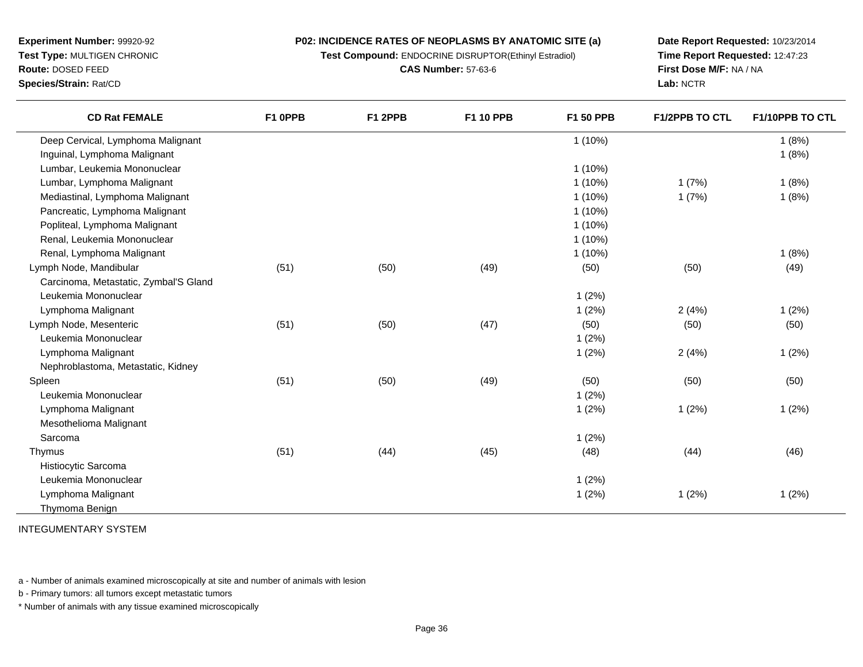**Test Compound:** ENDOCRINE DISRUPTOR(Ethinyl Estradiol)

**CAS Number:** 57-63-6

**Date Report Requested:** 10/23/2014**Time Report Requested:** 12:47:23**First Dose M/F:** NA / NA**Lab:** NCTR

| <b>CD Rat FEMALE</b>                  | F1 OPPB | F1 2PPB | F1 10 PPB | F1 50 PPB | <b>F1/2PPB TO CTL</b> | F1/10PPB TO CTL |
|---------------------------------------|---------|---------|-----------|-----------|-----------------------|-----------------|
| Deep Cervical, Lymphoma Malignant     |         |         |           | $1(10\%)$ |                       | 1(8%)           |
| Inguinal, Lymphoma Malignant          |         |         |           |           |                       | 1(8%)           |
| Lumbar, Leukemia Mononuclear          |         |         |           | $1(10\%)$ |                       |                 |
| Lumbar, Lymphoma Malignant            |         |         |           | $1(10\%)$ | 1(7%)                 | 1(8%)           |
| Mediastinal, Lymphoma Malignant       |         |         |           | $1(10\%)$ | 1(7%)                 | 1(8%)           |
| Pancreatic, Lymphoma Malignant        |         |         |           | $1(10\%)$ |                       |                 |
| Popliteal, Lymphoma Malignant         |         |         |           | $1(10\%)$ |                       |                 |
| Renal, Leukemia Mononuclear           |         |         |           | $1(10\%)$ |                       |                 |
| Renal, Lymphoma Malignant             |         |         |           | $1(10\%)$ |                       | 1(8%)           |
| Lymph Node, Mandibular                | (51)    | (50)    | (49)      | (50)      | (50)                  | (49)            |
| Carcinoma, Metastatic, Zymbal'S Gland |         |         |           |           |                       |                 |
| Leukemia Mononuclear                  |         |         |           | 1(2%)     |                       |                 |
| Lymphoma Malignant                    |         |         |           | 1(2%)     | 2(4%)                 | 1(2%)           |
| Lymph Node, Mesenteric                | (51)    | (50)    | (47)      | (50)      | (50)                  | (50)            |
| Leukemia Mononuclear                  |         |         |           | 1(2%)     |                       |                 |
| Lymphoma Malignant                    |         |         |           | 1(2%)     | 2(4%)                 | 1(2%)           |
| Nephroblastoma, Metastatic, Kidney    |         |         |           |           |                       |                 |
| Spleen                                | (51)    | (50)    | (49)      | (50)      | (50)                  | (50)            |
| Leukemia Mononuclear                  |         |         |           | 1(2%)     |                       |                 |
| Lymphoma Malignant                    |         |         |           | 1(2%)     | 1(2%)                 | 1(2%)           |
| Mesothelioma Malignant                |         |         |           |           |                       |                 |
| Sarcoma                               |         |         |           | 1(2%)     |                       |                 |
| Thymus                                | (51)    | (44)    | (45)      | (48)      | (44)                  | (46)            |
| Histiocytic Sarcoma                   |         |         |           |           |                       |                 |
| Leukemia Mononuclear                  |         |         |           | 1(2%)     |                       |                 |
| Lymphoma Malignant                    |         |         |           | 1(2%)     | 1(2%)                 | 1(2%)           |
| Thymoma Benign                        |         |         |           |           |                       |                 |
|                                       |         |         |           |           |                       |                 |

INTEGUMENTARY SYSTEM

**Experiment Number:** 99920-92**Test Type:** MULTIGEN CHRONIC

**Route:** DOSED FEED**Species/Strain:** Rat/CD

a - Number of animals examined microscopically at site and number of animals with lesion

b - Primary tumors: all tumors except metastatic tumors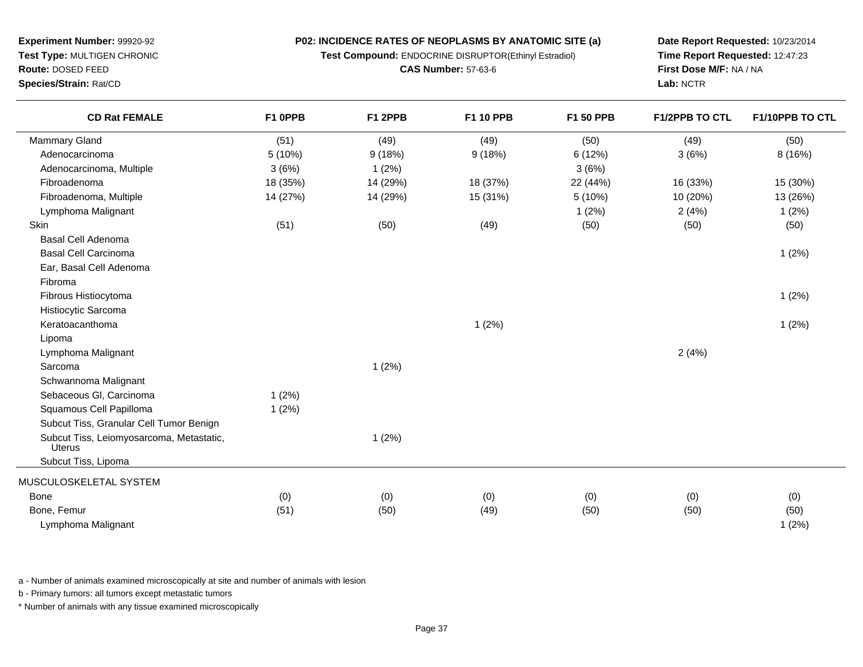**Test Compound:** ENDOCRINE DISRUPTOR(Ethinyl Estradiol)

**CAS Number:** 57-63-6

**Date Report Requested:** 10/23/2014**Time Report Requested:** 12:47:23**First Dose M/F:** NA / NA**Lab:** NCTR

| (50)<br>8(16%)<br>15 (30%) |
|----------------------------|
|                            |
|                            |
|                            |
|                            |
| 13 (26%)                   |
| 1(2%)                      |
| (50)                       |
|                            |
| 1(2%)                      |
|                            |
|                            |
| 1(2%)                      |
|                            |
| 1(2%)                      |
|                            |
|                            |
|                            |
|                            |
|                            |
|                            |
|                            |
|                            |
|                            |
|                            |
| (0)                        |
| (50)                       |
| 1(2%)                      |
|                            |

a - Number of animals examined microscopically at site and number of animals with lesion

b - Primary tumors: all tumors except metastatic tumors

**Experiment Number:** 99920-92**Test Type:** MULTIGEN CHRONIC

**Route:** DOSED FEED**Species/Strain:** Rat/CD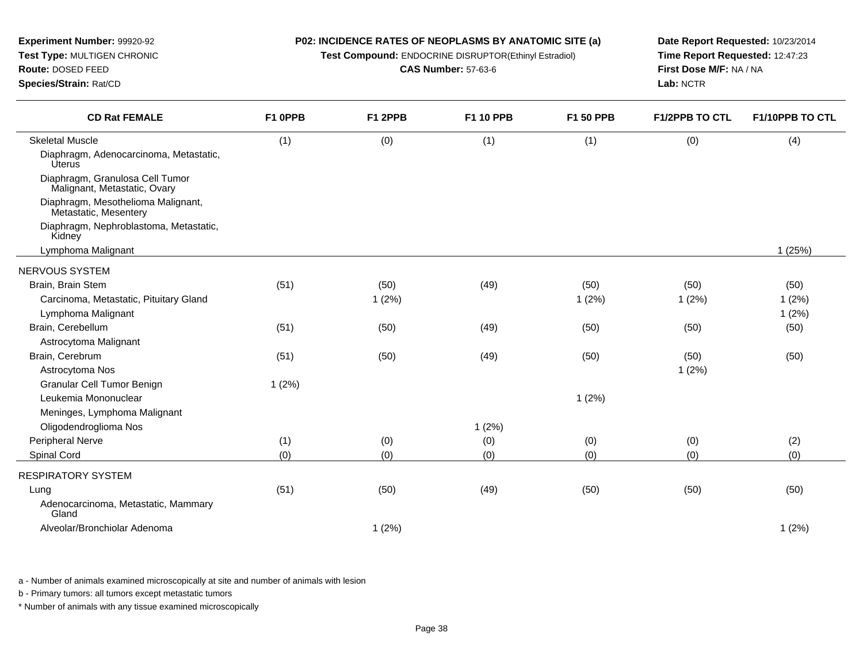| Experiment Number: 99920-92<br>Test Type: MULTIGEN CHRONIC<br>Route: DOSED FEED<br>Species/Strain: Rat/CD | P02: INCIDENCE RATES OF NEOPLASMS BY ANATOMIC SITE (a)<br>Test Compound: ENDOCRINE DISRUPTOR(Ethinyl Estradiol)<br><b>CAS Number: 57-63-6</b> |         |                  |           | Date Report Requested: 10/23/2014<br>Time Report Requested: 12:47:23<br>First Dose M/F: NA / NA<br>Lab: NCTR |                 |
|-----------------------------------------------------------------------------------------------------------|-----------------------------------------------------------------------------------------------------------------------------------------------|---------|------------------|-----------|--------------------------------------------------------------------------------------------------------------|-----------------|
| <b>CD Rat FEMALE</b>                                                                                      | F1 OPPB                                                                                                                                       | F1 2PPB | <b>F1 10 PPB</b> | F1 50 PPB | <b>F1/2PPB TO CTL</b>                                                                                        | F1/10PPB TO CTL |
| <b>Skeletal Muscle</b>                                                                                    | (1)                                                                                                                                           | (0)     | (1)              | (1)       | (0)                                                                                                          | (4)             |
| Diaphragm, Adenocarcinoma, Metastatic,<br><b>Uterus</b>                                                   |                                                                                                                                               |         |                  |           |                                                                                                              |                 |
| Diaphragm, Granulosa Cell Tumor<br>Malignant, Metastatic, Ovary                                           |                                                                                                                                               |         |                  |           |                                                                                                              |                 |
| Diaphragm, Mesothelioma Malignant,<br>Metastatic, Mesentery                                               |                                                                                                                                               |         |                  |           |                                                                                                              |                 |
| Diaphragm, Nephroblastoma, Metastatic,<br>Kidney                                                          |                                                                                                                                               |         |                  |           |                                                                                                              |                 |
| Lymphoma Malignant                                                                                        |                                                                                                                                               |         |                  |           |                                                                                                              | 1(25%)          |
| NERVOUS SYSTEM                                                                                            |                                                                                                                                               |         |                  |           |                                                                                                              |                 |
| Brain, Brain Stem                                                                                         | (51)                                                                                                                                          | (50)    | (49)             | (50)      | (50)                                                                                                         | (50)            |
| Carcinoma, Metastatic, Pituitary Gland                                                                    |                                                                                                                                               | 1(2%)   |                  | 1(2%)     | 1(2%)                                                                                                        | 1(2%)           |
| Lymphoma Malignant                                                                                        |                                                                                                                                               |         |                  |           |                                                                                                              | 1(2%)           |
| Brain, Cerebellum                                                                                         | (51)                                                                                                                                          | (50)    | (49)             | (50)      | (50)                                                                                                         | (50)            |
| Astrocytoma Malignant                                                                                     |                                                                                                                                               |         |                  |           |                                                                                                              |                 |
| Brain, Cerebrum                                                                                           | (51)                                                                                                                                          | (50)    | (49)             | (50)      | (50)                                                                                                         | (50)            |
| Astrocytoma Nos                                                                                           |                                                                                                                                               |         |                  |           | 1(2%)                                                                                                        |                 |
| <b>Granular Cell Tumor Benign</b>                                                                         | 1(2%)                                                                                                                                         |         |                  |           |                                                                                                              |                 |
| Leukemia Mononuclear                                                                                      |                                                                                                                                               |         |                  | 1(2%)     |                                                                                                              |                 |
| Meninges, Lymphoma Malignant                                                                              |                                                                                                                                               |         |                  |           |                                                                                                              |                 |
| Oligodendroglioma Nos                                                                                     |                                                                                                                                               |         | 1(2%)            |           |                                                                                                              |                 |
| Peripheral Nerve                                                                                          | (1)                                                                                                                                           | (0)     | (0)              | (0)       | (0)                                                                                                          | (2)             |
| Spinal Cord                                                                                               | (0)                                                                                                                                           | (0)     | (0)              | (0)       | (0)                                                                                                          | (0)             |
| <b>RESPIRATORY SYSTEM</b>                                                                                 |                                                                                                                                               |         |                  |           |                                                                                                              |                 |
| Lung                                                                                                      | (51)                                                                                                                                          | (50)    | (49)             | (50)      | (50)                                                                                                         | (50)            |
| Adenocarcinoma, Metastatic, Mammary<br>Gland                                                              |                                                                                                                                               |         |                  |           |                                                                                                              |                 |
| Alveolar/Bronchiolar Adenoma                                                                              |                                                                                                                                               | 1(2%)   |                  |           |                                                                                                              | 1(2%)           |

a - Number of animals examined microscopically at site and number of animals with lesion

b - Primary tumors: all tumors except metastatic tumors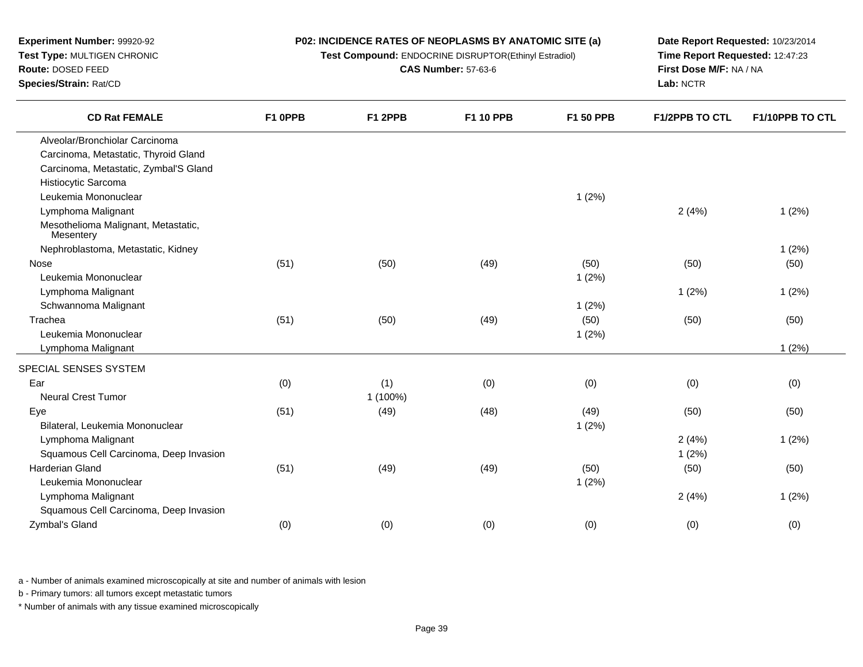**Test Compound:** ENDOCRINE DISRUPTOR(Ethinyl Estradiol)

**CAS Number:** 57-63-6

**Date Report Requested:** 10/23/2014 **Time Report Requested:** 12:47:23**First Dose M/F:** NA / NA**Lab:** NCTR

| <b>CD Rat FEMALE</b>                             | F1 OPPB | F1 2PPB  | F1 10 PPB | F1 50 PPB | <b>F1/2PPB TO CTL</b> | F1/10PPB TO CTL |
|--------------------------------------------------|---------|----------|-----------|-----------|-----------------------|-----------------|
| Alveolar/Bronchiolar Carcinoma                   |         |          |           |           |                       |                 |
| Carcinoma, Metastatic, Thyroid Gland             |         |          |           |           |                       |                 |
| Carcinoma, Metastatic, Zymbal'S Gland            |         |          |           |           |                       |                 |
| Histiocytic Sarcoma                              |         |          |           |           |                       |                 |
| Leukemia Mononuclear                             |         |          |           | 1(2%)     |                       |                 |
| Lymphoma Malignant                               |         |          |           |           | 2(4%)                 | 1(2%)           |
| Mesothelioma Malignant, Metastatic,<br>Mesentery |         |          |           |           |                       |                 |
| Nephroblastoma, Metastatic, Kidney               |         |          |           |           |                       | 1(2%)           |
| Nose                                             | (51)    | (50)     | (49)      | (50)      | (50)                  | (50)            |
| Leukemia Mononuclear                             |         |          |           | 1(2%)     |                       |                 |
| Lymphoma Malignant                               |         |          |           |           | 1(2%)                 | 1(2%)           |
| Schwannoma Malignant                             |         |          |           | 1(2%)     |                       |                 |
| Trachea                                          | (51)    | (50)     | (49)      | (50)      | (50)                  | (50)            |
| Leukemia Mononuclear                             |         |          |           | 1(2%)     |                       |                 |
| Lymphoma Malignant                               |         |          |           |           |                       | 1(2%)           |
| SPECIAL SENSES SYSTEM                            |         |          |           |           |                       |                 |
| Ear                                              | (0)     | (1)      | (0)       | (0)       | (0)                   | (0)             |
| <b>Neural Crest Tumor</b>                        |         | 1 (100%) |           |           |                       |                 |
| Eye                                              | (51)    | (49)     | (48)      | (49)      | (50)                  | (50)            |
| Bilateral, Leukemia Mononuclear                  |         |          |           | 1(2%)     |                       |                 |
| Lymphoma Malignant                               |         |          |           |           | 2(4%)                 | 1(2%)           |
| Squamous Cell Carcinoma, Deep Invasion           |         |          |           |           | 1(2%)                 |                 |
| Harderian Gland                                  | (51)    | (49)     | (49)      | (50)      | (50)                  | (50)            |
| Leukemia Mononuclear                             |         |          |           | 1(2%)     |                       |                 |
| Lymphoma Malignant                               |         |          |           |           | 2(4%)                 | 1(2%)           |
| Squamous Cell Carcinoma, Deep Invasion           |         |          |           |           |                       |                 |
| Zymbal's Gland                                   | (0)     | (0)      | (0)       | (0)       | (0)                   | (0)             |
|                                                  |         |          |           |           |                       |                 |

a - Number of animals examined microscopically at site and number of animals with lesion

b - Primary tumors: all tumors except metastatic tumors

\* Number of animals with any tissue examined microscopically

**Experiment Number:** 99920-92**Test Type:** MULTIGEN CHRONIC

**Route:** DOSED FEED

**Species/Strain:** Rat/CD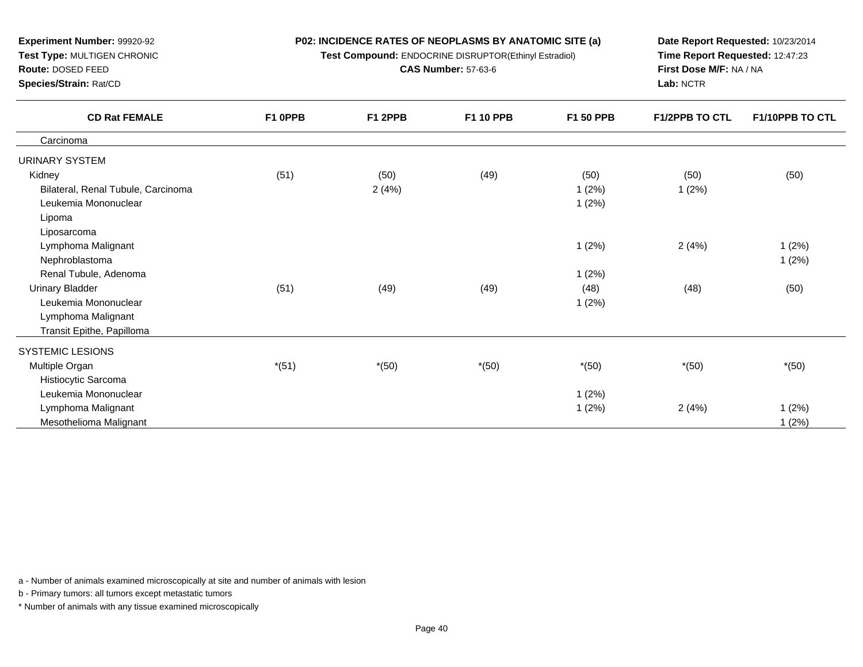**Test Compound:** ENDOCRINE DISRUPTOR(Ethinyl Estradiol)

**CAS Number:** 57-63-6

**Date Report Requested:** 10/23/2014**Time Report Requested:** 12:47:23**First Dose M/F:** NA / NA**Lab:** NCTR

| <b>CD Rat FEMALE</b>               | F1 OPPB | F1 2PPB | F1 10 PPB | F1 50 PPB | F1/2PPB TO CTL | F1/10PPB TO CTL |
|------------------------------------|---------|---------|-----------|-----------|----------------|-----------------|
| Carcinoma                          |         |         |           |           |                |                 |
| URINARY SYSTEM                     |         |         |           |           |                |                 |
| Kidney                             | (51)    | (50)    | (49)      | (50)      | (50)           | (50)            |
| Bilateral, Renal Tubule, Carcinoma |         | 2(4%)   |           | 1(2%)     | 1(2%)          |                 |
| Leukemia Mononuclear               |         |         |           | 1(2%)     |                |                 |
| Lipoma                             |         |         |           |           |                |                 |
| Liposarcoma                        |         |         |           |           |                |                 |
| Lymphoma Malignant                 |         |         |           | 1(2%)     | 2(4%)          | 1(2%)           |
| Nephroblastoma                     |         |         |           |           |                | 1(2%)           |
| Renal Tubule, Adenoma              |         |         |           | 1(2%)     |                |                 |
| Urinary Bladder                    | (51)    | (49)    | (49)      | (48)      | (48)           | (50)            |
| Leukemia Mononuclear               |         |         |           | 1(2%)     |                |                 |
| Lymphoma Malignant                 |         |         |           |           |                |                 |
| Transit Epithe, Papilloma          |         |         |           |           |                |                 |
| SYSTEMIC LESIONS                   |         |         |           |           |                |                 |
| Multiple Organ                     | $*(51)$ | $*(50)$ | $*(50)$   | $*(50)$   | $*(50)$        | $*(50)$         |
| Histiocytic Sarcoma                |         |         |           |           |                |                 |
| Leukemia Mononuclear               |         |         |           | 1(2%)     |                |                 |
| Lymphoma Malignant                 |         |         |           | 1(2%)     | 2(4%)          | 1(2%)           |
| Mesothelioma Malignant             |         |         |           |           |                | 1(2%)           |

a - Number of animals examined microscopically at site and number of animals with lesion

b - Primary tumors: all tumors except metastatic tumors

**Experiment Number:** 99920-92**Test Type:** MULTIGEN CHRONIC

**Route:** DOSED FEED**Species/Strain:** Rat/CD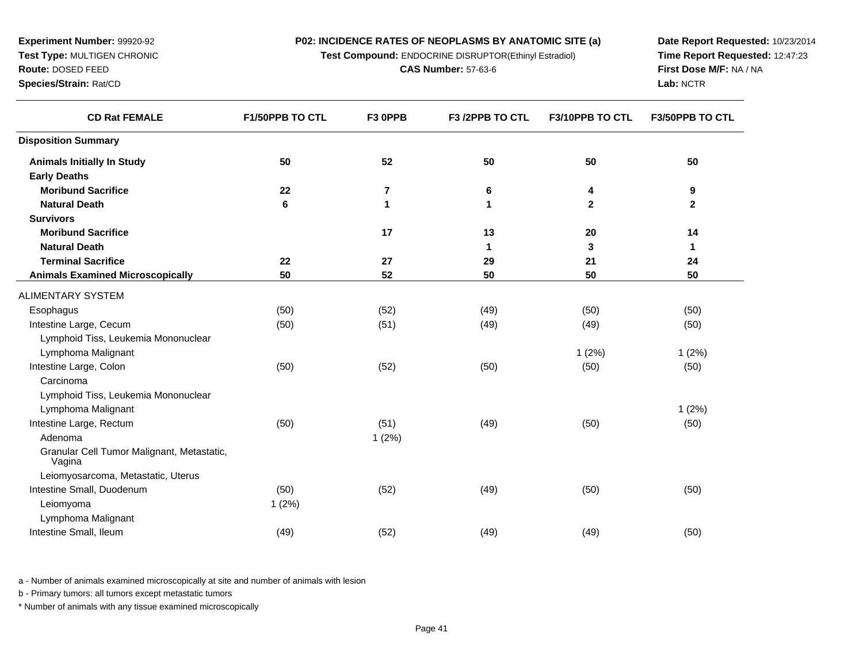**Test Compound:** ENDOCRINE DISRUPTOR(Ethinyl Estradiol)

**CAS Number:** 57-63-6

**Date Report Requested:** 10/23/2014**Time Report Requested:** 12:47:23**First Dose M/F:** NA / NA**Lab:** NCTR

| <b>CD Rat FEMALE</b>                                 | <b>F1/50PPB TO CTL</b> | F3 OPPB        | F3 /2PPB TO CTL | F3/10PPB TO CTL | <b>F3/50PPB TO CTL</b> |
|------------------------------------------------------|------------------------|----------------|-----------------|-----------------|------------------------|
| <b>Disposition Summary</b>                           |                        |                |                 |                 |                        |
| <b>Animals Initially In Study</b>                    | 50                     | 52             | 50              | 50              | 50                     |
| <b>Early Deaths</b>                                  |                        |                |                 |                 |                        |
| <b>Moribund Sacrifice</b>                            | 22                     | $\overline{7}$ | 6               | 4               | 9                      |
| <b>Natural Death</b>                                 | 6                      | 1              | 1               | $\mathbf{2}$    | $\mathbf{2}$           |
| <b>Survivors</b>                                     |                        |                |                 |                 |                        |
| <b>Moribund Sacrifice</b>                            |                        | 17             | 13              | 20              | 14                     |
| <b>Natural Death</b>                                 |                        |                | 1               | 3               | 1                      |
| <b>Terminal Sacrifice</b>                            | 22                     | 27             | 29              | 21              | 24                     |
| <b>Animals Examined Microscopically</b>              | 50                     | 52             | 50              | 50              | 50                     |
| ALIMENTARY SYSTEM                                    |                        |                |                 |                 |                        |
| Esophagus                                            | (50)                   | (52)           | (49)            | (50)            | (50)                   |
| Intestine Large, Cecum                               | (50)                   | (51)           | (49)            | (49)            | (50)                   |
| Lymphoid Tiss, Leukemia Mononuclear                  |                        |                |                 |                 |                        |
| Lymphoma Malignant                                   |                        |                |                 | 1(2%)           | 1(2%)                  |
| Intestine Large, Colon                               | (50)                   | (52)           | (50)            | (50)            | (50)                   |
| Carcinoma                                            |                        |                |                 |                 |                        |
| Lymphoid Tiss, Leukemia Mononuclear                  |                        |                |                 |                 |                        |
| Lymphoma Malignant                                   |                        |                |                 |                 | 1(2%)                  |
| Intestine Large, Rectum                              | (50)                   | (51)           | (49)            | (50)            | (50)                   |
| Adenoma                                              |                        | 1(2%)          |                 |                 |                        |
| Granular Cell Tumor Malignant, Metastatic,<br>Vagina |                        |                |                 |                 |                        |
| Leiomyosarcoma, Metastatic, Uterus                   |                        |                |                 |                 |                        |
| Intestine Small, Duodenum                            | (50)                   | (52)           | (49)            | (50)            | (50)                   |
| Leiomyoma                                            | 1(2%)                  |                |                 |                 |                        |
| Lymphoma Malignant                                   |                        |                |                 |                 |                        |
| Intestine Small, Ileum                               | (49)                   | (52)           | (49)            | (49)            | (50)                   |
|                                                      |                        |                |                 |                 |                        |

a - Number of animals examined microscopically at site and number of animals with lesion

b - Primary tumors: all tumors except metastatic tumors

**Experiment Number:** 99920-92**Test Type:** MULTIGEN CHRONIC

**Route:** DOSED FEED**Species/Strain:** Rat/CD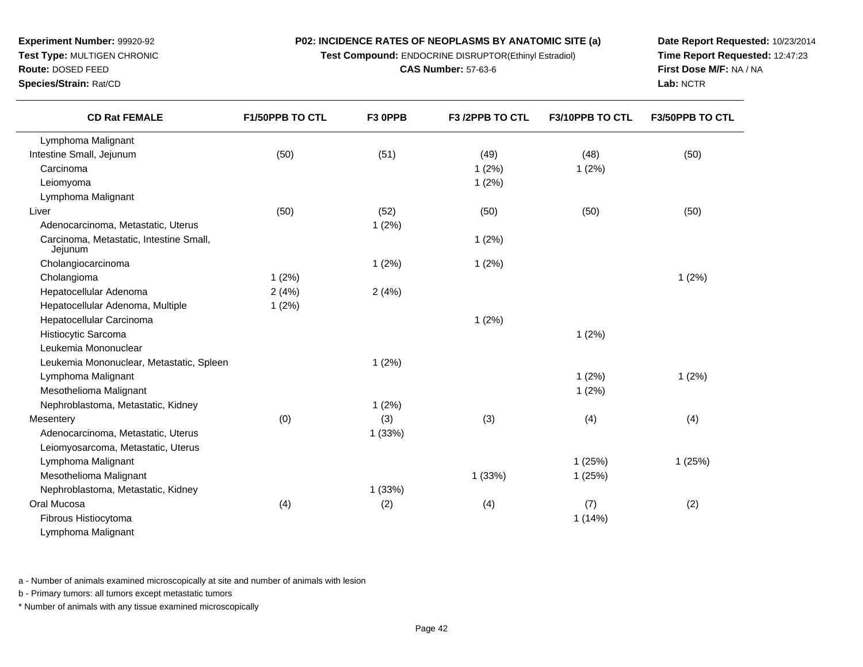**Test Compound:** ENDOCRINE DISRUPTOR(Ethinyl Estradiol)

**CAS Number:** 57-63-6

**Date Report Requested:** 10/23/2014**Time Report Requested:** 12:47:23**First Dose M/F:** NA / NA**Lab:** NCTR

**Route:** DOSED FEED

**Species/Strain:** Rat/CD

| <b>CD Rat FEMALE</b>                               | F1/50PPB TO CTL | F3 OPPB | F3 /2PPB TO CTL | F3/10PPB TO CTL | F3/50PPB TO CTL |
|----------------------------------------------------|-----------------|---------|-----------------|-----------------|-----------------|
| Lymphoma Malignant                                 |                 |         |                 |                 |                 |
| Intestine Small, Jejunum                           | (50)            | (51)    | (49)            | (48)            | (50)            |
| Carcinoma                                          |                 |         | 1(2%)           | 1(2%)           |                 |
| Leiomyoma                                          |                 |         | 1(2%)           |                 |                 |
| Lymphoma Malignant                                 |                 |         |                 |                 |                 |
| Liver                                              | (50)            | (52)    | (50)            | (50)            | (50)            |
| Adenocarcinoma, Metastatic, Uterus                 |                 | 1(2%)   |                 |                 |                 |
| Carcinoma, Metastatic, Intestine Small,<br>Jejunum |                 |         | 1(2%)           |                 |                 |
| Cholangiocarcinoma                                 |                 | 1(2%)   | 1(2%)           |                 |                 |
| Cholangioma                                        | 1(2%)           |         |                 |                 | 1(2%)           |
| Hepatocellular Adenoma                             | 2(4%)           | 2(4%)   |                 |                 |                 |
| Hepatocellular Adenoma, Multiple                   | 1(2%)           |         |                 |                 |                 |
| Hepatocellular Carcinoma                           |                 |         | 1(2%)           |                 |                 |
| Histiocytic Sarcoma                                |                 |         |                 | 1(2%)           |                 |
| Leukemia Mononuclear                               |                 |         |                 |                 |                 |
| Leukemia Mononuclear, Metastatic, Spleen           |                 | 1(2%)   |                 |                 |                 |
| Lymphoma Malignant                                 |                 |         |                 | 1(2%)           | 1(2%)           |
| Mesothelioma Malignant                             |                 |         |                 | 1(2%)           |                 |
| Nephroblastoma, Metastatic, Kidney                 |                 | 1(2%)   |                 |                 |                 |
| Mesentery                                          | (0)             | (3)     | (3)             | (4)             | (4)             |
| Adenocarcinoma, Metastatic, Uterus                 |                 | 1(33%)  |                 |                 |                 |
| Leiomyosarcoma, Metastatic, Uterus                 |                 |         |                 |                 |                 |
| Lymphoma Malignant                                 |                 |         |                 | 1(25%)          | 1(25%)          |
| Mesothelioma Malignant                             |                 |         | 1(33%)          | 1(25%)          |                 |
| Nephroblastoma, Metastatic, Kidney                 |                 | 1(33%)  |                 |                 |                 |
| Oral Mucosa                                        | (4)             | (2)     | (4)             | (7)             | (2)             |
| Fibrous Histiocytoma                               |                 |         |                 | 1(14%)          |                 |
| Lymphoma Malignant                                 |                 |         |                 |                 |                 |

a - Number of animals examined microscopically at site and number of animals with lesion

b - Primary tumors: all tumors except metastatic tumors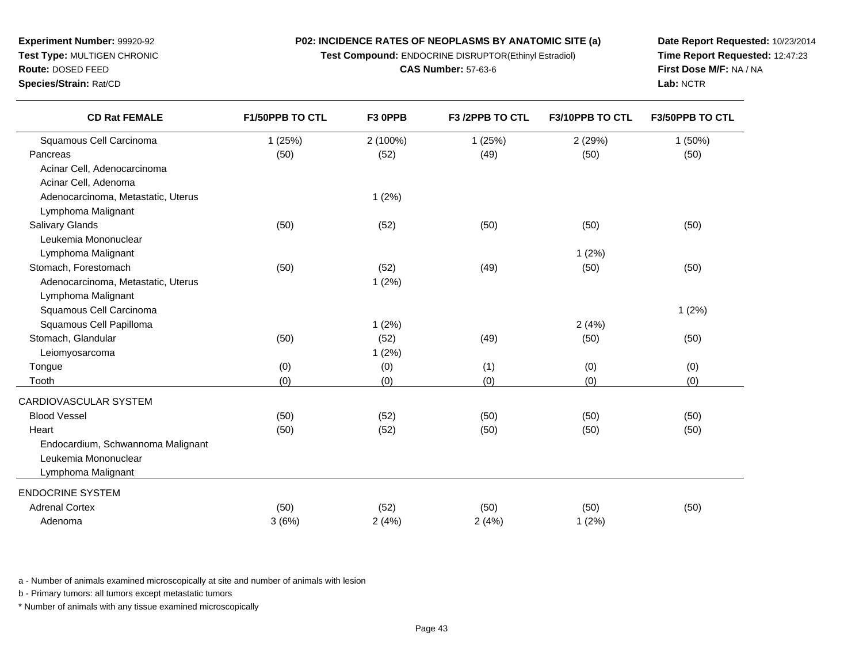**Test Compound:** ENDOCRINE DISRUPTOR(Ethinyl Estradiol)

**CAS Number:** 57-63-6

a the contract of  $1(2\%)$ 

) (52) (50) (50) (50) (50) (50)

) (52) (50) (50) (50) (50) (50)

(50) (52) (49) (50) (50)

x (50) (50) (52) (52) (50) (50) (50) (50) (50)

a  $3(6\%)$   $2(4\%)$   $2(4\%)$   $2(4\%)$   $1(2\%)$ 

a and  $1 (2\%)$  2 (4%)

e (0) (0) (0) (1) (0) (0) (0)

h (0) (0) (0) (0) (0) (0) (0) (0)

**Date Report Requested:** 10/23/2014**Time Report Requested:** 12:47:23**First Dose M/F:** NA / NA**Lab:** NCTR

|                        |                     |                 |                        | Lab: NCTR              |
|------------------------|---------------------|-----------------|------------------------|------------------------|
| <b>F1/50PPB TO CTL</b> | F <sub>3</sub> OPPB | F3 /2PPB TO CTL | <b>F3/10PPB TO CTL</b> | <b>F3/50PPB TO CTL</b> |
| 1(25%)                 | $2(100\%)$          | 1(25%)          | 2(29%)                 | $1(50\%)$              |
| (50)                   | (52)                | (49)            | (50)                   | (50)                   |
|                        |                     |                 |                        |                        |
|                        |                     |                 |                        |                        |
|                        | 1(2%)               |                 |                        |                        |
|                        |                     |                 |                        |                        |
| (50)                   | (52)                | (50)            | (50)                   | (50)                   |
|                        |                     |                 |                        |                        |
|                        |                     |                 | 1(2%)                  |                        |
| (50)                   | (52)                | (49)            | (50)                   | (50)                   |
|                        |                     |                 |                        |                        |

s and  $1 (2\%)$ 

a and  $1 (2\%)$ 

b - Primary tumors: all tumors except metastatic tumors

a - Number of animals examined microscopically at site and number of animals with lesion

 $\vert$  (50)

t the contract of  $(50)$ 

\* Number of animals with any tissue examined microscopically

Adenocarcinoma, Metastatic, Uterus

Endocardium, Schwannoma Malignant

Lymphoma MalignantSquamous Cell Carcinoma

Stomach, Glandular

**Tongue** 

Blood Vessel

ENDOCRINE SYSTEMAdrenal Cortex

Adenoma

Tooth

Heart

Leiomyosarcoma

CARDIOVASCULAR SYSTEM

Leukemia MononuclearLymphoma Malignant

Squamous Cell Papilloma

| <b>Experiment Number: 99920-92</b> |  |
|------------------------------------|--|
| <b>Test Type: MULTIGEN CHRONIC</b> |  |
| Route: DOSED FFED                  |  |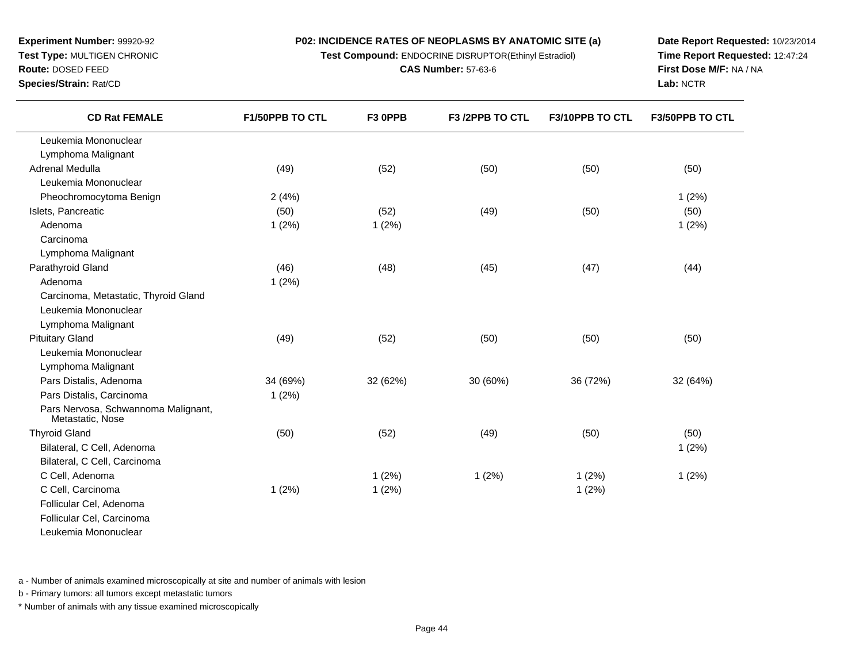**Test Compound:** ENDOCRINE DISRUPTOR(Ethinyl Estradiol)

**CAS Number:** 57-63-6

**Date Report Requested:** 10/23/2014**Time Report Requested:** 12:47:24**First Dose M/F:** NA / NA**Lab:** NCTR

| <b>CD Rat FEMALE</b>                                         | F1/50PPB TO CTL | F3 OPPB  | F3 /2PPB TO CTL | F3/10PPB TO CTL | F3/50PPB TO CTL |
|--------------------------------------------------------------|-----------------|----------|-----------------|-----------------|-----------------|
| Leukemia Mononuclear                                         |                 |          |                 |                 |                 |
| Lymphoma Malignant                                           |                 |          |                 |                 |                 |
| Adrenal Medulla                                              | (49)            | (52)     | (50)            | (50)            | (50)            |
| Leukemia Mononuclear                                         |                 |          |                 |                 |                 |
| Pheochromocytoma Benign                                      | 2(4%)           |          |                 |                 | 1(2%)           |
| Islets, Pancreatic                                           | (50)            | (52)     | (49)            | (50)            | (50)            |
| Adenoma                                                      | 1(2%)           | 1(2%)    |                 |                 | 1(2%)           |
| Carcinoma                                                    |                 |          |                 |                 |                 |
| Lymphoma Malignant                                           |                 |          |                 |                 |                 |
| Parathyroid Gland                                            | (46)            | (48)     | (45)            | (47)            | (44)            |
| Adenoma                                                      | 1(2%)           |          |                 |                 |                 |
| Carcinoma, Metastatic, Thyroid Gland<br>Leukemia Mononuclear |                 |          |                 |                 |                 |
| Lymphoma Malignant<br><b>Pituitary Gland</b>                 | (49)            | (52)     | (50)            | (50)            | (50)            |
| Leukemia Mononuclear                                         |                 |          |                 |                 |                 |
| Lymphoma Malignant                                           |                 |          |                 |                 |                 |
| Pars Distalis, Adenoma                                       | 34 (69%)        | 32 (62%) | 30 (60%)        | 36 (72%)        | 32 (64%)        |
| Pars Distalis, Carcinoma                                     | 1(2%)           |          |                 |                 |                 |
| Pars Nervosa, Schwannoma Malignant,<br>Metastatic, Nose      |                 |          |                 |                 |                 |
| <b>Thyroid Gland</b>                                         | (50)            | (52)     | (49)            | (50)            | (50)            |
| Bilateral, C Cell, Adenoma                                   |                 |          |                 |                 | 1(2%)           |
| Bilateral, C Cell, Carcinoma                                 |                 |          |                 |                 |                 |
| C Cell, Adenoma                                              |                 | 1(2%)    | 1(2%)           | 1(2%)           | 1(2%)           |
| C Cell, Carcinoma                                            | 1(2%)           | 1(2%)    |                 | 1(2%)           |                 |
| Follicular Cel, Adenoma                                      |                 |          |                 |                 |                 |
| Follicular Cel, Carcinoma                                    |                 |          |                 |                 |                 |
| Leukemia Mononuclear                                         |                 |          |                 |                 |                 |

a - Number of animals examined microscopically at site and number of animals with lesion

b - Primary tumors: all tumors except metastatic tumors

**Experiment Number:** 99920-92**Test Type:** MULTIGEN CHRONIC

**Route:** DOSED FEED**Species/Strain:** Rat/CD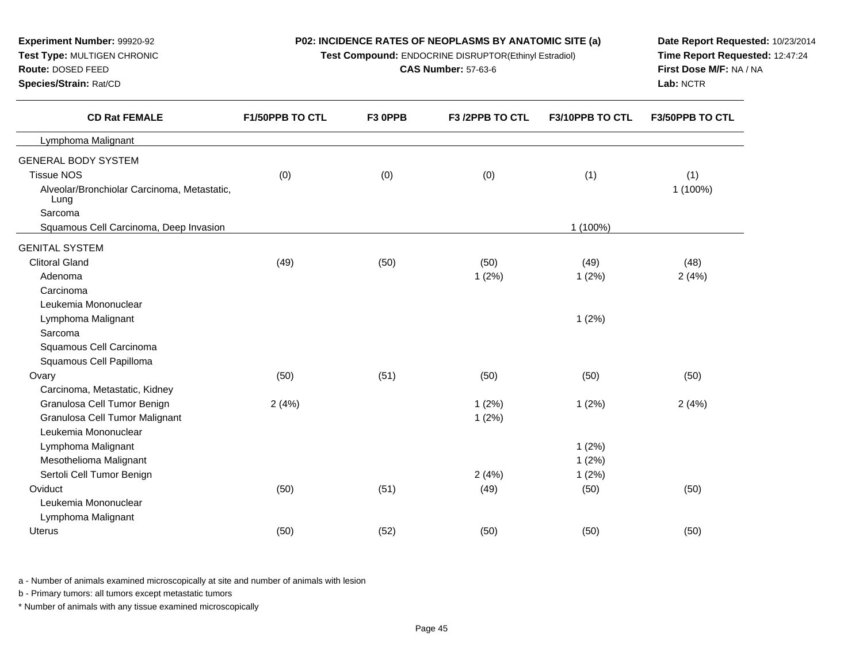| Test Type: MULTIGEN CHRONIC<br>Route: DOSED FEED<br>Species/Strain: Rat/CD | Test Compound: ENDOCRINE DISRUPTOR(Ethinyl Estradiol) | Time Report Requested: 12:47:24<br>First Dose M/F: NA / NA<br>Lab: NCTR |                 |                 |                 |
|----------------------------------------------------------------------------|-------------------------------------------------------|-------------------------------------------------------------------------|-----------------|-----------------|-----------------|
| <b>CD Rat FEMALE</b>                                                       | F1/50PPB TO CTL                                       | F3 OPPB                                                                 | F3 /2PPB TO CTL | F3/10PPB TO CTL | F3/50PPB TO CTL |
| Lymphoma Malignant                                                         |                                                       |                                                                         |                 |                 |                 |
| <b>GENERAL BODY SYSTEM</b>                                                 |                                                       |                                                                         |                 |                 |                 |
| <b>Tissue NOS</b>                                                          | (0)                                                   | (0)                                                                     | (0)             | (1)             | (1)             |
| Alveolar/Bronchiolar Carcinoma, Metastatic,<br>Lung                        |                                                       |                                                                         |                 |                 | 1 (100%)        |
| Sarcoma                                                                    |                                                       |                                                                         |                 |                 |                 |
| Squamous Cell Carcinoma, Deep Invasion                                     |                                                       |                                                                         |                 | 1 (100%)        |                 |
| <b>GENITAL SYSTEM</b>                                                      |                                                       |                                                                         |                 |                 |                 |
| <b>Clitoral Gland</b>                                                      | (49)                                                  | (50)                                                                    | (50)            | (49)            | (48)            |
| Adenoma                                                                    |                                                       |                                                                         | 1(2%)           | 1(2%)           | 2(4%)           |
| Carcinoma                                                                  |                                                       |                                                                         |                 |                 |                 |
| Leukemia Mononuclear                                                       |                                                       |                                                                         |                 |                 |                 |
| Lymphoma Malignant                                                         |                                                       |                                                                         |                 | 1(2%)           |                 |
| Sarcoma                                                                    |                                                       |                                                                         |                 |                 |                 |
| Squamous Cell Carcinoma                                                    |                                                       |                                                                         |                 |                 |                 |
| Squamous Cell Papilloma                                                    |                                                       |                                                                         |                 |                 |                 |
| Ovary                                                                      | (50)                                                  | (51)                                                                    | (50)            | (50)            | (50)            |
| Carcinoma, Metastatic, Kidney                                              |                                                       |                                                                         |                 |                 |                 |
| Granulosa Cell Tumor Benign                                                | 2(4%)                                                 |                                                                         | 1(2%)           | 1(2%)           | 2(4%)           |
| Granulosa Cell Tumor Malignant                                             |                                                       |                                                                         | 1(2%)           |                 |                 |
| Leukemia Mononuclear                                                       |                                                       |                                                                         |                 |                 |                 |
| Lymphoma Malignant                                                         |                                                       |                                                                         |                 | 1(2%)           |                 |
| Mesothelioma Malignant                                                     |                                                       |                                                                         |                 | 1(2%)           |                 |
| Sertoli Cell Tumor Benign                                                  |                                                       |                                                                         | 2(4%)           | 1(2%)           |                 |
| Oviduct                                                                    | (50)                                                  | (51)                                                                    | (49)            | (50)            | (50)            |
| Leukemia Mononuclear                                                       |                                                       |                                                                         |                 |                 |                 |
| Lymphoma Malignant                                                         |                                                       |                                                                         |                 |                 |                 |
| Uterus                                                                     | (50)                                                  | (52)                                                                    | (50)            | (50)            | (50)            |

**Date Report Requested:** 10/23/2014

a - Number of animals examined microscopically at site and number of animals with lesion

b - Primary tumors: all tumors except metastatic tumors

**Experiment Number:** 99920-92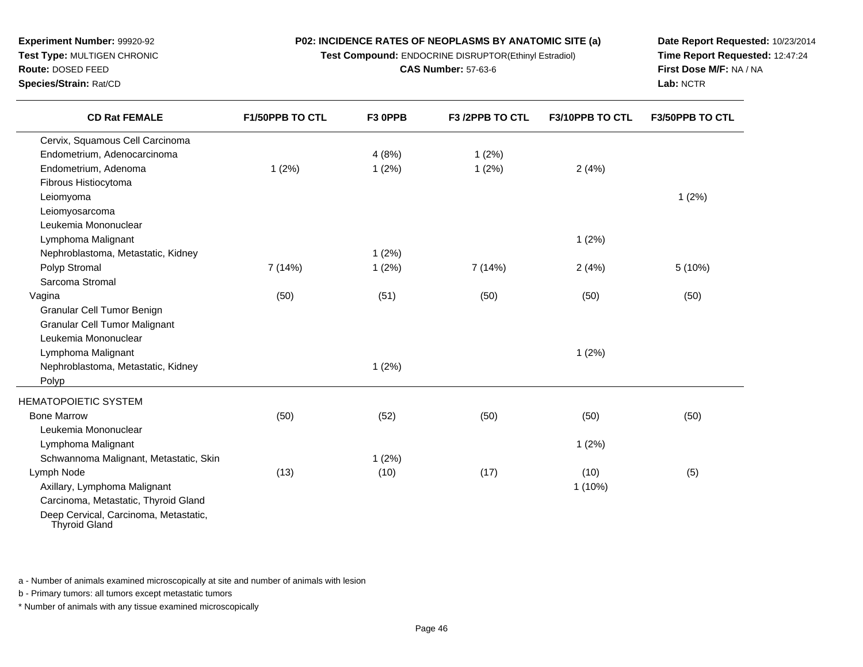**Test Compound:** ENDOCRINE DISRUPTOR(Ethinyl Estradiol)

**CAS Number:** 57-63-6

**Date Report Requested:** 10/23/2014**Time Report Requested:** 12:47:24**First Dose M/F:** NA / NA**Lab:** NCTR

| <b>CD Rat FEMALE</b>                                          | <b>F1/50PPB TO CTL</b> | F3 OPPB | F3 /2PPB TO CTL | F3/10PPB TO CTL | <b>F3/50PPB TO CTL</b> |
|---------------------------------------------------------------|------------------------|---------|-----------------|-----------------|------------------------|
| Cervix, Squamous Cell Carcinoma                               |                        |         |                 |                 |                        |
| Endometrium, Adenocarcinoma                                   |                        | 4(8%)   | 1(2%)           |                 |                        |
| Endometrium, Adenoma                                          | 1(2%)                  | 1(2%)   | 1(2%)           | 2(4%)           |                        |
| Fibrous Histiocytoma                                          |                        |         |                 |                 |                        |
| Leiomyoma                                                     |                        |         |                 |                 | 1(2%)                  |
| Leiomyosarcoma                                                |                        |         |                 |                 |                        |
| Leukemia Mononuclear                                          |                        |         |                 |                 |                        |
| Lymphoma Malignant                                            |                        |         |                 | 1(2%)           |                        |
| Nephroblastoma, Metastatic, Kidney                            |                        | 1(2%)   |                 |                 |                        |
| Polyp Stromal                                                 | 7(14%)                 | 1(2%)   | 7 (14%)         | 2(4%)           | 5(10%)                 |
| Sarcoma Stromal                                               |                        |         |                 |                 |                        |
| Vagina                                                        | (50)                   | (51)    | (50)            | (50)            | (50)                   |
| Granular Cell Tumor Benign                                    |                        |         |                 |                 |                        |
| <b>Granular Cell Tumor Malignant</b>                          |                        |         |                 |                 |                        |
| Leukemia Mononuclear                                          |                        |         |                 |                 |                        |
| Lymphoma Malignant                                            |                        |         |                 | 1(2%)           |                        |
| Nephroblastoma, Metastatic, Kidney                            |                        | 1(2%)   |                 |                 |                        |
| Polyp                                                         |                        |         |                 |                 |                        |
| <b>HEMATOPOIETIC SYSTEM</b>                                   |                        |         |                 |                 |                        |
| <b>Bone Marrow</b>                                            | (50)                   | (52)    | (50)            | (50)            | (50)                   |
| Leukemia Mononuclear                                          |                        |         |                 |                 |                        |
| Lymphoma Malignant                                            |                        |         |                 | 1(2%)           |                        |
| Schwannoma Malignant, Metastatic, Skin                        |                        | 1(2%)   |                 |                 |                        |
| Lymph Node                                                    | (13)                   | (10)    | (17)            | (10)            | (5)                    |
| Axillary, Lymphoma Malignant                                  |                        |         |                 | $1(10\%)$       |                        |
| Carcinoma, Metastatic, Thyroid Gland                          |                        |         |                 |                 |                        |
| Deep Cervical, Carcinoma, Metastatic,<br><b>Thyroid Gland</b> |                        |         |                 |                 |                        |

a - Number of animals examined microscopically at site and number of animals with lesion

b - Primary tumors: all tumors except metastatic tumors

**Experiment Number:** 99920-92**Test Type:** MULTIGEN CHRONIC

**Route:** DOSED FEED**Species/Strain:** Rat/CD

 $\overline{\phantom{0}}$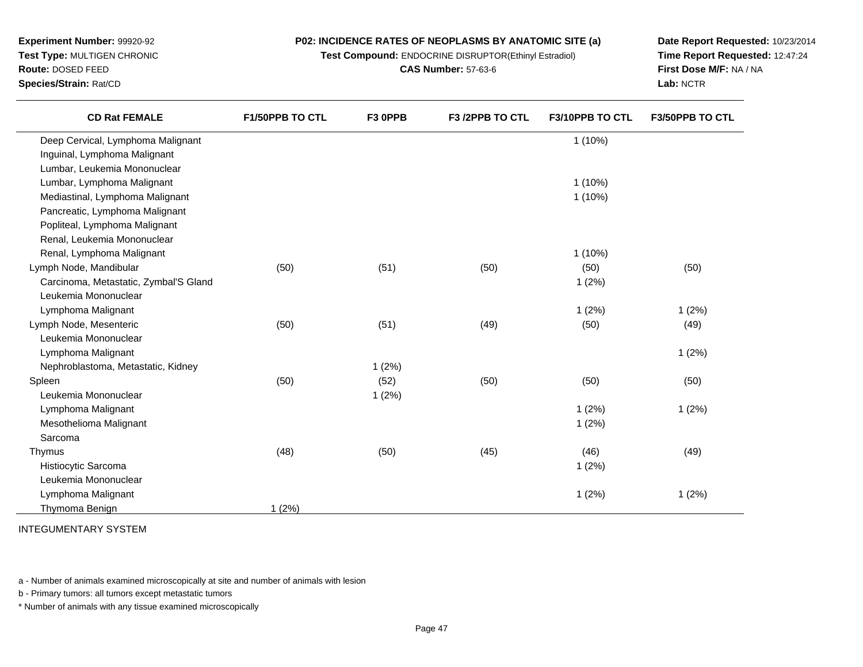**Test Compound:** ENDOCRINE DISRUPTOR(Ethinyl Estradiol)

**CAS Number:** 57-63-6

**Date Report Requested:** 10/23/2014**Time Report Requested:** 12:47:24**First Dose M/F:** NA / NA**Lab:** NCTR

| <b>CD Rat FEMALE</b>                  | F1/50PPB TO CTL | F3 OPPB | F3 /2PPB TO CTL | F3/10PPB TO CTL | <b>F3/50PPB TO CTL</b> |
|---------------------------------------|-----------------|---------|-----------------|-----------------|------------------------|
| Deep Cervical, Lymphoma Malignant     |                 |         |                 | $1(10\%)$       |                        |
| Inguinal, Lymphoma Malignant          |                 |         |                 |                 |                        |
| Lumbar, Leukemia Mononuclear          |                 |         |                 |                 |                        |
| Lumbar, Lymphoma Malignant            |                 |         |                 | $1(10\%)$       |                        |
| Mediastinal, Lymphoma Malignant       |                 |         |                 | $1(10\%)$       |                        |
| Pancreatic, Lymphoma Malignant        |                 |         |                 |                 |                        |
| Popliteal, Lymphoma Malignant         |                 |         |                 |                 |                        |
| Renal, Leukemia Mononuclear           |                 |         |                 |                 |                        |
| Renal, Lymphoma Malignant             |                 |         |                 | $1(10\%)$       |                        |
| Lymph Node, Mandibular                | (50)            | (51)    | (50)            | (50)            | (50)                   |
| Carcinoma, Metastatic, Zymbal'S Gland |                 |         |                 | 1(2%)           |                        |
| Leukemia Mononuclear                  |                 |         |                 |                 |                        |
| Lymphoma Malignant                    |                 |         |                 | 1(2%)           | 1(2%)                  |
| Lymph Node, Mesenteric                | (50)            | (51)    | (49)            | (50)            | (49)                   |
| Leukemia Mononuclear                  |                 |         |                 |                 |                        |
| Lymphoma Malignant                    |                 |         |                 |                 | 1(2%)                  |
| Nephroblastoma, Metastatic, Kidney    |                 | 1(2%)   |                 |                 |                        |
| Spleen                                | (50)            | (52)    | (50)            | (50)            | (50)                   |
| Leukemia Mononuclear                  |                 | 1(2%)   |                 |                 |                        |
| Lymphoma Malignant                    |                 |         |                 | 1(2%)           | 1(2%)                  |
| Mesothelioma Malignant                |                 |         |                 | 1(2%)           |                        |
| Sarcoma                               |                 |         |                 |                 |                        |
| Thymus                                | (48)            | (50)    | (45)            | (46)            | (49)                   |
| Histiocytic Sarcoma                   |                 |         |                 | 1(2%)           |                        |
| Leukemia Mononuclear                  |                 |         |                 |                 |                        |
| Lymphoma Malignant                    |                 |         |                 | 1(2%)           | 1(2%)                  |
| Thymoma Benign                        | 1(2%)           |         |                 |                 |                        |

INTEGUMENTARY SYSTEM

a - Number of animals examined microscopically at site and number of animals with lesion

b - Primary tumors: all tumors except metastatic tumors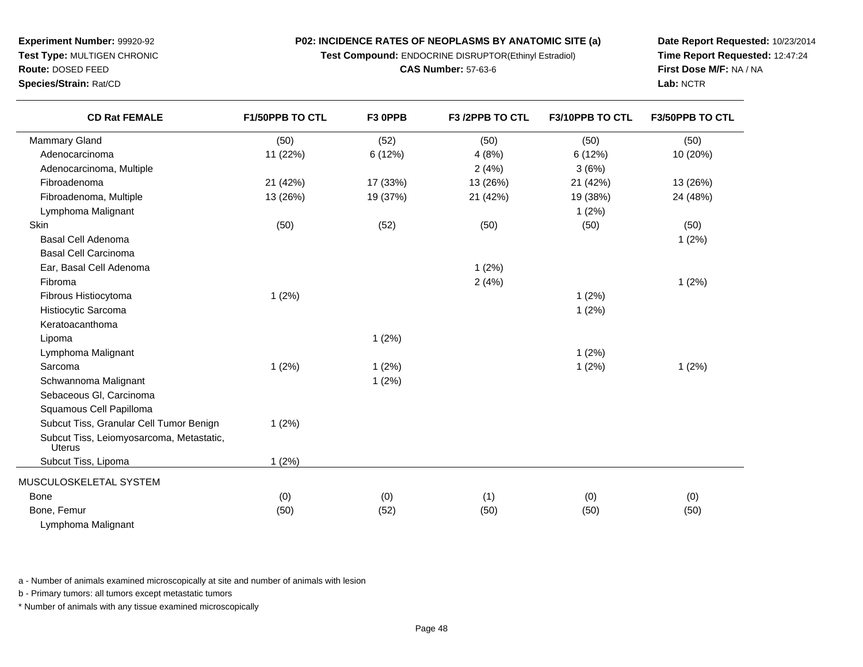**Test Compound:** ENDOCRINE DISRUPTOR(Ethinyl Estradiol)

**CAS Number:** 57-63-6

**Date Report Requested:** 10/23/2014**Time Report Requested:** 12:47:24**First Dose M/F:** NA / NA**Lab:** NCTR

| <b>CD Rat FEMALE</b>                                      | F1/50PPB TO CTL | F3 OPPB  | F3 /2PPB TO CTL | F3/10PPB TO CTL | F3/50PPB TO CTL |
|-----------------------------------------------------------|-----------------|----------|-----------------|-----------------|-----------------|
| Mammary Gland                                             | (50)            | (52)     | (50)            | (50)            | (50)            |
| Adenocarcinoma                                            | 11 (22%)        | 6(12%)   | 4(8%)           | 6 (12%)         | 10 (20%)        |
| Adenocarcinoma, Multiple                                  |                 |          | 2(4%)           | 3(6%)           |                 |
| Fibroadenoma                                              | 21 (42%)        | 17 (33%) | 13 (26%)        | 21 (42%)        | 13 (26%)        |
| Fibroadenoma, Multiple                                    | 13 (26%)        | 19 (37%) | 21 (42%)        | 19 (38%)        | 24 (48%)        |
| Lymphoma Malignant                                        |                 |          |                 | 1(2%)           |                 |
| Skin                                                      | (50)            | (52)     | (50)            | (50)            | (50)            |
| <b>Basal Cell Adenoma</b>                                 |                 |          |                 |                 | 1(2%)           |
| <b>Basal Cell Carcinoma</b>                               |                 |          |                 |                 |                 |
| Ear, Basal Cell Adenoma                                   |                 |          | 1(2%)           |                 |                 |
| Fibroma                                                   |                 |          | 2(4%)           |                 | 1(2%)           |
| Fibrous Histiocytoma                                      | 1(2%)           |          |                 | 1(2%)           |                 |
| Histiocytic Sarcoma                                       |                 |          |                 | 1(2%)           |                 |
| Keratoacanthoma                                           |                 |          |                 |                 |                 |
| Lipoma                                                    |                 | 1(2%)    |                 |                 |                 |
| Lymphoma Malignant                                        |                 |          |                 | 1(2%)           |                 |
| Sarcoma                                                   | 1(2%)           | 1(2%)    |                 | 1(2%)           | 1(2%)           |
| Schwannoma Malignant                                      |                 | 1(2%)    |                 |                 |                 |
| Sebaceous Gl, Carcinoma                                   |                 |          |                 |                 |                 |
| Squamous Cell Papilloma                                   |                 |          |                 |                 |                 |
| Subcut Tiss, Granular Cell Tumor Benign                   | 1(2%)           |          |                 |                 |                 |
| Subcut Tiss, Leiomyosarcoma, Metastatic,<br><b>Uterus</b> |                 |          |                 |                 |                 |
| Subcut Tiss, Lipoma                                       | 1(2%)           |          |                 |                 |                 |
| MUSCULOSKELETAL SYSTEM                                    |                 |          |                 |                 |                 |
| <b>Bone</b>                                               | (0)             | (0)      | (1)             | (0)             | (0)             |
| Bone, Femur                                               | (50)            | (52)     | (50)            | (50)            | (50)            |
| Lymphoma Malignant                                        |                 |          |                 |                 |                 |

a - Number of animals examined microscopically at site and number of animals with lesion

b - Primary tumors: all tumors except metastatic tumors

**Experiment Number:** 99920-92**Test Type:** MULTIGEN CHRONIC

**Route:** DOSED FEED**Species/Strain:** Rat/CD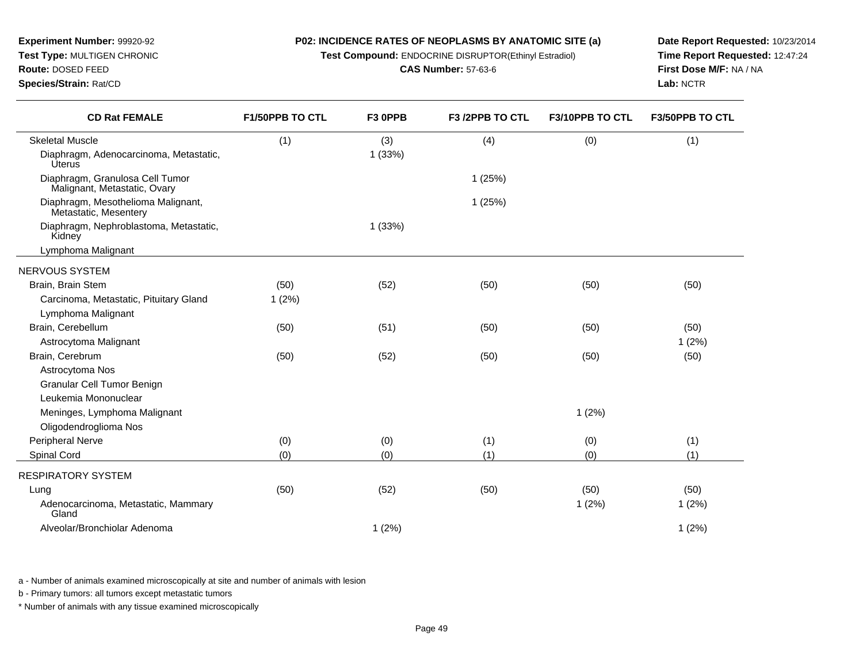**Test Compound:** ENDOCRINE DISRUPTOR(Ethinyl Estradiol)

**CAS Number:** 57-63-6

**Date Report Requested:** 10/23/2014**Time Report Requested:** 12:47:24**First Dose M/F:** NA / NA**Lab:** NCTR

**Experiment Number:** 99920-92**Test Type:** MULTIGEN CHRONIC

**Species/Strain:** Rat/CD

| <b>CD Rat FEMALE</b>                                            | F1/50PPB TO CTL | F3 OPPB | F3 /2PPB TO CTL | F3/10PPB TO CTL | F3/50PPB TO CTL |
|-----------------------------------------------------------------|-----------------|---------|-----------------|-----------------|-----------------|
| <b>Skeletal Muscle</b>                                          | (1)             | (3)     | (4)             | (0)             | (1)             |
| Diaphragm, Adenocarcinoma, Metastatic,<br><b>Úterus</b>         |                 | 1(33%)  |                 |                 |                 |
| Diaphragm, Granulosa Cell Tumor<br>Malignant, Metastatic, Ovary |                 |         | 1(25%)          |                 |                 |
| Diaphragm, Mesothelioma Malignant,<br>Metastatic, Mesentery     |                 |         | 1(25%)          |                 |                 |
| Diaphragm, Nephroblastoma, Metastatic,<br>Kidney                |                 | 1(33%)  |                 |                 |                 |
| Lymphoma Malignant                                              |                 |         |                 |                 |                 |
| NERVOUS SYSTEM                                                  |                 |         |                 |                 |                 |
| Brain, Brain Stem                                               | (50)            | (52)    | (50)            | (50)            | (50)            |
| Carcinoma, Metastatic, Pituitary Gland                          | 1(2%)           |         |                 |                 |                 |
| Lymphoma Malignant                                              |                 |         |                 |                 |                 |
| Brain, Cerebellum                                               | (50)            | (51)    | (50)            | (50)            | (50)            |
| Astrocytoma Malignant                                           |                 |         |                 |                 | 1(2%)           |
| Brain, Cerebrum                                                 | (50)            | (52)    | (50)            | (50)            | (50)            |
| Astrocytoma Nos                                                 |                 |         |                 |                 |                 |
| Granular Cell Tumor Benign                                      |                 |         |                 |                 |                 |
| Leukemia Mononuclear                                            |                 |         |                 |                 |                 |
| Meninges, Lymphoma Malignant                                    |                 |         |                 | 1(2%)           |                 |
| Oligodendroglioma Nos                                           |                 |         |                 |                 |                 |
| Peripheral Nerve                                                | (0)             | (0)     | (1)             | (0)             | (1)             |
| Spinal Cord                                                     | (0)             | (0)     | (1)             | (0)             | (1)             |
| <b>RESPIRATORY SYSTEM</b>                                       |                 |         |                 |                 |                 |
| Lung                                                            | (50)            | (52)    | (50)            | (50)            | (50)            |
| Adenocarcinoma, Metastatic, Mammary<br>Gland                    |                 |         |                 | 1(2%)           | 1(2%)           |
| Alveolar/Bronchiolar Adenoma                                    |                 | 1(2%)   |                 |                 | 1(2%)           |
|                                                                 |                 |         |                 |                 |                 |

a - Number of animals examined microscopically at site and number of animals with lesion

b - Primary tumors: all tumors except metastatic tumors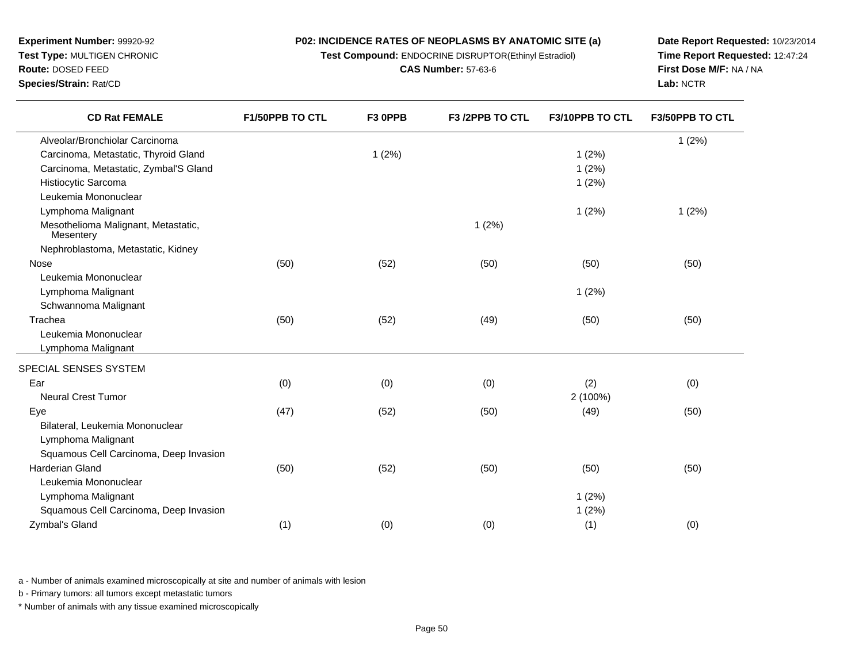**Test Compound:** ENDOCRINE DISRUPTOR(Ethinyl Estradiol)

**CAS Number:** 57-63-6

**Date Report Requested:** 10/23/2014**Time Report Requested:** 12:47:24**First Dose M/F:** NA / NA**Lab:** NCTR

| F1/50PPB TO CTL | F3 OPPB     | F3 /2PPB TO CTL | F3/10PPB TO CTL | F3/50PPB TO CTL |
|-----------------|-------------|-----------------|-----------------|-----------------|
|                 |             |                 |                 | 1(2%)           |
|                 | 1(2%)       |                 | 1(2%)           |                 |
|                 |             |                 | 1(2%)           |                 |
|                 |             |                 | 1(2%)           |                 |
|                 |             |                 |                 |                 |
|                 |             |                 | 1(2%)           | 1(2%)           |
|                 |             | 1(2%)           |                 |                 |
|                 |             |                 |                 |                 |
| (50)            | (52)        | (50)            | (50)            | (50)            |
|                 |             |                 |                 |                 |
|                 |             |                 | 1(2%)           |                 |
|                 |             |                 |                 |                 |
|                 |             |                 |                 | (50)            |
|                 |             |                 |                 |                 |
|                 |             |                 |                 |                 |
|                 |             |                 |                 |                 |
| (0)             | (0)         | (0)             | (2)             | (0)             |
|                 |             |                 | 2 (100%)        |                 |
| (47)            | (52)        | (50)            | (49)            | (50)            |
|                 |             |                 |                 |                 |
|                 |             |                 |                 |                 |
|                 |             |                 |                 |                 |
| (50)            | (52)        | (50)            | (50)            | (50)            |
|                 |             |                 |                 |                 |
|                 |             |                 | 1(2%)           |                 |
|                 |             |                 | 1(2%)           |                 |
|                 |             |                 |                 | (0)             |
|                 | (50)<br>(1) | (52)<br>(0)     | (49)<br>(0)     | (50)<br>(1)     |

a - Number of animals examined microscopically at site and number of animals with lesion

b - Primary tumors: all tumors except metastatic tumors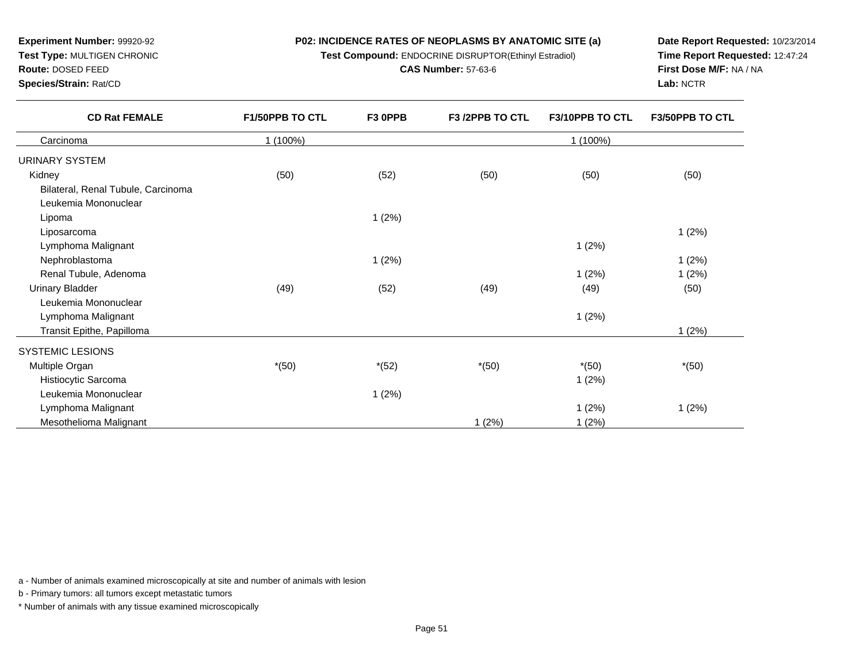**Test Compound:** ENDOCRINE DISRUPTOR(Ethinyl Estradiol)

**CAS Number:** 57-63-6

**Date Report Requested:** 10/23/2014**Time Report Requested:** 12:47:24**First Dose M/F:** NA / NA**Lab:** NCTR

1 (2%)

 $1 (2\%)$   $1 (2\%)$ 

\*(50) \*(52) \*(50) \*(50) \*(50)

1 (2%)

a and  $1(2\%)$ 

t the contract of  $1(2\%)$ 

a - Number of animals examined microscopically at site and number of animals with lesion

b - Primary tumors: all tumors except metastatic tumors

\* Number of animals with any tissue examined microscopically

| <b>CD Rat FEMALE</b>               | <b>F1/50PPB TO CTL</b> | F <sub>3</sub> OPPB | F <sub>3</sub> /2PPB TO CTL | <b>F3/10PPB TO CTL</b> | <b>F3/50PPB TO CTL</b> |
|------------------------------------|------------------------|---------------------|-----------------------------|------------------------|------------------------|
| Carcinoma                          | 1 (100%)               |                     |                             | 1 (100%)               |                        |
| URINARY SYSTEM                     |                        |                     |                             |                        |                        |
| Kidney                             | (50)                   | (52)                | (50)                        | (50)                   | (50)                   |
| Bilateral, Renal Tubule, Carcinoma |                        |                     |                             |                        |                        |
| Leukemia Mononuclear               |                        |                     |                             |                        |                        |
| Lipoma                             |                        | 1(2%)               |                             |                        |                        |
| Liposarcoma                        |                        |                     |                             |                        | 1(2%)                  |
| Lymphoma Malignant                 |                        |                     |                             | 1(2%)                  |                        |
| Nephroblastoma                     |                        | 1(2%)               |                             |                        | 1(2%)                  |
| Renal Tubule, Adenoma              |                        |                     |                             | 1(2%)                  | 1(2%)                  |
| <b>Urinary Bladder</b>             | (49)                   | (52)                | (49)                        | (49)                   | (50)                   |
| Leukemia Mononuclear               |                        |                     |                             |                        |                        |
| Lymphoma Malignant                 |                        |                     |                             | 1(2%)                  |                        |
| Transit Epithe, Papilloma          |                        |                     |                             |                        | (2%)                   |

t  $1 (2\%)$ 

### **Experiment Number:** 99920-92 **Test Type:** MULTIGEN CHRONIC**Route:** DOSED FEED

**Species/Strain:** Rat/CD

SYSTEMIC LESIONSMultiple Organ

Histiocytic Sarcoma

Leukemia Mononuclear

Mesothelioma Malignant

Lymphoma Malignant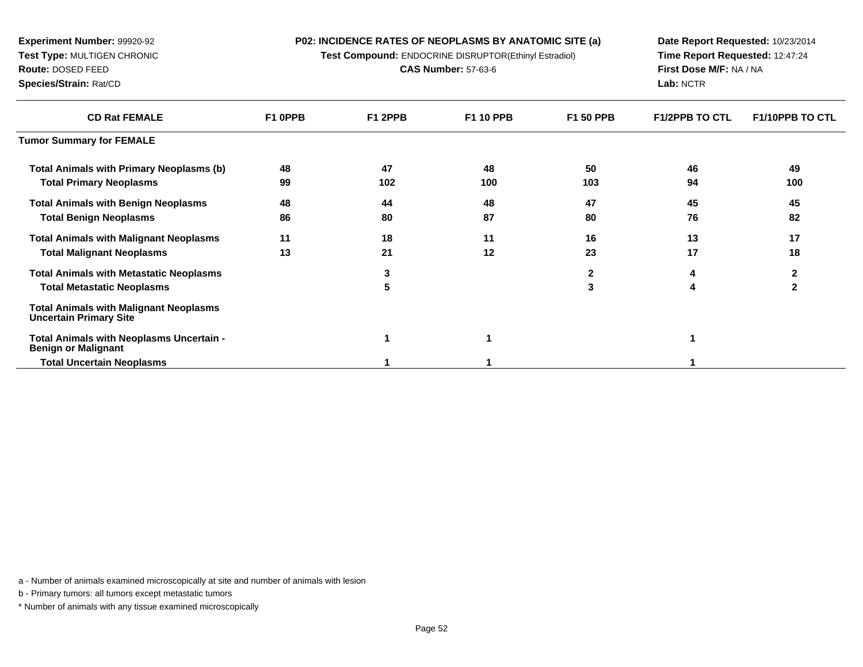**Test Compound:** ENDOCRINE DISRUPTOR(Ethinyl Estradiol)

**CAS Number:** 57-63-6

**Date Report Requested:** 10/23/2014**Time Report Requested:** 12:47:24**First Dose M/F:** NA / NA**Lab:** NCTR

| <b>CD Rat FEMALE</b>                                                           | F1 OPPB | F1 2PPB | <b>F1 10 PPB</b> | <b>F1 50 PPB</b> | <b>F1/2PPB TO CTL</b> | <b>F1/10PPB TO CTL</b> |
|--------------------------------------------------------------------------------|---------|---------|------------------|------------------|-----------------------|------------------------|
| <b>Tumor Summary for FEMALE</b>                                                |         |         |                  |                  |                       |                        |
| <b>Total Animals with Primary Neoplasms (b)</b>                                | 48      | 47      | 48               | 50               | 46                    | 49                     |
| <b>Total Primary Neoplasms</b>                                                 | 99      | 102     | 100              | 103              | 94                    | 100                    |
| <b>Total Animals with Benign Neoplasms</b>                                     | 48      | 44      | 48               | 47               | 45                    | 45                     |
| <b>Total Benign Neoplasms</b>                                                  | 86      | 80      | 87               | 80               | 76                    | 82                     |
| <b>Total Animals with Malignant Neoplasms</b>                                  | 11      | 18      | 11               | 16               | 13                    | 17                     |
| <b>Total Malignant Neoplasms</b>                                               | 13      | 21      | 12               | 23               | 17                    | 18                     |
| <b>Total Animals with Metastatic Neoplasms</b>                                 |         | 3       |                  | 2                | 4                     | $\mathbf{2}$           |
| <b>Total Metastatic Neoplasms</b>                                              |         | 5       |                  | 3                | 4                     | $\mathbf{2}$           |
| <b>Total Animals with Malignant Neoplasms</b><br><b>Uncertain Primary Site</b> |         |         |                  |                  |                       |                        |
| Total Animals with Neoplasms Uncertain -<br><b>Benign or Malignant</b>         |         |         |                  |                  |                       |                        |
| <b>Total Uncertain Neoplasms</b>                                               |         |         |                  |                  |                       |                        |

a - Number of animals examined microscopically at site and number of animals with lesion

b - Primary tumors: all tumors except metastatic tumors

**Experiment Number:** 99920-92**Test Type:** MULTIGEN CHRONIC

**Route:** DOSED FEED**Species/Strain:** Rat/CD